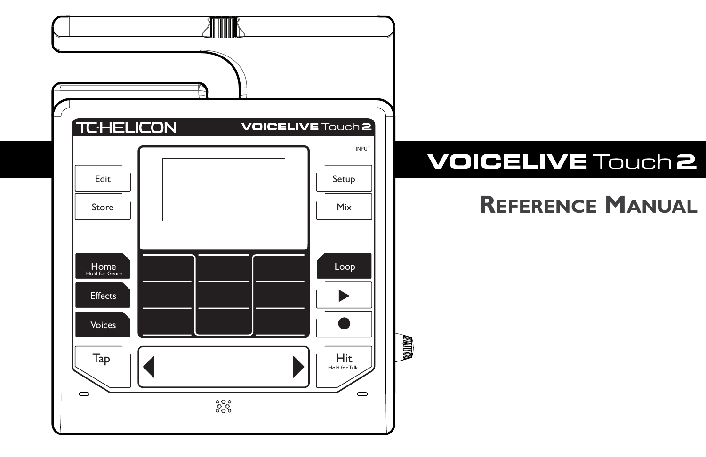

# **VOICELIVE Touch 2**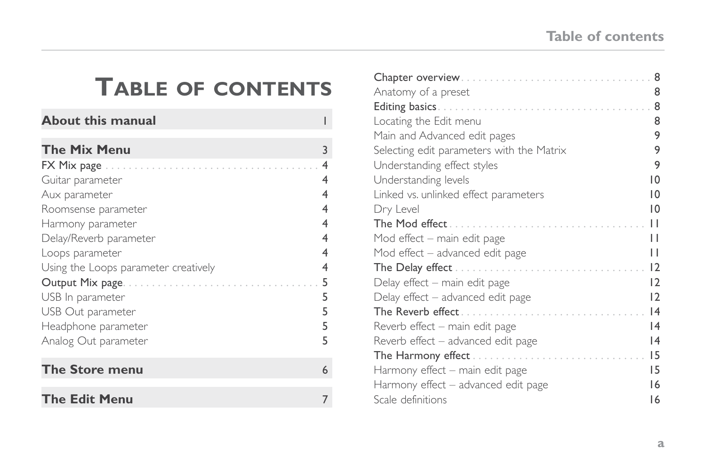## **Table of contents**

| About this manual                    |   |
|--------------------------------------|---|
| <b>The Mix Menu</b>                  | 3 |
| $FX$ Mix page $\ldots \ldots \ldots$ | 4 |
| Guitar parameter                     | 4 |
| Aux parameter                        | 4 |
| Roomsense parameter                  | 4 |
| Harmony parameter                    | 4 |
| Delay/Reverb parameter               | 4 |
| Loops parameter                      | 4 |
| Using the Loops parameter creatively | 4 |
| Output Mix page                      | 5 |
| USB In parameter                     | 5 |
| USB Out parameter                    | 5 |
| Headphone parameter                  | 5 |
| Analog Out parameter                 | 5 |
| The Store menu                       | 6 |
| <b>The Edit Menu</b>                 |   |

| Chapter overview                          | 8              |
|-------------------------------------------|----------------|
| Anatomy of a preset                       | 8              |
|                                           | 8              |
| Locating the Edit menu                    | 8              |
| Main and Advanced edit pages              | 9              |
| Selecting edit parameters with the Matrix | 9              |
| Understanding effect styles               | 9              |
| Understanding levels                      | $\overline{0}$ |
| Linked vs. unlinked effect parameters     | 10             |
| Dry Level                                 | $\overline{0}$ |
| The Mod effect                            | П              |
| Mod effect – main edit page               | П              |
| Mod effect – advanced edit page           | П              |
|                                           | 12             |
| Delay effect – main edit page             | 12             |
| Delay effect - advanced edit page         | 12             |
|                                           | 4              |
| Reverb effect – main edit page            | 4              |
| Reverb effect – advanced edit page        | 4              |
| The Harmony effect                        | 15             |
| Harmony effect – main edit page           | 15             |
| Harmony effect – advanced edit page       | 16             |
| Scale definitions                         | 16             |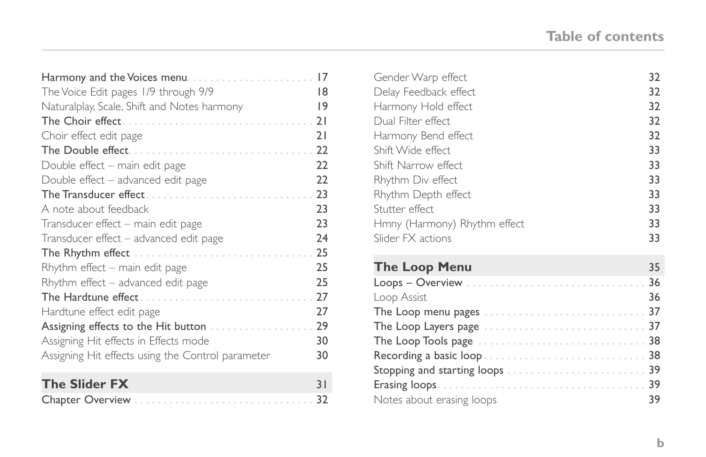| Harmony and the Voices menu                       | 17 |
|---------------------------------------------------|----|
| The Voice Edit pages 1/9 through 9/9              | 18 |
| Naturalplay, Scale, Shift and Notes harmony       | 9  |
| The Choir effect                                  | 21 |
| Choir effect edit page                            | 21 |
| The Double effect                                 | 22 |
| Double effect – main edit page                    | 22 |
| Double effect – advanced edit page                | 22 |
| The Transducer effect                             | 23 |
| A note about feedback                             | 23 |
| Transducer effect - main edit page                | 23 |
| Transducer effect - advanced edit page            | 24 |
| The Rhythm effect                                 | 25 |
| Rhythm effect – main edit page                    | 25 |
| Rhythm effect – advanced edit page                | 25 |
| The Hardtune effect                               | 27 |
| Hardtune effect edit page                         | 27 |
| Assigning effects to the Hit button               | 29 |
| Assigning Hit effects in Effects mode             | 30 |
| Assigning Hit effects using the Control parameter | 30 |
| The Slider FX                                     | 31 |
|                                                   |    |

| Gender Warp effect           | 32  |
|------------------------------|-----|
| Delay Feedback effect        | 32  |
| Harmony Hold effect          | 32  |
| Dual Filter effect           | 32  |
| Harmony Bend effect          | 32  |
| Shift Wide effect            | 33  |
| Shift Narrow effect          | 33  |
| Rhythm Div effect            | 33  |
| Rhythm Depth effect          | 33  |
| Stutter effect.              | 33  |
| Hmny (Harmony) Rhythm effect | 33  |
| Slider FX actions            | 33  |
|                              |     |
| <b>The Loop Menu</b>         | 35  |
|                              | 36  |
| Loop Assist                  | 36  |
|                              | -37 |
|                              |     |

[The Loop Tools page . . . . . . . . . . . . . . . . . . . . . . . . . . . . .](#page-43-0) 38 [Recording a basic loop . . . . . . . . . . . . . . . . . . . . . . . . . . . .](#page-43-0) 38 [Stopping and starting loops . . . . . . . . . . . . . . . . . . . . . . . .](#page-44-0) 39 [Erasing loops . . . . . . . . . . . . . . . . . . . . . . . . . . . . . . . . . . . .](#page-44-0) 39 [Notes about erasing loops](#page-44-0) 39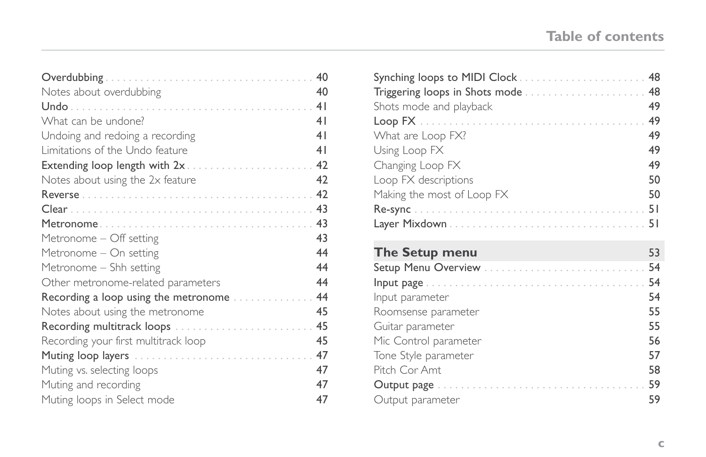## **Table of contents**

|                                      | 40             |
|--------------------------------------|----------------|
| Notes about overdubbing              | 40             |
|                                      | 4 <sub>1</sub> |
| What can be undone?                  | 41             |
| Undoing and redoing a recording      | 4 <sub>1</sub> |
| Limitations of the Undo feature      | 41             |
| Extending loop length with 2x 42     |                |
| Notes about using the 2x feature     | 42             |
|                                      |                |
|                                      |                |
|                                      |                |
| Metronome - Off setting              | 43             |
| Metronome - On setting               | 44             |
| Metronome – Shh setting              | 44             |
| Other metronome-related parameters   | 44             |
| Recording a loop using the metronome | 44             |
| Notes about using the metronome      | 45             |
| Recording multitrack loops           | 45             |
| Recording your first multitrack loop | 45             |
|                                      | 47             |
| Muting vs. selecting loops           | 47             |
| Muting and recording                 | 47             |
| Muting loops in Select mode          | 47             |

| Triggering loops in Shots mode  48 |    |
|------------------------------------|----|
| Shots mode and playback            | 49 |
|                                    |    |
| What are Loop FX?                  | 49 |
| Using Loop FX                      | 49 |
| Changing Loop FX                   | 49 |
| Loop FX descriptions               | 50 |
| Making the most of Loop FX         | 50 |
|                                    |    |
|                                    |    |
|                                    |    |
| <b>The Setup menu</b>              | 53 |
|                                    |    |
|                                    |    |
| Input parameter                    | 54 |
| Roomsense parameter                | 55 |
| Guitar parameter                   | 55 |
| Mic Control parameter              | 56 |
| Tone Style parameter               | 57 |
| Pitch Cor Amt                      | 58 |
|                                    | 59 |
| Output parameter                   | 59 |

[Output parameter](#page-64-0)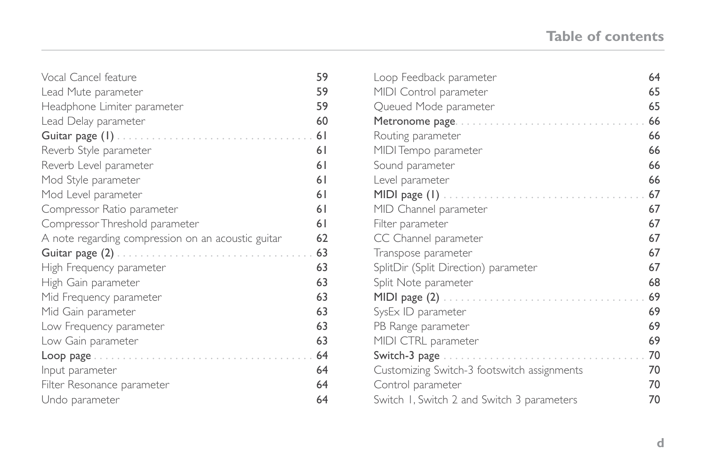## **Table of contents**

| Vocal Cancel feature                               | 59 |
|----------------------------------------------------|----|
| Lead Mute parameter                                | 59 |
| Headphone Limiter parameter                        | 59 |
| Lead Delay parameter                               | 60 |
| Guitar page $(1)$                                  | 61 |
| Reverb Style parameter                             | 61 |
| Reverb Level parameter                             | 61 |
| Mod Style parameter                                | 61 |
| Mod Level parameter                                | 61 |
| Compressor Ratio parameter                         | 61 |
| Compressor Threshold parameter                     | 61 |
| A note regarding compression on an acoustic guitar | 62 |
| Guitar page $(2)$                                  | 63 |
| High Frequency parameter                           | 63 |
| High Gain parameter                                | 63 |
| Mid Frequency parameter                            | 63 |
| Mid Gain parameter                                 | 63 |
| Low Frequency parameter                            | 63 |
| Low Gain parameter                                 | 63 |
| Loop page                                          | 64 |
| Input parameter                                    | 64 |
| Filter Resonance parameter                         | 64 |
| Undo parameter                                     | 64 |

| Loop Feedback parameter                                 | 64 |
|---------------------------------------------------------|----|
| MIDI Control parameter                                  | 65 |
| Queued Mode parameter                                   | 65 |
| Metronome page                                          | 66 |
| Routing parameter                                       | 66 |
| MIDI Tempo parameter                                    | 66 |
| Sound parameter                                         | 66 |
| Level parameter                                         | 66 |
|                                                         | 67 |
| MID Channel parameter                                   | 67 |
| Filter parameter                                        | 67 |
| CC Channel parameter                                    | 67 |
| Transpose parameter                                     | 67 |
| SplitDir (Split Direction) parameter                    | 67 |
| Split Note parameter                                    | 68 |
| MIDI page $(2)$                                         | 69 |
| SysEx ID parameter                                      | 69 |
| PB Range parameter                                      | 69 |
| MIDI CTRL parameter                                     | 69 |
| Switch-3 page $\ldots \ldots \ldots \ldots \ldots$<br>. | 70 |
| Customizing Switch-3 footswitch assignments             | 70 |
| Control parameter                                       | 70 |
| Switch 1, Switch 2 and Switch 3 parameters              | 70 |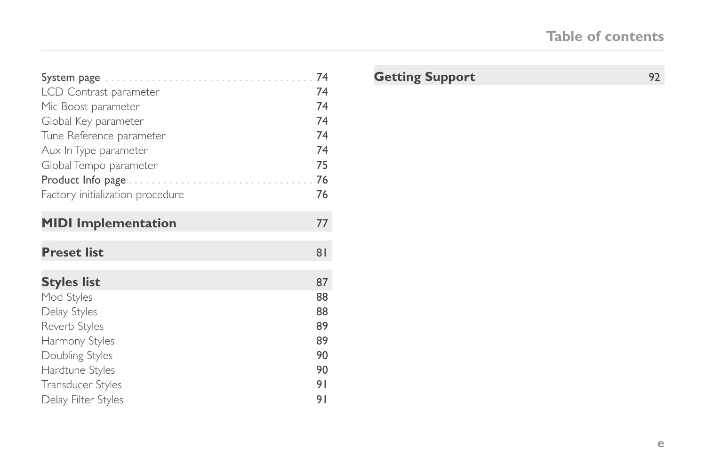|                                  | 74             |
|----------------------------------|----------------|
| LCD Contrast parameter           | 74             |
| Mic Boost parameter              | 74             |
| Global Key parameter             | 74             |
| Tune Reference parameter         | 74             |
| Aux In Type parameter            | 74             |
| Global Tempo parameter           | 75             |
| Product Info page                | 76             |
| Factory initialization procedure | 76             |
| <b>MIDI</b> Implementation       | 77             |
| <b>Preset list</b>               | 8 <sub>1</sub> |
| Styles list                      | 87             |
| Mod Styles                       | 88             |
| Delay Styles                     | 88             |
| Reverb Styles                    | 89             |
| Harmony Styles                   | 89             |
| Doubling Styles                  | 90             |
| Hardtune Styles                  | 90             |
| Transducer Styles                | 91             |
|                                  |                |

## [Getting Support](#page-97-0) 92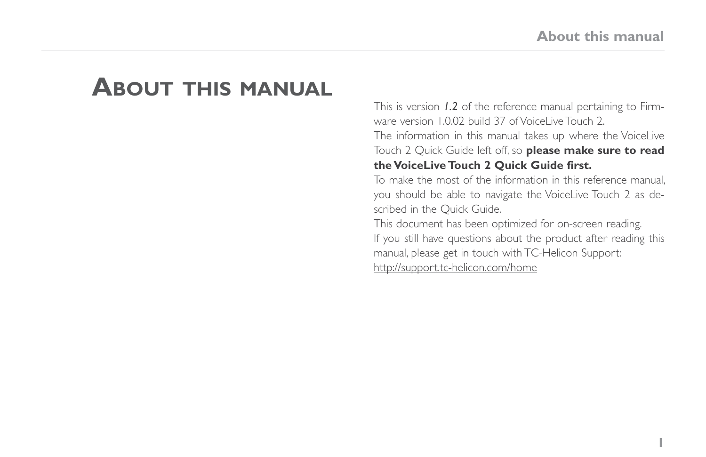## <span id="page-6-0"></span>**About this manual**

This is version *1.2* of the reference manual pertaining to Firmware version 1.0.02 build 37 of VoiceLive Touch 2. The information in this manual takes up where the VoiceLive Touch 2 Quick Guide left off, so **please make sure to read the VoiceLive Touch 2 Quick Guide first.**

To make the most of the information in this reference manual, you should be able to navigate the VoiceLive Touch 2 as described in the Quick Guide.

This document has been optimized for on-screen reading. If you still have questions about the product after reading this manual, please get in touch with TC-Helicon Support: <http://support.tc-helicon.com/home>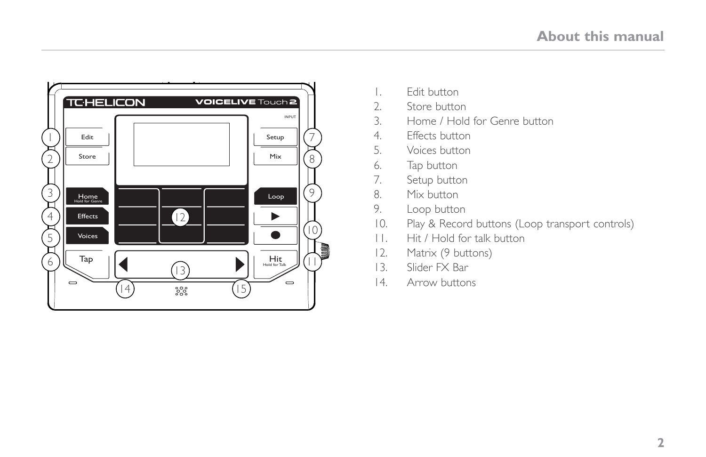

- 1. Edit button
- 2. Store button<br>3. Home / Hold
- 3. Home / Hold for Genre button
- 4. Effects button
- 5. Voices button
- 6. Tap button<br>7. Setup butto
- Setup button
- 8. Mix button
- 9. Loop button
- 10. Play & Record buttons (Loop transport controls)
- 11. Hit / Hold for talk button
- 12. Matrix (9 buttons)
- 13. Slider FX Bar
- 14. Arrow buttons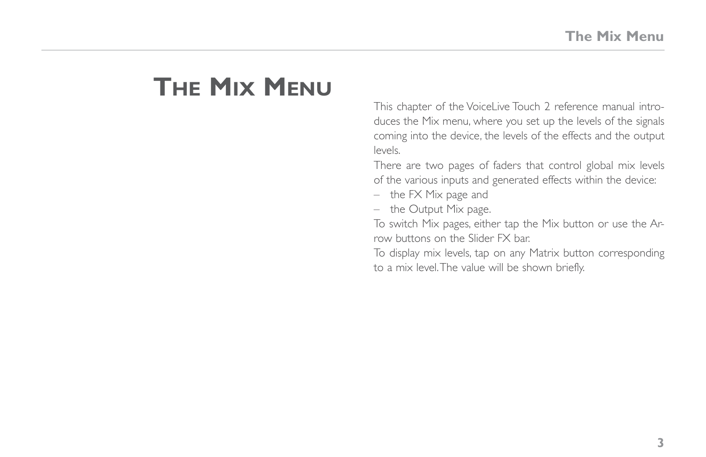## <span id="page-8-0"></span>**The Mix Menu**

This chapter of the VoiceLive Touch 2 reference manual introduces the Mix menu, where you set up the levels of the signals coming into the device, the levels of the effects and the output levels.

There are two pages of faders that control global mix levels of the various inputs and generated effects within the device:

- the FX Mix page and
- the Output Mix page.

To switch Mix pages, either tap the Mix button or use the Arrow buttons on the Slider FX bar.

To display mix levels, tap on any Matrix button corresponding to a mix level. The value will be shown briefly.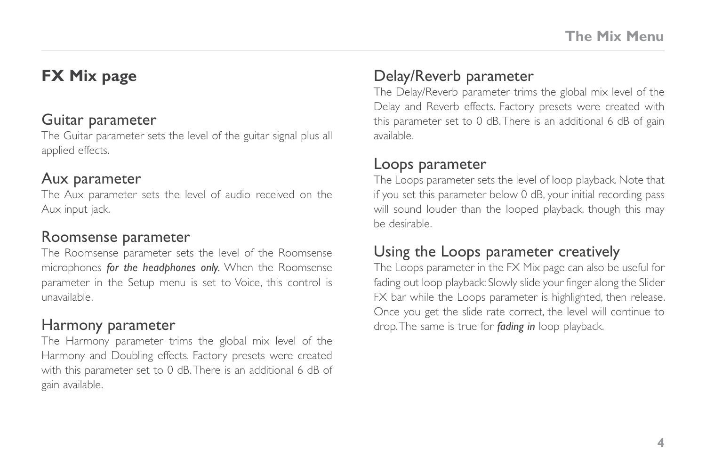## <span id="page-9-0"></span>**FX Mix page**

### Guitar parameter

The Guitar parameter sets the level of the guitar signal plus all applied effects.

### Aux parameter

The Aux parameter sets the level of audio received on the Aux input jack.

## Roomsense parameter

The Roomsense parameter sets the level of the Roomsense microphones *for the headphones only.* When the Roomsense parameter in the Setup menu is set to Voice, this control is unavailable.

## Harmony parameter

The Harmony parameter trims the global mix level of the Harmony and Doubling effects. Factory presets were created with this parameter set to 0 dB. There is an additional 6 dB of gain available.

## Delay/Reverb parameter

The Delay/Reverb parameter trims the global mix level of the Delay and Reverb effects. Factory presets were created with this parameter set to 0 dB. There is an additional 6 dB of gain available.

### Loops parameter

The Loops parameter sets the level of loop playback. Note that if you set this parameter below 0 dB, your initial recording pass will sound louder than the looped playback, though this may be desirable.

## Using the Loops parameter creatively

The Loops parameter in the FX Mix page can also be useful for fading out loop playback: Slowly slide your finger along the Slider FX bar while the Loops parameter is highlighted, then release. Once you get the slide rate correct, the level will continue to drop. The same is true for *fading in* loop playback.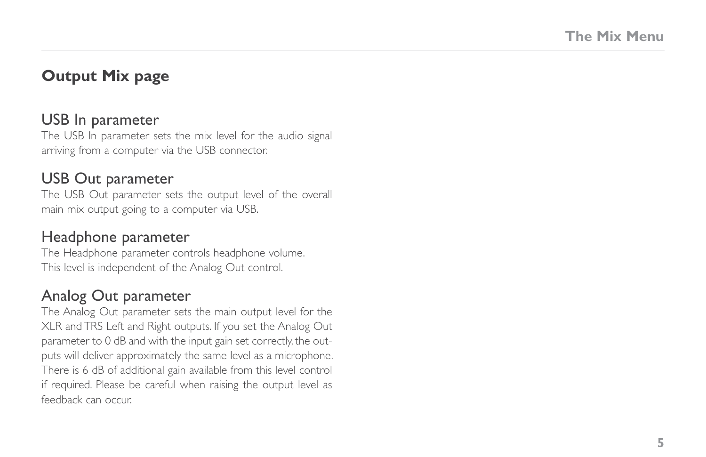## <span id="page-10-0"></span>**Output Mix page**

#### USB In parameter

The USB In parameter sets the mix level for the audio signal arriving from a computer via the USB connector.

#### USB Out parameter

The USB Out parameter sets the output level of the overall main mix output going to a computer via USB.

#### Headphone parameter

The Headphone parameter controls headphone volume. This level is independent of the Analog Out control.

## Analog Out parameter

The Analog Out parameter sets the main output level for the XLR and TRS Left and Right outputs. If you set the Analog Out parameter to 0 dB and with the input gain set correctly, the outputs will deliver approximately the same level as a microphone. There is 6 dB of additional gain available from this level control if required. Please be careful when raising the output level as feedback can occur.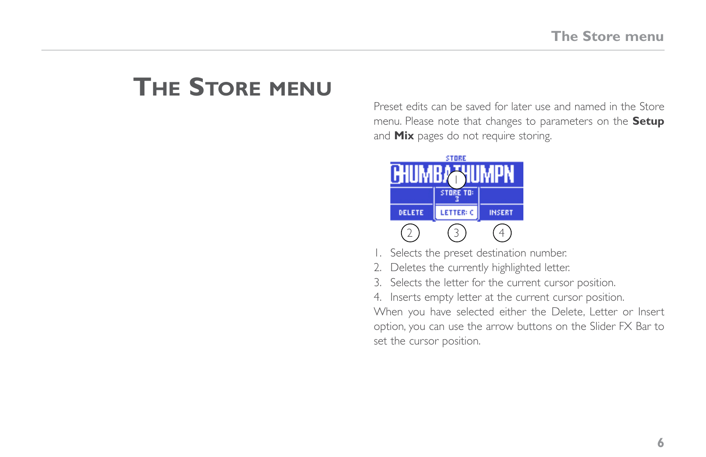## <span id="page-11-0"></span>**The Store menu**

Preset edits can be saved for later use and named in the Store menu. Please note that changes to parameters on the **Setup** and **Mix** pages do not require storing.



- 1. Selects the preset destination number.
- 2. Deletes the currently highlighted letter.
- 3. Selects the letter for the current cursor position.
- 4. Inserts empty letter at the current cursor position.

When you have selected either the Delete, Letter or Insert option, you can use the arrow buttons on the Slider FX Bar to set the cursor position.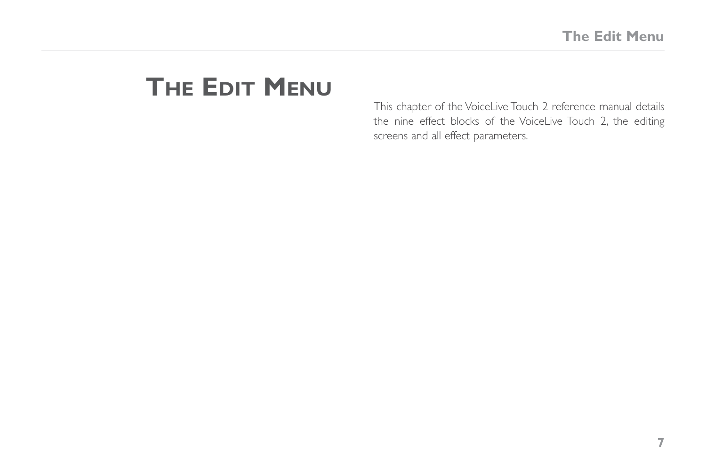## <span id="page-12-0"></span>**The Edit Menu**

This chapter of the VoiceLive Touch 2 reference manual details the nine effect blocks of the VoiceLive Touch 2, the editing screens and all effect parameters.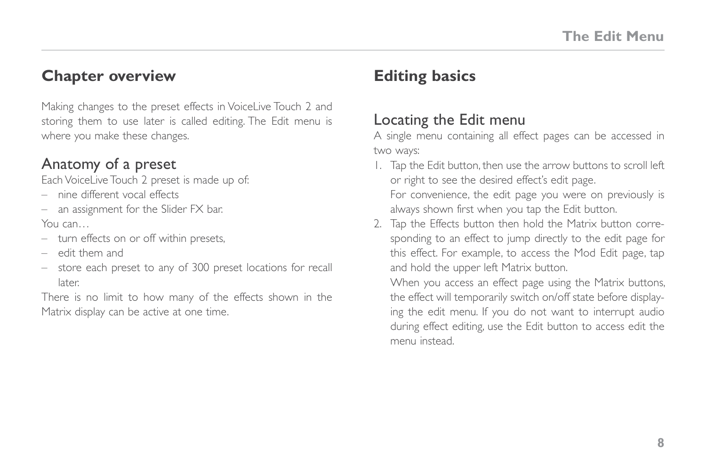## <span id="page-13-0"></span>**Chapter overview**

Making changes to the preset effects in VoiceLive Touch 2 and storing them to use later is called editing. The Edit menu is where you make these changes.

#### Anatomy of a preset

Each VoiceLive Touch 2 preset is made up of:

– nine different vocal effects

– an assignment for the Slider FX bar. You can

- turn effects on or off within presets,
- edit them and
- store each preset to any of 300 preset locations for recall later.

There is no limit to how many of the effects shown in the Matrix display can be active at one time.

## **Editing basics**

## Locating the Edit menu

A single menu containing all effect pages can be accessed in two ways:

1. Tap the Edit button, then use the arrow buttons to scroll left or right to see the desired effect's edit page.

For convenience, the edit page you were on previously is always shown first when you tap the Edit button.

2. Tap the Effects button then hold the Matrix button corresponding to an effect to jump directly to the edit page for this effect. For example, to access the Mod Edit page, tap and hold the upper left Matrix button.

When you access an effect page using the Matrix buttons, the effect will temporarily switch on/off state before displaying the edit menu. If you do not want to interrupt audio during effect editing, use the Edit button to access edit the menu instead.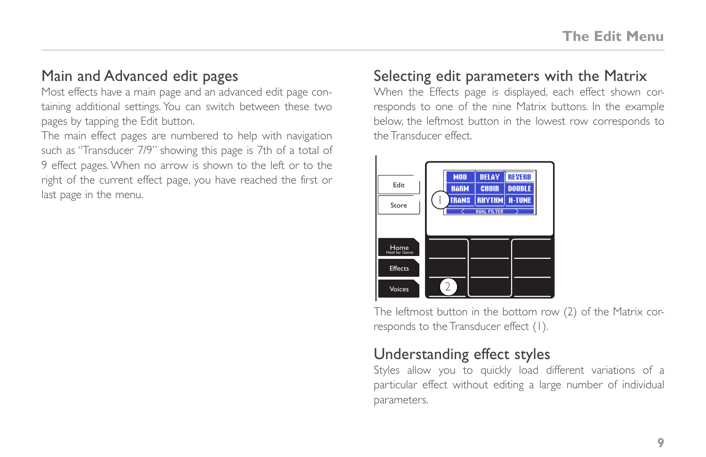## <span id="page-14-0"></span>Main and Advanced edit pages

Most effects have a main page and an advanced edit page containing additional settings. You can switch between these two pages by tapping the Edit button.

The main effect pages are numbered to help with navigation such as "Transducer 7/9" showing this page is 7th of a total of 9 effect pages. When no arrow is shown to the left or to the right of the current effect page, you have reached the first or last page in the menu.

## Selecting edit parameters with the Matrix

When the Effects page is displayed, each effect shown corresponds to one of the nine Matrix buttons. In the example below, the leftmost button in the lowest row corresponds to the Transducer effect.

The leftmost button in the bottom row (2) of the Matrix corresponds to the Transducer effect (1).

## Understanding effect styles

Styles allow you to quickly load different variations of a particular effect without editing a large number of individual parameters.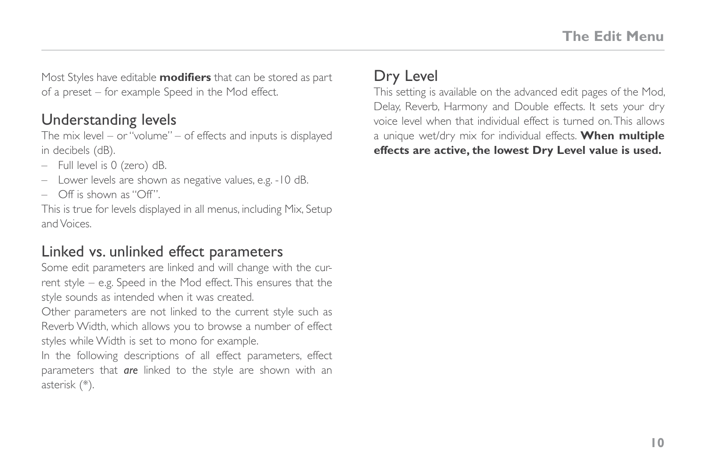<span id="page-15-0"></span>Most Styles have editable **modifiers** that can be stored as part of a preset – for example Speed in the Mod effect.

## Understanding levels

The mix level – or "volume" – of effects and inputs is displayed in decibels (dB).

- Full level is 0 (zero) dB.
- Lower levels are shown as negative values, e.g. -10 dB.
- Off is shown as "Off".

This is true for levels displayed in all menus, including Mix, Setup and Voices.

## Linked vs. unlinked effect parameters

Some edit parameters are linked and will change with the current style – e.g. Speed in the Mod effect. This ensures that the style sounds as intended when it was created.

Other parameters are not linked to the current style such as Reverb Width, which allows you to browse a number of effect styles while Width is set to mono for example.

In the following descriptions of all effect parameters, effect parameters that *are* linked to the style are shown with an asterisk (\*).

## Dry Level

This setting is available on the advanced edit pages of the Mod, Delay, Reverb, Harmony and Double effects. It sets your dry voice level when that individual effect is turned on. This allows a unique wet/dry mix for individual effects. **When multiple effects are active, the lowest Dry Level value is used.**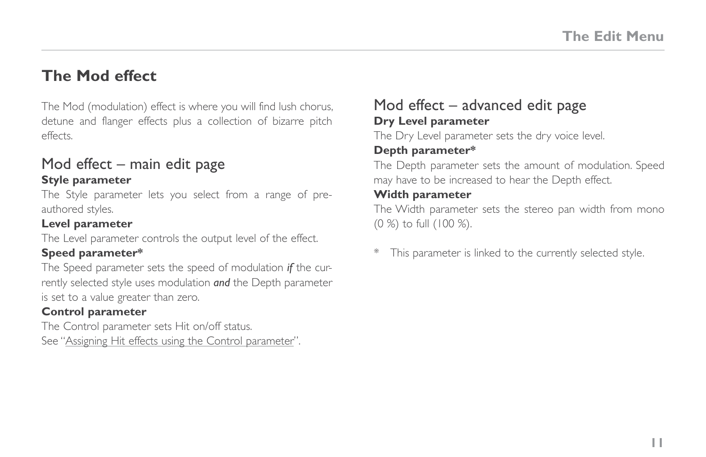## <span id="page-16-0"></span>**The Mod effect**

The Mod (modulation) effect is where you will find lush chorus, detune and flanger effects plus a collection of bizarre pitch effects.

## Mod effect – main edit page

#### **Style parameter**

The Style parameter lets you select from a range of preauthored styles.

#### **Level parameter**

The Level parameter controls the output level of the effect.

#### **Speed parameter\***

The Speed parameter sets the speed of modulation *if* the currently selected style uses modulation *and* the Depth parameter is set to a value greater than zero.

#### **Control parameter**

The Control parameter sets Hit on/off status. See "[Assigning Hit effects using the Control parameter"](#page-35-1).

## Mod effect – advanced edit page **Dry Level parameter**

The Dry Level parameter sets the dry voice level.

#### **Depth parameter\***

The Depth parameter sets the amount of modulation. Speed may have to be increased to hear the Depth effect.

#### **Width parameter**

The Width parameter sets the stereo pan width from mono (0 %) to full (100 %).

This parameter is linked to the currently selected style.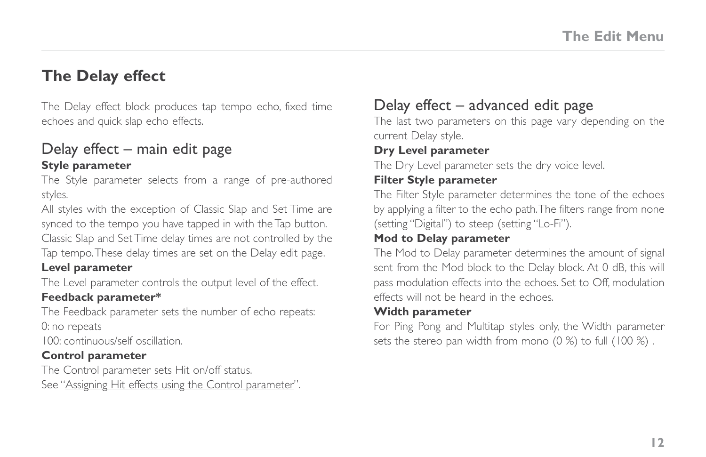## <span id="page-17-0"></span>**The Delay effect**

The Delay effect block produces tap tempo echo, fixed time echoes and quick slap echo effects.

#### Delay effect – main edit page **Style parameter**

The Style parameter selects from a range of pre-authored styles.

All styles with the exception of Classic Slap and Set Time are synced to the tempo you have tapped in with the Tap button. Classic Slap and Set Time delay times are not controlled by the Tap tempo. These delay times are set on the Delay edit page.

#### **Level parameter**

The Level parameter controls the output level of the effect.

#### **Feedback parameter\***

The Feedback parameter sets the number of echo repeats: 0: no repeats

100: continuous/self oscillation.

#### **Control parameter**

The Control parameter sets Hit on/off status. See "[Assigning Hit effects using the Control parameter"](#page-35-1).

## Delay effect – advanced edit page

The last two parameters on this page vary depending on the current Delay style.

#### **Dry Level parameter**

The Dry Level parameter sets the dry voice level.

#### **Filter Style parameter**

The Filter Style parameter determines the tone of the echoes by applying a filter to the echo path. The filters range from none (setting "Digital") to steep (setting "Lo-Fi").

#### **Mod to Delay parameter**

The Mod to Delay parameter determines the amount of signal sent from the Mod block to the Delay block. At 0 dB, this will pass modulation effects into the echoes. Set to Off, modulation effects will not be heard in the echoes.

#### **Width parameter**

For Ping Pong and Multitap styles only, the Width parameter sets the stereo pan width from mono (0 %) to full (100 %).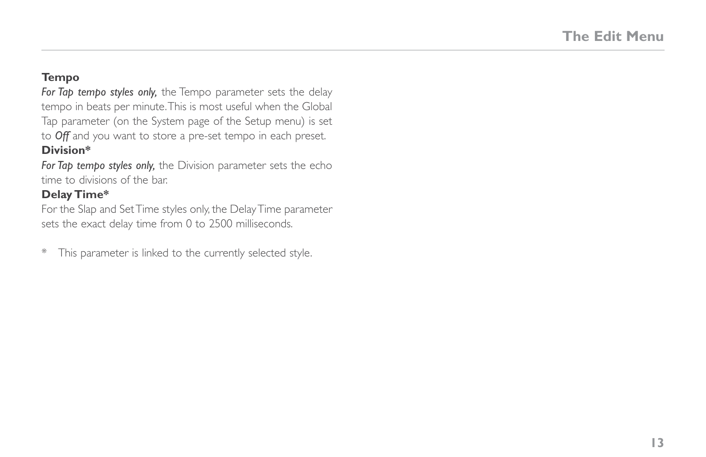#### **Tempo**

*For Tap tempo styles only,* the Tempo parameter sets the delay tempo in beats per minute. This is most useful when the Global Tap parameter (on the System page of the Setup menu) is set to *Off* and you want to store a pre-set tempo in each preset.

#### **Division\***

*For Tap tempo styles only,* the Division parameter sets the echo time to divisions of the bar.

#### **Delay Time\***

For the Slap and Set Time styles only, the Delay Time parameter sets the exact delay time from 0 to 2500 milliseconds.

\* This parameter is linked to the currently selected style.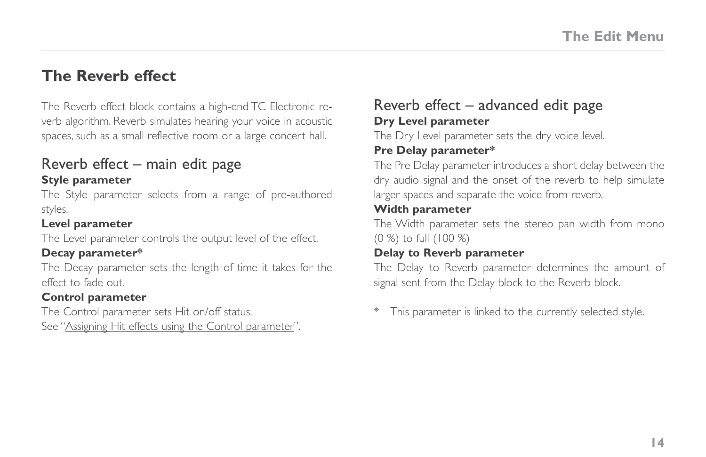## <span id="page-19-0"></span>**The Reverb effect**

The Reverb effect block contains a high-end TC Electronic reverb algorithm. Reverb simulates hearing your voice in acoustic spaces, such as a small reflective room or a large concert hall.

#### Reverb effect – main edit page **Style parameter**

The Style parameter selects from a range of pre-authored styles.

#### **Level parameter**

The Level parameter controls the output level of the effect.

#### **Decay parameter\***

The Decay parameter sets the length of time it takes for the effect to fade out.

#### **Control parameter**

The Control parameter sets Hit on/off status.

See "[Assigning Hit effects using the Control parameter"](#page-35-1).

## Reverb effect – advanced edit page **Dry Level parameter**

The Dry Level parameter sets the dry voice level.

#### **Pre Delay parameter\***

The Pre Delay parameter introduces a short delay between the dry audio signal and the onset of the reverb to help simulate larger spaces and separate the voice from reverb.

#### **Width parameter**

The Width parameter sets the stereo pan width from mono (0 %) to full (100 %)

#### **Delay to Reverb parameter**

The Delay to Reverb parameter determines the amount of signal sent from the Delay block to the Reverb block.

\* This parameter is linked to the currently selected style.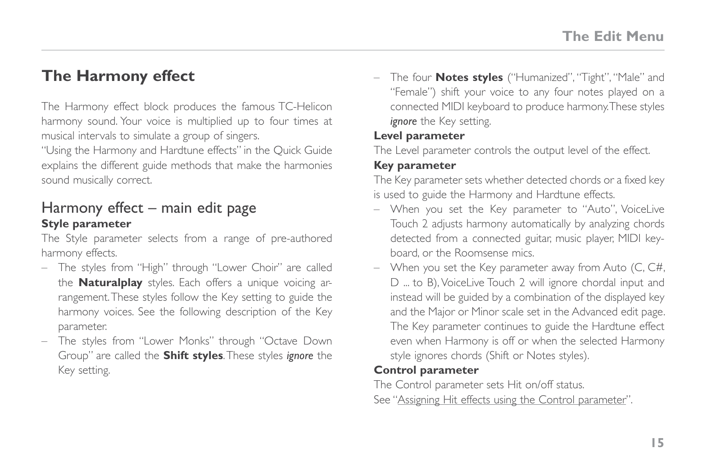## <span id="page-20-0"></span>**The Harmony effect**

The Harmony effect block produces the famous TC-Helicon harmony sound. Your voice is multiplied up to four times at musical intervals to simulate a group of singers.

"Using the Harmony and Hardtune effects" in the Quick Guide explains the different guide methods that make the harmonies sound musically correct.

#### Harmony effect – main edit page **Style parameter**

The Style parameter selects from a range of pre-authored harmony effects.

- The styles from "High" through "Lower Choir" are called the **Naturalplay** styles. Each offers a unique voicing arrangement. These styles follow the Key setting to guide the harmony voices. See the following description of the Key parameter.
- The styles from "Lower Monks" through "Octave Down Group" are called the **Shift styles**. These styles *ignore* the Key setting.

– The four **Notes styles** ("Humanized", "Tight", "Male" and "Female") shift your voice to any four notes played on a connected MIDI keyboard to produce harmony. These styles *ignore* the Key setting.

#### **Level parameter**

The Level parameter controls the output level of the effect.

#### **Key parameter**

The Key parameter sets whether detected chords or a fixed key is used to guide the Harmony and Hardtune effects.

- When you set the Key parameter to "Auto", VoiceLive Touch 2 adjusts harmony automatically by analyzing chords detected from a connected guitar, music player, MIDI keyboard, or the Roomsense mics.
- When you set the Key parameter away from Auto (C, C#, D ... to B), VoiceLive Touch 2 will ignore chordal input and instead will be guided by a combination of the displayed key and the Major or Minor scale set in the Advanced edit page. The Key parameter continues to guide the Hardtune effect even when Harmony is off or when the selected Harmony style ignores chords (Shift or Notes styles).

#### **Control parameter**

The Control parameter sets Hit on/off status. See ["Assigning Hit effects using the Control parameter](#page-35-1)".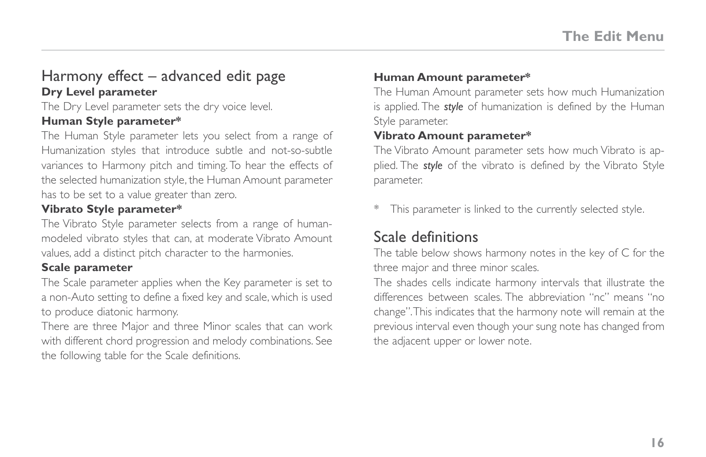### <span id="page-21-0"></span>Harmony effect – advanced edit page **Dry Level parameter**

The Dry Level parameter sets the dry voice level.

#### **Human Style parameter\***

The Human Style parameter lets you select from a range of Humanization styles that introduce subtle and not-so-subtle variances to Harmony pitch and timing. To hear the effects of the selected humanization style, the Human Amount parameter has to be set to a value greater than zero.

#### **Vibrato Style parameter\***

The Vibrato Style parameter selects from a range of humanmodeled vibrato styles that can, at moderate Vibrato Amount values, add a distinct pitch character to the harmonies.

#### **Scale parameter**

The Scale parameter applies when the Key parameter is set to a non-Auto setting to define a fixed key and scale, which is used to produce diatonic harmony.

There are three Major and three Minor scales that can work with different chord progression and melody combinations. See the following table for the Scale definitions.

#### **Human Amount parameter\***

The Human Amount parameter sets how much Humanization is applied. The *style* of humanization is defined by the Human Style parameter.

#### **Vibrato Amount parameter\***

The Vibrato Amount parameter sets how much Vibrato is applied. The *style* of the vibrato is defined by the Vibrato Style parameter.

This parameter is linked to the currently selected style.

## Scale definitions

The table below shows harmony notes in the key of C for the three major and three minor scales.

The shades cells indicate harmony intervals that illustrate the differences between scales. The abbreviation "nc" means "no change". This indicates that the harmony note will remain at the previous interval even though your sung note has changed from the adjacent upper or lower note.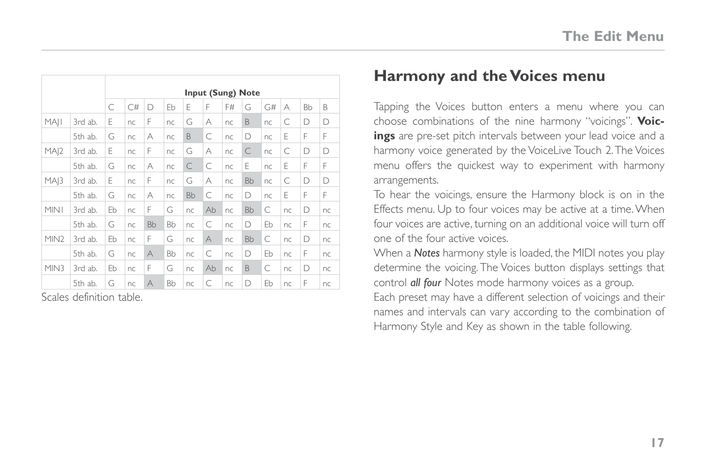<span id="page-22-0"></span>

|                  |         | Input (Sung) Note |    |           |    |           |          |    |           |    |    |           |    |
|------------------|---------|-------------------|----|-----------|----|-----------|----------|----|-----------|----|----|-----------|----|
|                  |         | C                 | C# | D         | Eb | F         | F        | F# | G         | G# | А  | <b>Bb</b> | B  |
| MAII             | 3rd ab. | F                 | nc | F         | nc | G         | А        | nc | B         | nc | C  | D         | D  |
|                  | 5th ab. | G                 | nc | А         | nc | B         | C        | nc | D         | nc | F  | F         | F  |
| MAI2             | 3rd ab. | F                 | nc | F         | nc | G         | А        | nc | C         | nc | C  | D         | D  |
|                  | 5th ab. | G                 | nc | А         | nc | C         | C        | nc | F         | nc | F  | F         | F  |
| MA 3             | 3rd ab. | F                 | nc | F         | nc | G         | А        | nc | <b>Bb</b> | nc | C  | D         | D  |
|                  | 5th ab. | G                 | nc | А         | nc | <b>Bb</b> | C        | nc | D         | nc | F  | F         | F  |
| MIN1             | 3rd ab. | Eb                | nc | F         | G  | nc        | Ab       | nc | <b>Bb</b> | C  | nc | D         | nc |
|                  | 5th ab. | G                 | nc | <b>Bb</b> | Bb | nc        | C        | nc | D         | Eb | nc | F         | nc |
| MIN <sub>2</sub> | 3rd ab. | Eb                | nc | F         | G  | nc        | $\wedge$ | nc | <b>Bb</b> | C  | nc | D         | nc |
|                  | 5th ab. | G                 | nc | $\forall$ | Bb | nc        | C        | nc | D         | Eb | nc | F         | nc |
| MIN3             | 3rd ab. | Eb                | nc | F         | G  | nc        | Ab       | nc | B         | C  | nc | D         | nc |
|                  | 5th ab. | G                 | nc | A         | Bb | nc        | C        | nc | D         | Eb | nc | F         | nc |

Scales definition table.

## **Harmony and the Voices menu**

Tapping the Voices button enters a menu where you can choose combinations of the nine harmony "voicings". **Voicings** are pre-set pitch intervals between your lead voice and a harmony voice generated by the VoiceLive Touch 2. The Voices menu offers the quickest way to experiment with harmony arrangements.

To hear the voicings, ensure the Harmony block is on in the Effects menu. Up to four voices may be active at a time. When four voices are active, turning on an additional voice will turn off one of the four active voices.

When a *Notes* harmony style is loaded, the MIDI notes you play determine the voicing. The Voices button displays settings that control *all four* Notes mode harmony voices as a group. Each preset may have a different selection of voicings and their names and intervals can vary according to the combination of Harmony Style and Key as shown in the table following.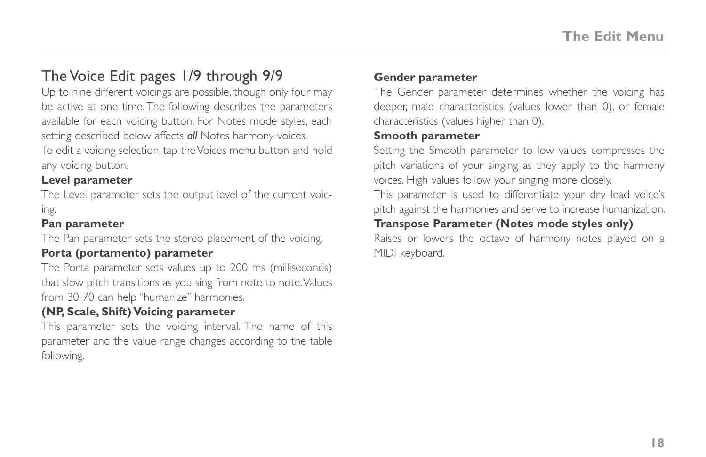## <span id="page-23-0"></span>The Voice Edit pages 1/9 through 9/9

Up to nine different voicings are possible, though only four may be active at one time. The following describes the parameters available for each voicing button. For Notes mode styles, each setting described below affects *all* Notes harmony voices.

To edit a voicing selection, tap the Voices menu button and hold any voicing button.

#### **Level parameter**

The Level parameter sets the output level of the current voicing.

#### **Pan parameter**

The Pan parameter sets the stereo placement of the voicing.

#### **Porta (portamento) parameter**

The Porta parameter sets values up to 200 ms (milliseconds) that slow pitch transitions as you sing from note to note. Values from 30-70 can help "humanize" harmonies.

#### **(NP, Scale, Shift) Voicing parameter**

This parameter sets the voicing interval. The name of this parameter and the value range changes according to the table following.

#### **Gender parameter**

The Gender parameter determines whether the voicing has deeper, male characteristics (values lower than 0), or female characteristics (values higher than 0).

#### **Smooth parameter**

Setting the Smooth parameter to low values compresses the pitch variations of your singing as they apply to the harmony voices. High values follow your singing more closely.

This parameter is used to differentiate your dry lead voice's pitch against the harmonies and serve to increase humanization.

#### **Transpose Parameter (Notes mode styles only)**

Raises or lowers the octave of harmony notes played on a MIDI keyboard.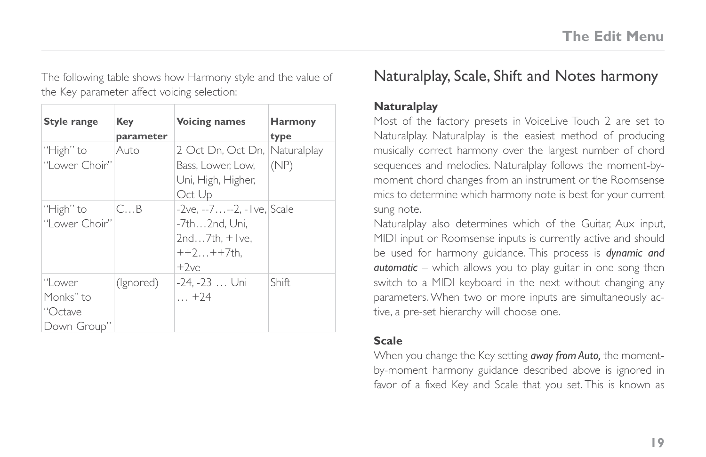<span id="page-24-0"></span>The following table shows how Harmony style and the value of the Key parameter affect voicing selection:

| Style range                                    | Key<br>parameter          | <b>Voicing names</b>                                                                     | <b>Harmony</b><br>type |
|------------------------------------------------|---------------------------|------------------------------------------------------------------------------------------|------------------------|
| "High" to<br>"I ower Choir"                    | Auto                      | 2 Oct Dn, Oct Dn, Naturalplay<br>Bass. Lower: Low.<br>Uni, High, Higher,<br>Oct Up       | (NP)                   |
| "High" to<br>"I ower Choir"                    | $C_{\cdot\cdot\cdot}$ . B | -2ve. --7--2. - I ve. Scale<br>-7th2nd, Uni,<br>$2nd7th.+ ve.$<br>$++2++7$ th.<br>$+2ve$ |                        |
| "Lower<br>Monks'' to<br>"Octave<br>Down Group" | (Ignored)                 | -24, -23  Uni<br>$\ldots$ +24                                                            | <b>Shift</b>           |

## Naturalplay, Scale, Shift and Notes harmony

#### **Naturalplay**

Most of the factory presets in VoiceLive Touch 2 are set to Naturalplay. Naturalplay is the easiest method of producing musically correct harmony over the largest number of chord sequences and melodies. Naturalplay follows the moment-bymoment chord changes from an instrument or the Roomsense mics to determine which harmony note is best for your current sung note.

Naturalplay also determines which of the Guitar, Aux input, MIDI input or Roomsense inputs is currently active and should be used for harmony guidance. This process is *dynamic and automatic* – which allows you to play guitar in one song then switch to a MIDI keyboard in the next without changing any parameters. When two or more inputs are simultaneously active, a pre-set hierarchy will choose one.

#### **Scale**

When you change the Key setting *away from Auto,* the momentby-moment harmony guidance described above is ignored in favor of a fixed Key and Scale that you set. This is known as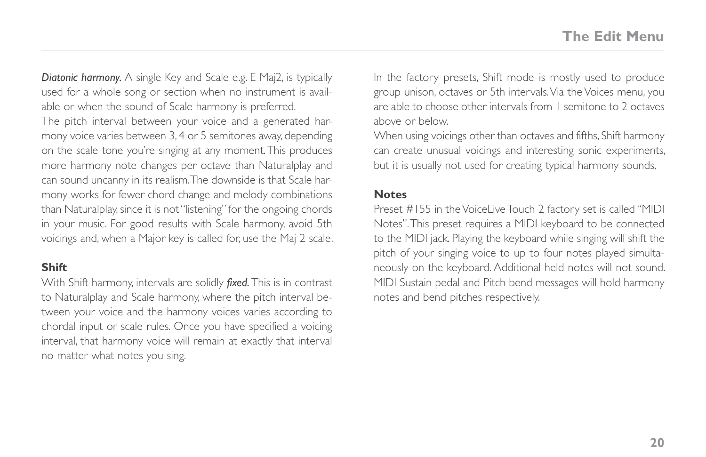*Diatonic harmony.* A single Key and Scale e.g. E Maj2, is typically used for a whole song or section when no instrument is available or when the sound of Scale harmony is preferred.

The pitch interval between your voice and a generated harmony voice varies between 3, 4 or 5 semitones away, depending on the scale tone you're singing at any moment. This produces more harmony note changes per octave than Naturalplay and can sound uncanny in its realism. The downside is that Scale harmony works for fewer chord change and melody combinations than Naturalplay, since it is not "listening" for the ongoing chords in your music. For good results with Scale harmony, avoid 5th voicings and, when a Major key is called for, use the Maj 2 scale.

#### **Shift**

With Shift harmony, intervals are solidly *fixed.* This is in contrast to Naturalplay and Scale harmony, where the pitch interval between your voice and the harmony voices varies according to chordal input or scale rules. Once you have specified a voicing interval, that harmony voice will remain at exactly that interval no matter what notes you sing.

In the factory presets, Shift mode is mostly used to produce group unison, octaves or 5th intervals. Via the Voices menu, you are able to choose other intervals from 1 semitone to 2 octaves above or below.

When using voicings other than octaves and fifths, Shift harmony can create unusual voicings and interesting sonic experiments, but it is usually not used for creating typical harmony sounds.

#### **Notes**

Preset #155 in the VoiceLive Touch 2 factory set is called "MIDI Notes". This preset requires a MIDI keyboard to be connected to the MIDI jack. Playing the keyboard while singing will shift the pitch of your singing voice to up to four notes played simultaneously on the keyboard. Additional held notes will not sound. MIDI Sustain pedal and Pitch bend messages will hold harmony notes and bend pitches respectively.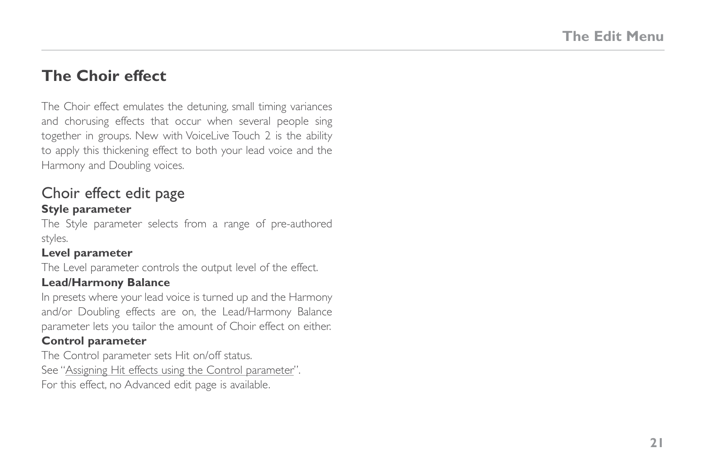## <span id="page-26-0"></span>**The Choir effect**

The Choir effect emulates the detuning, small timing variances and chorusing effects that occur when several people sing together in groups. New with VoiceLive Touch 2 is the ability to apply this thickening effect to both your lead voice and the Harmony and Doubling voices.

#### Choir effect edit page **Style parameter**

The Style parameter selects from a range of pre-authored styles.

#### **Level parameter**

The Level parameter controls the output level of the effect.

#### **Lead/Harmony Balance**

In presets where your lead voice is turned up and the Harmony and/or Doubling effects are on, the Lead/Harmony Balance parameter lets you tailor the amount of Choir effect on either.

#### **Control parameter**

The Control parameter sets Hit on/off status. See "[Assigning Hit effects using the Control parameter"](#page-35-1). For this effect, no Advanced edit page is available.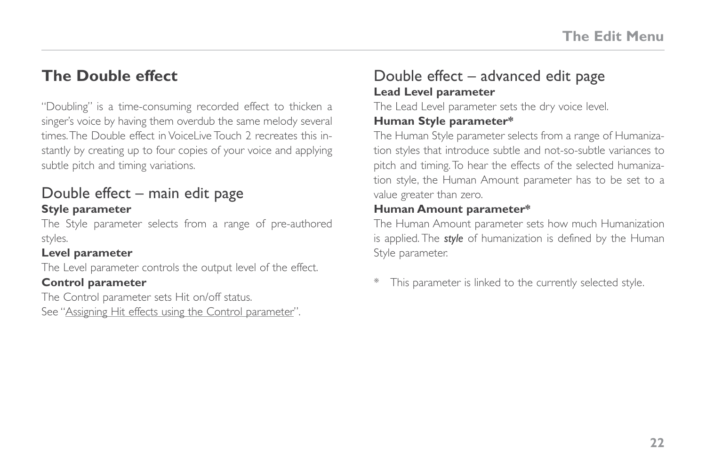## <span id="page-27-0"></span>**The Double effect**

"Doubling" is a time-consuming recorded effect to thicken a singer's voice by having them overdub the same melody several times. The Double effect in VoiceLive Touch 2 recreates this instantly by creating up to four copies of your voice and applying subtle pitch and timing variations.

#### Double effect – main edit page **Style parameter**

The Style parameter selects from a range of pre-authored styles.

#### **Level parameter**

The Level parameter controls the output level of the effect.

#### **Control parameter**

The Control parameter sets Hit on/off status. See "[Assigning Hit effects using the Control parameter"](#page-35-1).

## Double effect – advanced edit page **Lead Level parameter**

The Lead Level parameter sets the dry voice level.

#### **Human Style parameter\***

The Human Style parameter selects from a range of Humanization styles that introduce subtle and not-so-subtle variances to pitch and timing. To hear the effects of the selected humanization style, the Human Amount parameter has to be set to a value greater than zero.

#### **Human Amount parameter\***

The Human Amount parameter sets how much Humanization is applied. The *style* of humanization is defined by the Human Style parameter.

This parameter is linked to the currently selected style.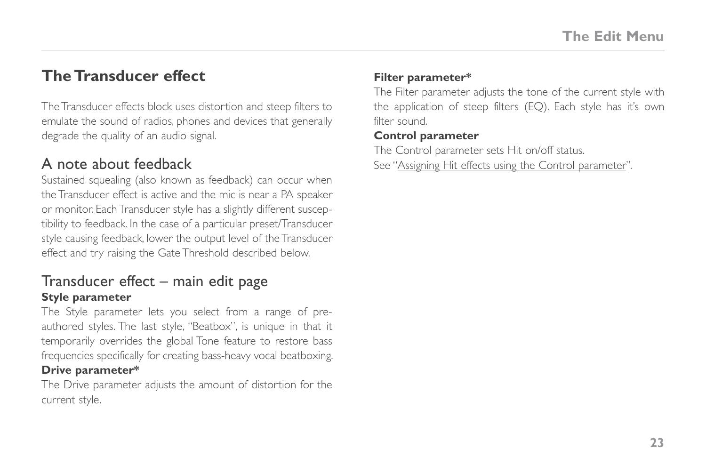## <span id="page-28-0"></span>**The Transducer effect**

The Transducer effects block uses distortion and steep filters to emulate the sound of radios, phones and devices that generally degrade the quality of an audio signal.

## A note about feedback

Sustained squealing (also known as feedback) can occur when the Transducer effect is active and the mic is near a PA speaker or monitor. Each Transducer style has a slightly different susceptibility to feedback. In the case of a particular preset/Transducer style causing feedback, lower the output level of the Transducer effect and try raising the Gate Threshold described below.

#### Transducer effect – main edit page **Style parameter**

The Style parameter lets you select from a range of preauthored styles. The last style, "Beatbox", is unique in that it temporarily overrides the global Tone feature to restore bass frequencies specifically for creating bass-heavy vocal beatboxing.

#### **Drive parameter\***

The Drive parameter adjusts the amount of distortion for the current style.

#### **Filter parameter\***

The Filter parameter adjusts the tone of the current style with the application of steep filters (EQ). Each style has it's own filter sound.

#### **Control parameter**

The Control parameter sets Hit on/off status. See ["Assigning Hit effects using the Control parameter](#page-35-1)".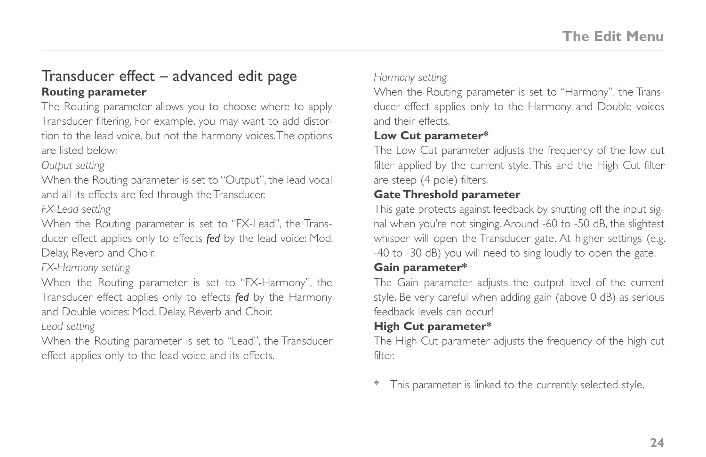### <span id="page-29-0"></span>Transducer effect – advanced edit page **Routing parameter**

The Routing parameter allows you to choose where to apply Transducer filtering. For example, you may want to add distortion to the lead voice, but not the harmony voices. The options are listed below:

*Output setting*

When the Routing parameter is set to "Output", the lead vocal and all its effects are fed through the Transducer.

*FX-Lead setting*

When the Routing parameter is set to "FX-Lead", the Transducer effect applies only to effects *fed* by the lead voice: Mod, Delay, Reverb and Choir.

*FX-Harmony setting*

When the Routing parameter is set to "FX-Harmony", the Transducer effect applies only to effects *fed* by the Harmony and Double voices: Mod, Delay, Reverb and Choir.

*Lead setting*

When the Routing parameter is set to "Lead", the Transducer effect applies only to the lead voice and its effects.

*Harmony setting*

When the Routing parameter is set to "Harmony", the Transducer effect applies only to the Harmony and Double voices and their effects.

#### **Low Cut parameter\***

The Low Cut parameter adjusts the frequency of the low cut filter applied by the current style. This and the High Cut filter are steep (4 pole) filters.

#### **Gate Threshold parameter**

This gate protects against feedback by shutting off the input signal when you're not singing. Around -60 to -50 dB, the slightest whisper will open the Transducer gate. At higher settings (e.g. -40 to -30 dB) you will need to sing loudly to open the gate.

#### **Gain parameter\***

The Gain parameter adjusts the output level of the current style. Be very careful when adding gain (above 0 dB) as serious feedback levels can occur!

#### **High Cut parameter\***

The High Cut parameter adjusts the frequency of the high cut filter.

\* This parameter is linked to the currently selected style.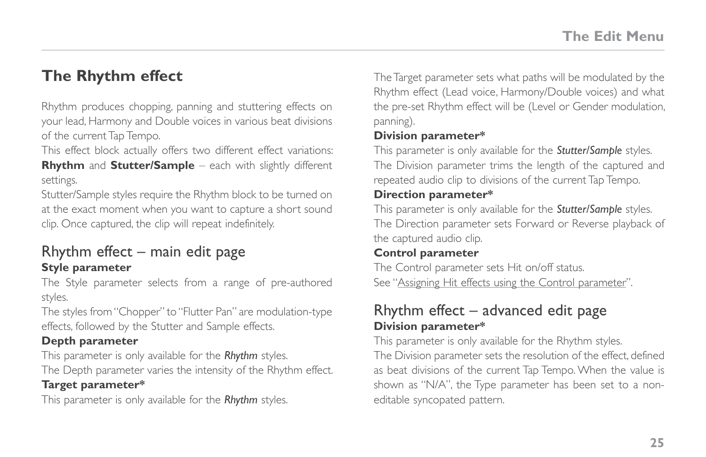## <span id="page-30-0"></span>**The Rhythm effect**

Rhythm produces chopping, panning and stuttering effects on your lead, Harmony and Double voices in various beat divisions of the current Tap Tempo.

This effect block actually offers two different effect variations: **Rhythm** and **Stutter/Sample** – each with slightly different settings.

Stutter/Sample styles require the Rhythm block to be turned on at the exact moment when you want to capture a short sound clip. Once captured, the clip will repeat indefinitely.

#### Rhythm effect  $-$  main edit page **Style parameter**

The Style parameter selects from a range of pre-authored styles.

The styles from "Chopper" to "Flutter Pan" are modulation-type effects, followed by the Stutter and Sample effects.

#### **Depth parameter**

This parameter is only available for the *Rhythm* styles.

The Depth parameter varies the intensity of the Rhythm effect.

#### **Target parameter\***

This parameter is only available for the *Rhythm* styles.

The Target parameter sets what paths will be modulated by the Rhythm effect (Lead voice, Harmony/Double voices) and what the pre-set Rhythm effect will be (Level or Gender modulation, panning).

#### **Division parameter\***

This parameter is only available for the *Stutter/Sample* styles. The Division parameter trims the length of the captured and repeated audio clip to divisions of the current Tap Tempo.

#### **Direction parameter\***

This parameter is only available for the *Stutter/Sample* styles. The Direction parameter sets Forward or Reverse playback of the captured audio clip.

#### **Control parameter**

The Control parameter sets Hit on/off status. See ["Assigning Hit effects using the Control parameter](#page-35-1)".

## Rhythm effect – advanced edit page **Division parameter\***

This parameter is only available for the Rhythm styles.

The Division parameter sets the resolution of the effect, defined as beat divisions of the current Tap Tempo. When the value is shown as "N/A", the Type parameter has been set to a noneditable syncopated pattern.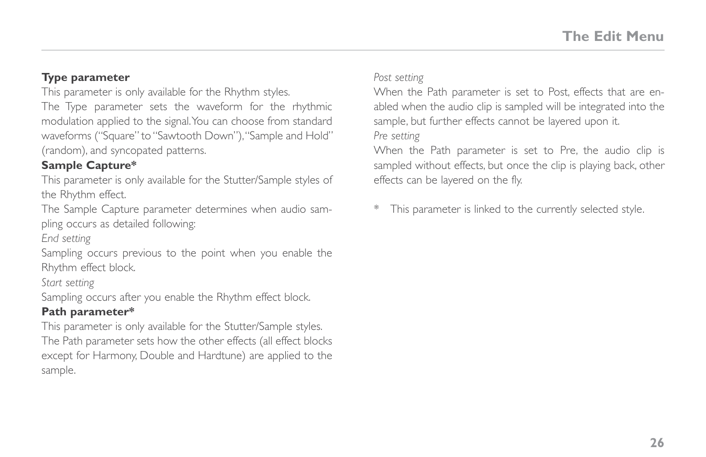#### **Type parameter**

This parameter is only available for the Rhythm styles.

The Type parameter sets the waveform for the rhythmic modulation applied to the signal. You can choose from standard waveforms ("Square" to "Sawtooth Down"), "Sample and Hold" (random), and syncopated patterns.

#### **Sample Capture\***

This parameter is only available for the Stutter/Sample styles of the Rhythm effect.

The Sample Capture parameter determines when audio sampling occurs as detailed following:

*End setting*

Sampling occurs previous to the point when you enable the Rhythm effect block.

*Start setting*

Sampling occurs after you enable the Rhythm effect block.

#### **Path parameter\***

This parameter is only available for the Stutter/Sample styles. The Path parameter sets how the other effects (all effect blocks except for Harmony, Double and Hardtune) are applied to the sample.

*Post setting*

When the Path parameter is set to Post, effects that are enabled when the audio clip is sampled will be integrated into the sample, but further effects cannot be layered upon it. *Pre setting*

When the Path parameter is set to Pre, the audio clip is sampled without effects, but once the clip is playing back, other effects can be layered on the fly.

This parameter is linked to the currently selected style.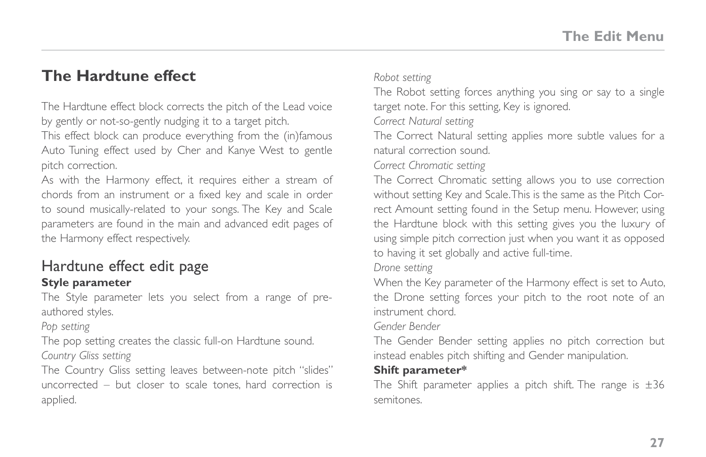## <span id="page-32-0"></span>**The Hardtune effect**

The Hardtune effect block corrects the pitch of the Lead voice by gently or not-so-gently nudging it to a target pitch.

This effect block can produce everything from the (in)famous Auto Tuning effect used by Cher and Kanye West to gentle pitch correction.

As with the Harmony effect, it requires either a stream of chords from an instrument or a fixed key and scale in order to sound musically-related to your songs. The Key and Scale parameters are found in the main and advanced edit pages of the Harmony effect respectively.

## Hardtune effect edit page

#### **Style parameter**

The Style parameter lets you select from a range of preauthored styles.

*Pop setting*

The pop setting creates the classic full-on Hardtune sound. *Country Gliss setting*

The Country Gliss setting leaves between-note pitch "slides" uncorrected – but closer to scale tones, hard correction is applied.

*Robot setting*

The Robot setting forces anything you sing or say to a single target note. For this setting, Key is ignored.

*Correct Natural setting*

The Correct Natural setting applies more subtle values for a natural correction sound.

*Correct Chromatic setting*

The Correct Chromatic setting allows you to use correction without setting Key and Scale. This is the same as the Pitch Correct Amount setting found in the Setup menu. However, using the Hardtune block with this setting gives you the luxury of using simple pitch correction just when you want it as opposed to having it set globally and active full-time.

*Drone setting*

When the Key parameter of the Harmony effect is set to Auto, the Drone setting forces your pitch to the root note of an instrument chord.

*Gender Bender*

The Gender Bender setting applies no pitch correction but instead enables pitch shifting and Gender manipulation.

#### **Shift parameter\***

The Shift parameter applies a pitch shift. The range is  $\pm 36$ semitones.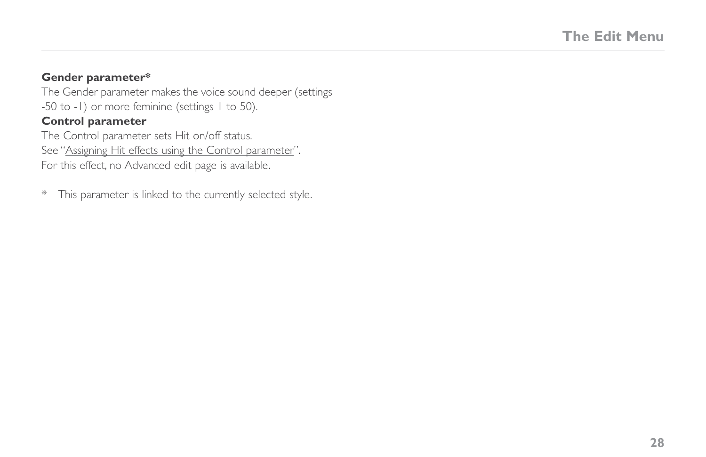#### **Gender parameter\***

The Gender parameter makes the voice sound deeper (settings -50 to -1) or more feminine (settings 1 to 50). **Control parameter**

The Control parameter sets Hit on/off status. See "[Assigning Hit effects using the Control parameter"](#page-35-1). For this effect, no Advanced edit page is available.

\* This parameter is linked to the currently selected style.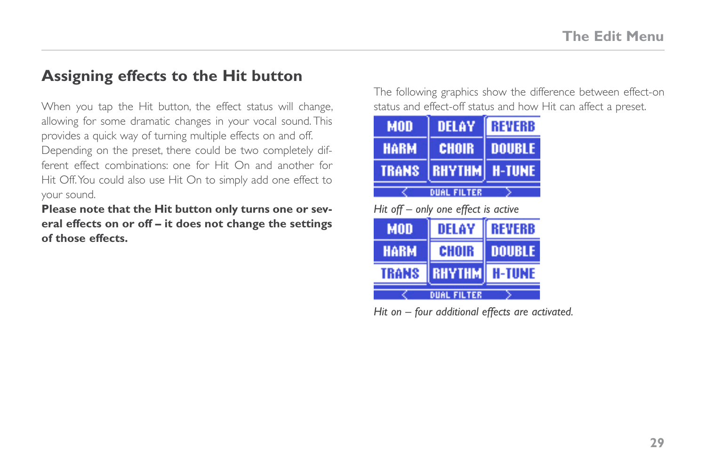## <span id="page-34-0"></span>**Assigning effects to the Hit button**

When you tap the Hit button, the effect status will change, allowing for some dramatic changes in your vocal sound. This provides a quick way of turning multiple effects on and off. Depending on the preset, there could be two completely different effect combinations: one for Hit On and another for Hit Off. You could also use Hit On to simply add one effect to your sound.

**Please note that the Hit button only turns one or several effects on or off – it does not change the settings of those effects.**

The following graphics show the difference between effect-on status and effect-off status and how Hit can affect a preset.

| MOD                | <b>DELAY</b>         | <b>REVERB</b> |  |
|--------------------|----------------------|---------------|--|
| <b>HARM</b>        | <b>CHOIR</b>         | <b>DOUBLE</b> |  |
| <b>TRANS</b>       | <b>RHYTHM</b> H-TUNE |               |  |
| <b>DUAL FILTER</b> |                      |               |  |

*Hit off – only one effect is active*

| <b>MOD</b>         | DELAY         | <b>REVERB</b> |
|--------------------|---------------|---------------|
| <b>HARM</b>        | CHOIR         | <b>DOUBLE</b> |
| <b>TRANS</b>       | <b>RHYTHM</b> | <b>H-TUNE</b> |
| <b>DUAL FILTER</b> |               |               |

*Hit on – four additional effects are activated.*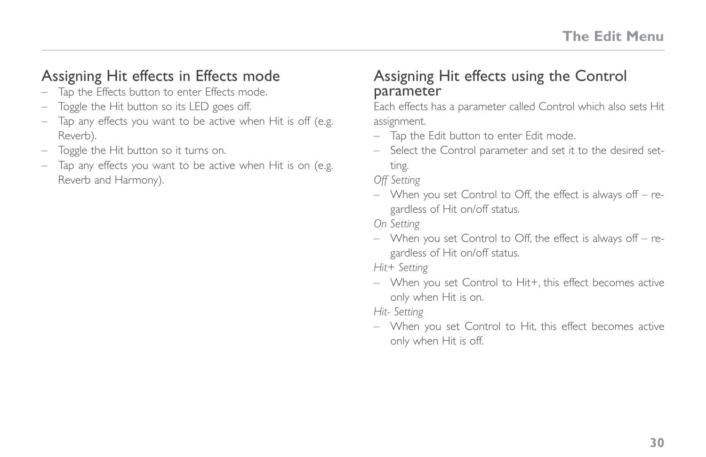## <span id="page-35-0"></span>Assigning Hit effects in Effects mode

- Tap the Effects button to enter Effects mode.
- Toggle the Hit button so its LED goes off.
- Tap any effects you want to be active when Hit is off (e.g. Reverb).
- Toggle the Hit button so it turns on.
- Tap any effects you want to be active when Hit is on (e.g. Reverb and Harmony).

## <span id="page-35-1"></span>Assigning Hit effects using the Control parameter

Each effects has a parameter called Control which also sets Hit assignment.

- Tap the Edit button to enter Edit mode.
- Select the Control parameter and set it to the desired setting.

*Off Setting*

– When you set Control to Off, the effect is always off – regardless of Hit on/off status.

*On Setting*

– When you set Control to Off, the effect is always off – regardless of Hit on/off status.

*Hit+ Setting*

– When you set Control to Hit+, this effect becomes active only when Hit is on.

*Hit- Setting*

– When you set Control to Hit, this effect becomes active only when Hit is off.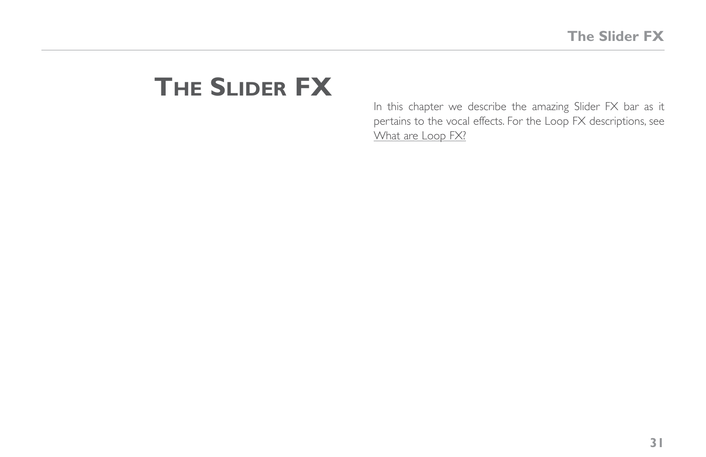# **The Slider FX**

In this chapter we describe the amazing Slider FX bar as it pertains to the vocal effects. For the Loop FX descriptions, see [What are Loop FX?](#page-54-0)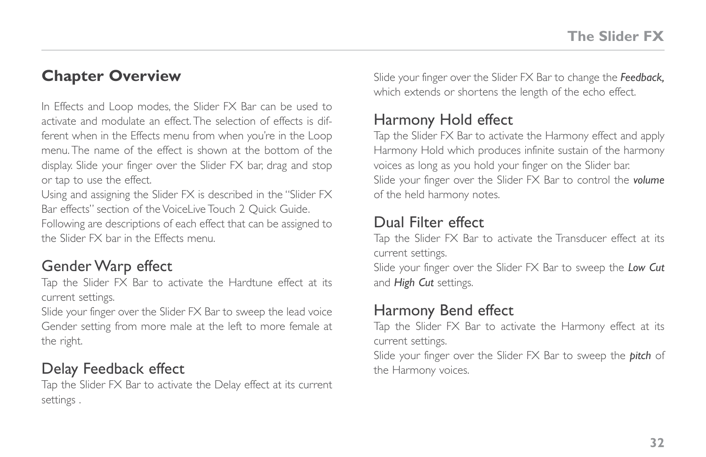### **Chapter Overview**

In Effects and Loop modes, the Slider FX Bar can be used to activate and modulate an effect. The selection of effects is different when in the Effects menu from when you're in the Loop menu. The name of the effect is shown at the bottom of the display. Slide your finger over the Slider FX bar, drag and stop or tap to use the effect.

Using and assigning the Slider FX is described in the "Slider FX Bar effects" section of the VoiceLive Touch 2 Quick Guide.

Following are descriptions of each effect that can be assigned to the Slider FX bar in the Effects menu.

### Gender Warp effect

Tap the Slider FX Bar to activate the Hardtune effect at its current settings.

Slide your finger over the Slider FX Bar to sweep the lead voice Gender setting from more male at the left to more female at the right.

### Delay Feedback effect

Tap the Slider FX Bar to activate the Delay effect at its current settings .

Slide your finger over the Slider FX Bar to change the *Feedback,* which extends or shortens the length of the echo effect.

### Harmony Hold effect

Tap the Slider FX Bar to activate the Harmony effect and apply Harmony Hold which produces infinite sustain of the harmony voices as long as you hold your finger on the Slider bar. Slide your finger over the Slider FX Bar to control the *volume* of the held harmony notes.

### Dual Filter effect

Tap the Slider FX Bar to activate the Transducer effect at its current settings.

Slide your finger over the Slider FX Bar to sweep the *Low Cut* and *High Cut* settings.

### Harmony Bend effect

Tap the Slider FX Bar to activate the Harmony effect at its current settings.

Slide your finger over the Slider FX Bar to sweep the *pitch* of the Harmony voices.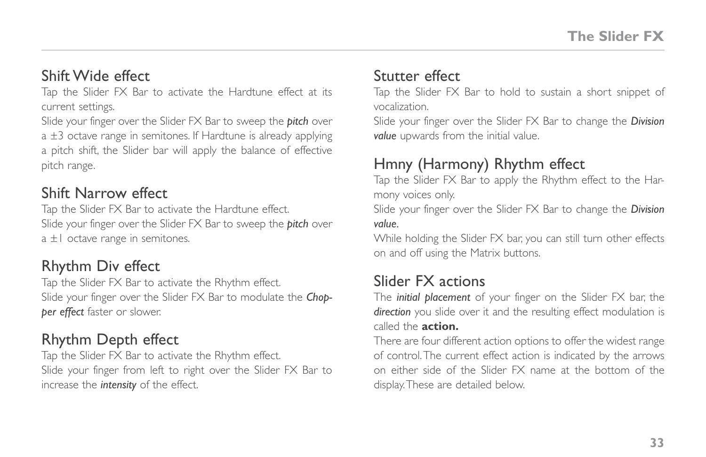#### Shift Wide effect

Tap the Slider FX Bar to activate the Hardtune effect at its current settings.

Slide your finger over the Slider FX Bar to sweep the *pitch* over a ±3 octave range in semitones. If Hardtune is already applying a pitch shift, the Slider bar will apply the balance of effective pitch range.

#### Shift Narrow effect

Tap the Slider FX Bar to activate the Hardtune effect. Slide your finger over the Slider FX Bar to sweep the *pitch* over  $a \pm 1$  octave range in semitones.

#### Rhythm Div effect

Tap the Slider FX Bar to activate the Rhythm effect. Slide your finger over the Slider FX Bar to modulate the *Chopper effect* faster or slower.

#### Rhythm Depth effect

Tap the Slider FX Bar to activate the Rhythm effect. Slide your finger from left to right over the Slider FX Bar to increase the *intensity* of the effect.

#### Stutter effect

Tap the Slider FX Bar to hold to sustain a short snippet of vocalization.

Slide your finger over the Slider FX Bar to change the *Division value* upwards from the initial value.

#### Hmny (Harmony) Rhythm effect

Tap the Slider FX Bar to apply the Rhythm effect to the Harmony voices only.

Slide your finger over the Slider FX Bar to change the *Division value.*

While holding the Slider FX bar, you can still turn other effects on and off using the Matrix buttons.

#### Slider FX actions

The *initial placement* of your finger on the Slider FX bar, the *direction* you slide over it and the resulting effect modulation is called the **action.**

There are four different action options to offer the widest range of control. The current effect action is indicated by the arrows on either side of the Slider FX name at the bottom of the display. These are detailed below.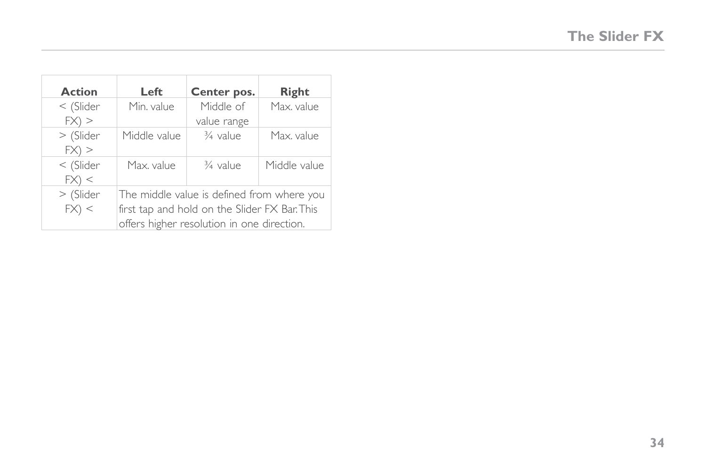| <b>Action</b>           | Left                                                                                                                                      | Center pos.              | Right        |
|-------------------------|-------------------------------------------------------------------------------------------------------------------------------------------|--------------------------|--------------|
| $<$ (Slider)<br>$FX)$ > | Min. value                                                                                                                                | Middle of<br>value range | Max. value   |
| > (Slider<br>$FX)$ >    | Middle value                                                                                                                              | 3/ <sub>4</sub> value    | Max. value   |
| $<$ (Slider<br>FX) <    | Max. value                                                                                                                                | $\frac{3}{4}$ value      | Middle value |
| > (Slider<br>FX) <      | The middle value is defined from where you<br>first tap and hold on the Slider FX Bar. This<br>offers higher resolution in one direction. |                          |              |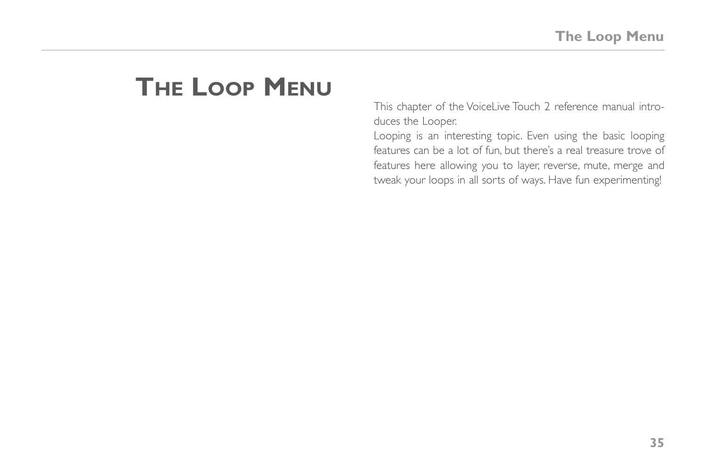# **The Loop Menu**

This chapter of the VoiceLive Touch 2 reference manual introduces the Looper.

Looping is an interesting topic. Even using the basic looping features can be a lot of fun, but there's a real treasure trove of features here allowing you to layer, reverse, mute, merge and tweak your loops in all sorts of ways. Have fun experimenting!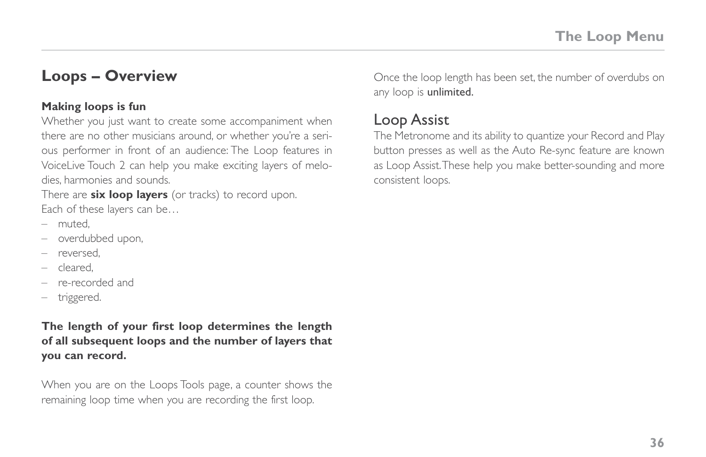### **Loops – Overview**

#### **Making loops is fun**

Whether you just want to create some accompaniment when there are no other musicians around, or whether you're a serious performer in front of an audience: The Loop features in VoiceLive Touch 2 can help you make exciting layers of melodies, harmonies and sounds.

There are **six loop layers** (or tracks) to record upon. Each of these layers can be…

- muted,
- overdubbed upon,
- reversed,
- cleared,
- re-recorded and
- triggered.

**The length of your first loop determines the length of all subsequent loops and the number of layers that you can record.**

When you are on the Loops Tools page, a counter shows the remaining loop time when you are recording the first loop.

Once the loop length has been set, the number of overdubs on any loop is unlimited.

#### Loop Assist

The Metronome and its ability to quantize your Record and Play button presses as well as the Auto Re-sync feature are known as Loop Assist. These help you make better-sounding and more consistent loops.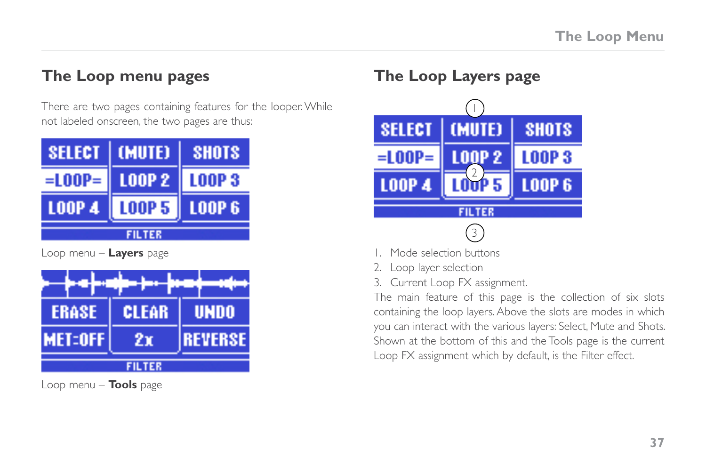### **The Loop menu pages**

There are two pages containing features for the looper. While not labeled onscreen, the two pages are thus:

| <b>SELECT</b>                  | <b>(MUTE)</b> | <b>SHOTS</b>   |  |  |
|--------------------------------|---------------|----------------|--|--|
| $=$ LOOP $=$                   | <b>LOOP 2</b> | <b>LOOP 3</b>  |  |  |
| <b>LOOP 4</b>                  | <b>LOOP 5</b> | <b>LOOP 6</b>  |  |  |
| <b>FILTER</b>                  |               |                |  |  |
| Loop menu – <b>Layers</b> page |               |                |  |  |
|                                |               |                |  |  |
| <b>ERASE</b>                   | <b>CLEAR</b>  | <b>UNDO</b>    |  |  |
| <b>MET:OFF</b>                 | 7 т           | <b>REVERSE</b> |  |  |

**FILTER** 

Loop menu – **Tools** page

### **The Loop Layers page**



- 1. Mode selection buttons
- 2. Loop layer selection
- 3. Current Loop FX assignment.

The main feature of this page is the collection of six slots containing the loop layers. Above the slots are modes in which you can interact with the various layers: Select, Mute and Shots. Shown at the bottom of this and the Tools page is the current Loop FX assignment which by default, is the Filter effect.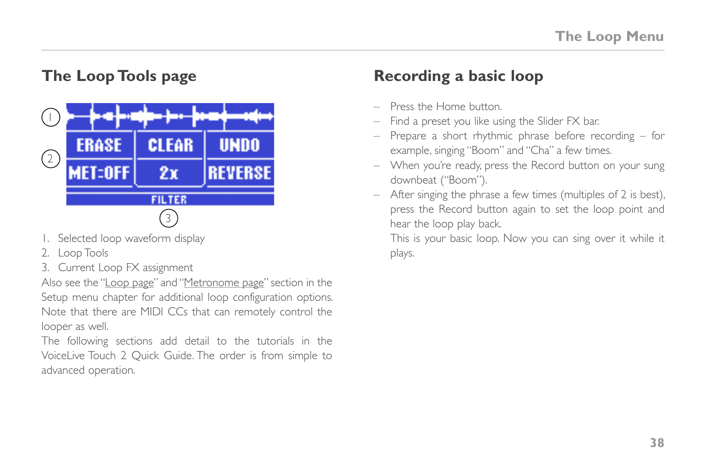# **The Loop Tools page**



- 1. Selected loop waveform display
- 2. Loop Tools
- 3. Current Loop FX assignment

Also see the "[Loop page](#page-69-0)" and "[Metronome page](#page-71-0)" section in the Setup menu chapter for additional loop configuration options. Note that there are MIDI CCs that can remotely control the looper as well.

The following sections add detail to the tutorials in the VoiceLive Touch 2 Quick Guide. The order is from simple to advanced operation.

### **Recording a basic loop**

- Press the Home button.
- Find a preset you like using the Slider FX bar.
- Prepare a short rhythmic phrase before recording for example, singing "Boom" and "Cha" a few times.
- When you're ready, press the Record button on your sung downbeat ("Boom").
- After singing the phrase a few times (multiples of 2 is best), press the Record button again to set the loop point and hear the loop play back.

This is your basic loop. Now you can sing over it while it plays.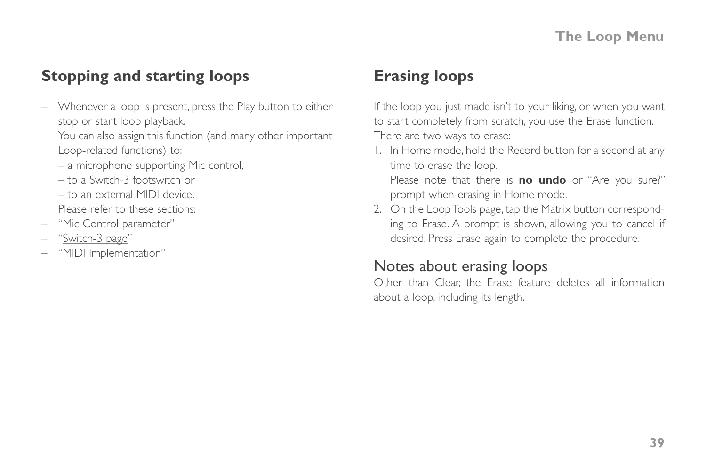### **Stopping and starting loops**

– Whenever a loop is present, press the Play button to either stop or start loop playback.

You can also assign this function (and many other important Loop-related functions) to:

- a microphone supporting Mic control,
- to a Switch-3 footswitch or
- to an external MIDI device.

Please refer to these sections:

- "[Mic Control parameter](#page-61-0)"
- "[Switch-3 page](#page-75-0)"
- "[MIDI Implementation"](#page-82-0)

# <span id="page-44-0"></span>**Erasing loops**

If the loop you just made isn't to your liking, or when you want to start completely from scratch, you use the Erase function. There are two ways to erase:

- 1. In Home mode, hold the Record button for a second at any time to erase the loop. Please note that there is **no undo** or "Are you sure?" prompt when erasing in Home mode.
- 2. On the Loop Tools page, tap the Matrix button corresponding to Erase. A prompt is shown, allowing you to cancel if desired. Press Erase again to complete the procedure.

### Notes about erasing loops

Other than Clear, the Erase feature deletes all information about a loop, including its length.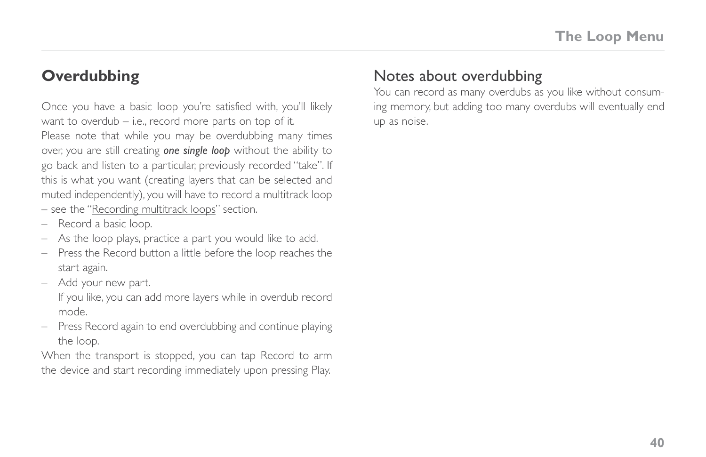### <span id="page-45-0"></span>**Overdubbing**

Once you have a basic loop you're satisfied with, you'll likely want to overdub – i.e., record more parts on top of it. Please note that while you may be overdubbing many times over, you are still creating *one single loop* without the ability to go back and listen to a particular, previously recorded "take". If this is what you want (creating layers that can be selected and muted independently), you will have to record a multitrack loop – see the "[Recording multitrack loops](#page-50-0)" section.

- Record a basic loop.
- As the loop plays, practice a part you would like to add.
- Press the Record button a little before the loop reaches the start again.
- Add your new part.

If you like, you can add more layers while in overdub record mode.

– Press Record again to end overdubbing and continue playing the loop.

When the transport is stopped, you can tap Record to arm the device and start recording immediately upon pressing Play.

### Notes about overdubbing

You can record as many overdubs as you like without consuming memory, but adding too many overdubs will eventually end up as noise.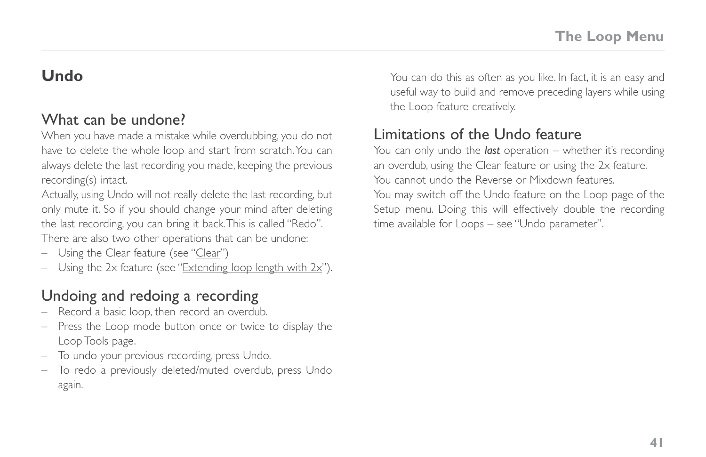### <span id="page-46-0"></span>**Undo**

#### What can be undone?

When you have made a mistake while overdubbing, you do not have to delete the whole loop and start from scratch. You can always delete the last recording you made, keeping the previous recording(s) intact.

Actually, using Undo will not really delete the last recording, but only mute it. So if you should change your mind after deleting the last recording, you can bring it back. This is called "Redo". There are also two other operations that can be undone:

- Using the Clear feature (see "[Clear](#page-48-0)")
- Using the 2x feature (see "[Extending loop length with 2x"](#page-47-0)).

### Undoing and redoing a recording

- Record a basic loop, then record an overdub.
- Press the Loop mode button once or twice to display the Loop Tools page.
- To undo your previous recording, press Undo.
- To redo a previously deleted/muted overdub, press Undo again.

You can do this as often as you like. In fact, it is an easy and useful way to build and remove preceding layers while using the Loop feature creatively.

### Limitations of the Undo feature

You can only undo the *last* operation – whether it's recording an overdub, using the Clear feature or using the 2x feature. You cannot undo the Reverse or Mixdown features.

You may switch off the Undo feature on the Loop page of the Setup menu. Doing this will effectively double the recording time available for Loops – see "[Undo parameter"](#page-69-1).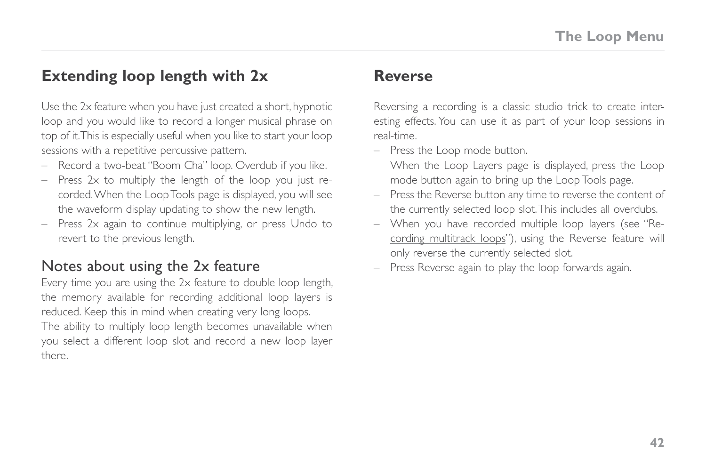### <span id="page-47-0"></span>**Extending loop length with 2x**

Use the 2x feature when you have just created a short, hypnotic loop and you would like to record a longer musical phrase on top of it. This is especially useful when you like to start your loop sessions with a repetitive percussive pattern.

- Record a two-beat "Boom Cha" loop. Overdub if you like.
- Press 2x to multiply the length of the loop you just recorded. When the Loop Tools page is displayed, you will see the waveform display updating to show the new length.
- Press 2x again to continue multiplying, or press Undo to revert to the previous length.

#### Notes about using the 2x feature

Every time you are using the 2x feature to double loop length, the memory available for recording additional loop layers is reduced. Keep this in mind when creating very long loops. The ability to multiply loop length becomes unavailable when you select a different loop slot and record a new loop layer there.

#### **Reverse**

Reversing a recording is a classic studio trick to create interesting effects. You can use it as part of your loop sessions in real-time.

– Press the Loop mode button.

When the Loop Layers page is displayed, press the Loop mode button again to bring up the Loop Tools page.

- Press the Reverse button any time to reverse the content of the currently selected loop slot. This includes all overdubs.
- When you have recorded multiple loop layers (see "[Re](#page-50-0)[cording multitrack loops](#page-50-0)"), using the Reverse feature will only reverse the currently selected slot.
- Press Reverse again to play the loop forwards again.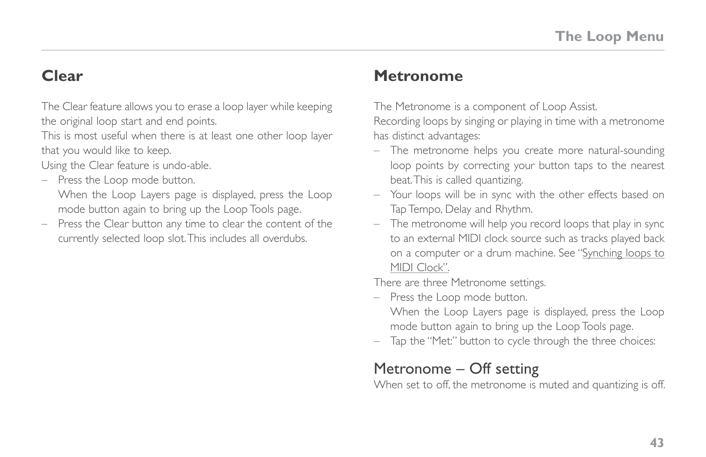### <span id="page-48-0"></span>**Clear**

The Clear feature allows you to erase a loop layer while keeping the original loop start and end points.

This is most useful when there is at least one other loop layer that you would like to keep.

Using the Clear feature is undo-able.

– Press the Loop mode button.

When the Loop Layers page is displayed, press the Loop mode button again to bring up the Loop Tools page.

– Press the Clear button any time to clear the content of the currently selected loop slot. This includes all overdubs.

### **Metronome**

The Metronome is a component of Loop Assist.

Recording loops by singing or playing in time with a metronome has distinct advantages:

- The metronome helps you create more natural-sounding loop points by correcting your button taps to the nearest beat. This is called quantizing.
- Your loops will be in sync with the other effects based on Tap Tempo, Delay and Rhythm.
- The metronome will help you record loops that play in sync to an external MIDI clock source such as tracks played back on a computer or a drum machine. See "[Synching loops to](#page-53-0)  [MIDI Clock](#page-53-0)".

There are three Metronome settings.

- Press the Loop mode button.
- When the Loop Layers page is displayed, press the Loop mode button again to bring up the Loop Tools page.
- Tap the "Met:" button to cycle through the three choices:

### Metronome – Off setting

When set to off, the metronome is muted and quantizing is off.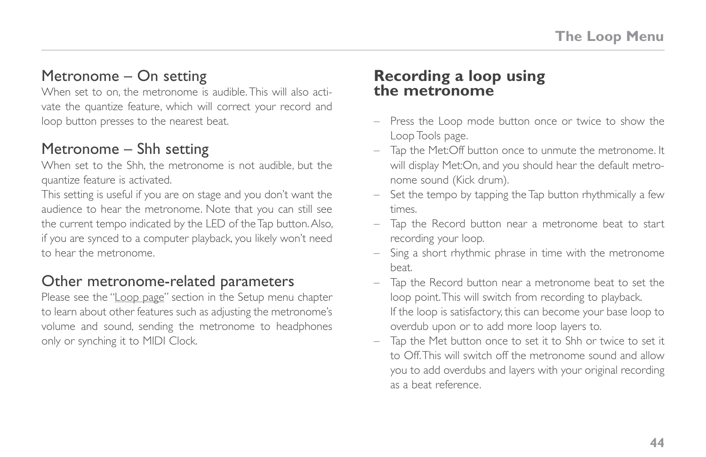### Metronome – On setting

When set to on, the metronome is audible. This will also activate the quantize feature, which will correct your record and loop button presses to the nearest beat.

### Metronome – Shh setting

When set to the Shh, the metronome is not audible, but the quantize feature is activated.

This setting is useful if you are on stage and you don't want the audience to hear the metronome. Note that you can still see the current tempo indicated by the LED of the Tap button. Also, if you are synced to a computer playback, you likely won't need to hear the metronome.

### Other metronome-related parameters

Please see the ["Loop page](#page-69-0)" section in the Setup menu chapter to learn about other features such as adjusting the metronome's volume and sound, sending the metronome to headphones only or synching it to MIDI Clock.

#### **Recording a loop using the metronome**

- Press the Loop mode button once or twice to show the Loop Tools page.
- Tap the Met:Off button once to unmute the metronome. It will display Met:On, and you should hear the default metronome sound (Kick drum).
- Set the tempo by tapping the Tap button rhythmically a few times.
- Tap the Record button near a metronome beat to start recording your loop.
- Sing a short rhythmic phrase in time with the metronome beat.
- Tap the Record button near a metronome beat to set the loop point. This will switch from recording to playback. If the loop is satisfactory, this can become your base loop to overdub upon or to add more loop layers to.
- Tap the Met button once to set it to Shh or twice to set it to Off. This will switch off the metronome sound and allow you to add overdubs and layers with your original recording as a beat reference.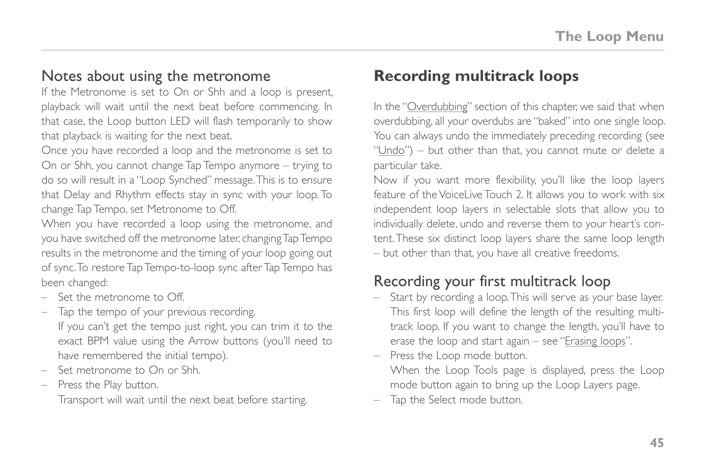#### Notes about using the metronome

If the Metronome is set to On or Shh and a loop is present, playback will wait until the next beat before commencing. In that case, the Loop button LED will flash temporarily to show that playback is waiting for the next beat.

Once you have recorded a loop and the metronome is set to On or Shh, you cannot change Tap Tempo anymore – trying to do so will result in a "Loop Synched" message. This is to ensure that Delay and Rhythm effects stay in sync with your loop. To change Tap Tempo, set Metronome to Off.

When you have recorded a loop using the metronome, and you have switched off the metronome later, changing Tap Tempo results in the metronome and the timing of your loop going out of sync. To restore Tap Tempo-to-loop sync after Tap Tempo has been changed:

- Set the metronome to Off.
- Tap the tempo of your previous recording. If you can't get the tempo just right, you can trim it to the exact BPM value using the Arrow buttons (you'll need to have remembered the initial tempo).
- Set metronome to On or Shh.
- Press the Play button.

Transport will wait until the next beat before starting.

### <span id="page-50-0"></span>**Recording multitrack loops**

In the "[Overdubbing](#page-45-0)" section of this chapter, we said that when overdubbing, all your overdubs are "baked" into one single loop. You can always undo the immediately preceding recording (see ["Undo](#page-46-0)") – but other than that, you cannot mute or delete a particular take.

Now if you want more flexibility, you'll like the loop layers feature of the VoiceLive Touch 2. It allows you to work with six independent loop layers in selectable slots that allow you to individually delete, undo and reverse them to your heart's content. These six distinct loop layers share the same loop length – but other than that, you have all creative freedoms.

### Recording your first multitrack loop

- Start by recording a loop. This will serve as your base layer. This first loop will define the length of the resulting multitrack loop. If you want to change the length, you'll have to erase the loop and start again – see "[Erasing loops"](#page-44-0).
- Press the Loop mode button.
	- When the Loop Tools page is displayed, press the Loop mode button again to bring up the Loop Layers page.
- Tap the Select mode button.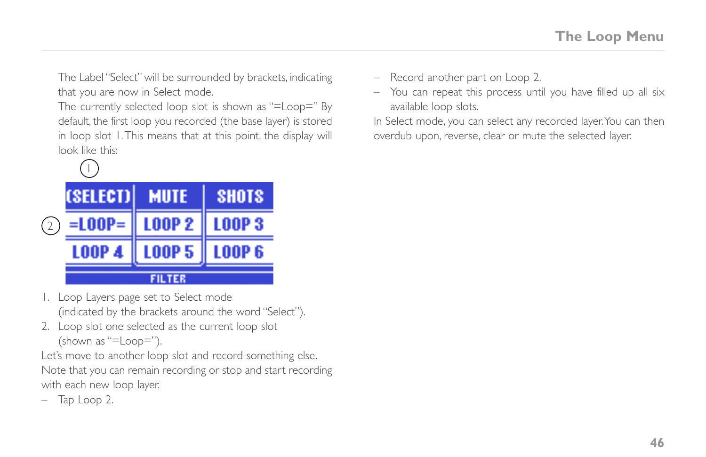The Label "Select" will be surrounded by brackets, indicating that you are now in Select mode.

The currently selected loop slot is shown as "=Loop=" By default, the first loop you recorded (the base layer) is stored in loop slot 1. This means that at this point, the display will look like this:



- 1. Loop Layers page set to Select mode (indicated by the brackets around the word "Select").
- 2. Loop slot one selected as the current loop slot (shown as "=Loop=").

Let's move to another loop slot and record something else. Note that you can remain recording or stop and start recording with each new loop layer.

– Tap Loop 2.

- Record another part on Loop 2.
- You can repeat this process until you have filled up all six available loop slots.

In Select mode, you can select any recorded layer. You can then overdub upon, reverse, clear or mute the selected layer.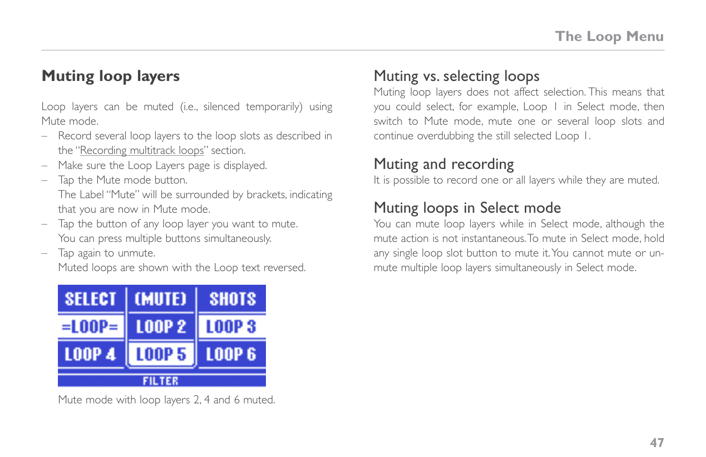### **Muting loop layers**

Loop layers can be muted (i.e., silenced temporarily) using Mute mode.

- Record several loop layers to the loop slots as described in the "[Recording multitrack loops](#page-50-0)" section.
- Make sure the Loop Layers page is displayed.
- Tap the Mute mode button.

The Label "Mute" will be surrounded by brackets, indicating that you are now in Mute mode.

- Tap the button of any loop layer you want to mute. You can press multiple buttons simultaneously.
- Tap again to unmute.

Muted loops are shown with the Loop text reversed.



Mute mode with loop layers 2, 4 and 6 muted.

### Muting vs. selecting loops

Muting loop layers does not affect selection. This means that you could select, for example, Loop 1 in Select mode, then switch to Mute mode, mute one or several loop slots and continue overdubbing the still selected Loop 1.

### Muting and recording

It is possible to record one or all layers while they are muted.

### Muting loops in Select mode

You can mute loop layers while in Select mode, although the mute action is not instantaneous. To mute in Select mode, hold any single loop slot button to mute it. You cannot mute or unmute multiple loop layers simultaneously in Select mode.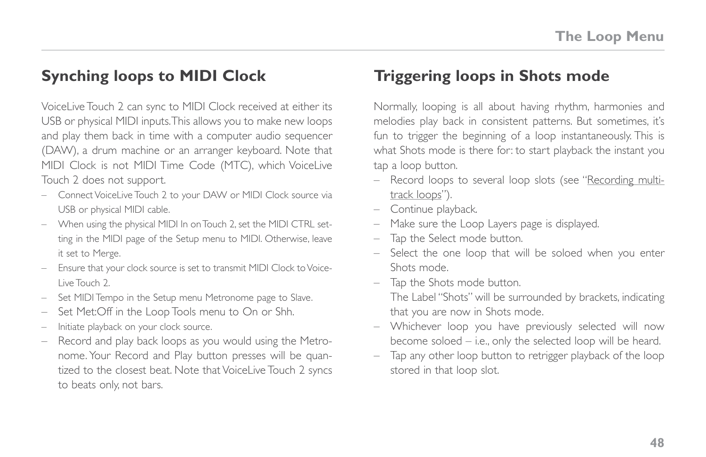### <span id="page-53-0"></span>**Synching loops to MIDI Clock**

VoiceLive Touch 2 can sync to MIDI Clock received at either its USB or physical MIDI inputs. This allows you to make new loops and play them back in time with a computer audio sequencer (DAW), a drum machine or an arranger keyboard. Note that MIDI Clock is not MIDI Time Code (MTC), which VoiceLive Touch 2 does not support.

- Connect VoiceLive Touch 2 to your DAW or MIDI Clock source via USB or physical MIDI cable.
- When using the physical MIDI In on Touch 2, set the MIDI CTRL setting in the MIDI page of the Setup menu to MIDI. Otherwise, leave it set to Merge.
- Ensure that your clock source is set to transmit MIDI Clock to Voice-Live Touch 2.
- Set MIDI Tempo in the Setup menu Metronome page to Slave.
- Set Met:Off in the Loop Tools menu to On or Shh.
- Initiate playback on your clock source.
- Record and play back loops as you would using the Metronome. Your Record and Play button presses will be quantized to the closest beat. Note that VoiceLive Touch 2 syncs to beats only, not bars.

### **Triggering loops in Shots mode**

Normally, looping is all about having rhythm, harmonies and melodies play back in consistent patterns. But sometimes, it's fun to trigger the beginning of a loop instantaneously. This is what Shots mode is there for: to start playback the instant you tap a loop button.

- Record loops to several loop slots (see "[Recording multi](#page-50-0)[track loops](#page-50-0)").
- Continue playback.
- Make sure the Loop Layers page is displayed.
- Tap the Select mode button.
- Select the one loop that will be soloed when you enter Shots mode.
- Tap the Shots mode button.

The Label "Shots" will be surrounded by brackets, indicating that you are now in Shots mode.

- Whichever loop you have previously selected will now become soloed – i.e., only the selected loop will be heard.
- Tap any other loop button to retrigger playback of the loop stored in that loop slot.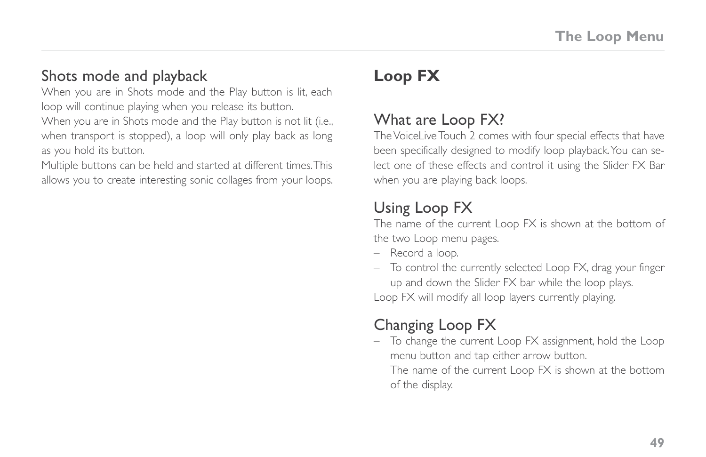### Shots mode and playback

When you are in Shots mode and the Play button is lit, each loop will continue playing when you release its button. When you are in Shots mode and the Play button is not lit (i.e., when transport is stopped), a loop will only play back as long as you hold its button.

Multiple buttons can be held and started at different times. This allows you to create interesting sonic collages from your loops.

# **Loop FX**

### <span id="page-54-0"></span>What are Loop FX?

The VoiceLive Touch 2 comes with four special effects that have been specifically designed to modify loop playback. You can select one of these effects and control it using the Slider FX Bar when you are playing back loops.

## Using Loop FX

The name of the current Loop FX is shown at the bottom of the two Loop menu pages.

- Record a loop.
- To control the currently selected Loop FX, drag your finger up and down the Slider FX bar while the loop plays. Loop FX will modify all loop layers currently playing.

## Changing Loop FX

– To change the current Loop FX assignment, hold the Loop menu button and tap either arrow button.

The name of the current Loop FX is shown at the bottom of the display.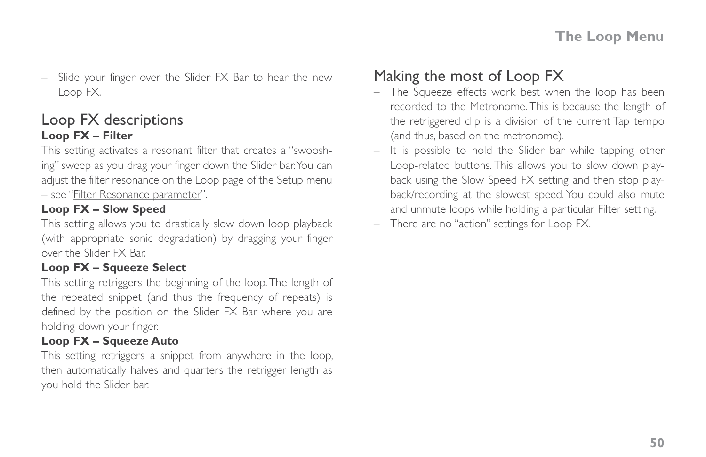– Slide your finger over the Slider FX Bar to hear the new Loop FX.

#### Loop FX descriptions **Loop FX – Filter**

This setting activates a resonant filter that creates a "swooshing" sweep as you drag your finger down the Slider bar. You can adjust the filter resonance on the Loop page of the Setup menu – see ["Filter Resonance parameter](#page-69-2)".

#### **Loop FX – Slow Speed**

This setting allows you to drastically slow down loop playback (with appropriate sonic degradation) by dragging your finger over the Slider FX Bar.

#### **Loop FX – Squeeze Select**

This setting retriggers the beginning of the loop. The length of the repeated snippet (and thus the frequency of repeats) is defined by the position on the Slider FX Bar where you are holding down your finger.

#### **Loop FX – Squeeze Auto**

This setting retriggers a snippet from anywhere in the loop, then automatically halves and quarters the retrigger length as you hold the Slider bar.

### Making the most of Loop FX

- The Squeeze effects work best when the loop has been recorded to the Metronome. This is because the length of the retriggered clip is a division of the current Tap tempo (and thus, based on the metronome).
- It is possible to hold the Slider bar while tapping other Loop-related buttons. This allows you to slow down playback using the Slow Speed FX setting and then stop playback/recording at the slowest speed. You could also mute and unmute loops while holding a particular Filter setting.
- There are no "action" settings for Loop FX.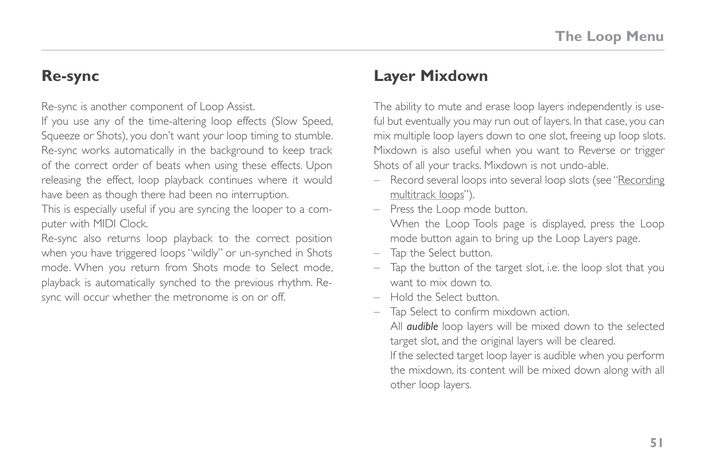#### **Re-sync**

Re-sync is another component of Loop Assist.

If you use any of the time-altering loop effects (Slow Speed, Squeeze or Shots), you don't want your loop timing to stumble. Re-sync works automatically in the background to keep track of the correct order of beats when using these effects. Upon releasing the effect, loop playback continues where it would have been as though there had been no interruption.

This is especially useful if you are syncing the looper to a computer with MIDI Clock.

Re-sync also returns loop playback to the correct position when you have triggered loops "wildly" or un-synched in Shots mode. When you return from Shots mode to Select mode, playback is automatically synched to the previous rhythm. Resync will occur whether the metronome is on or off.

### **Layer Mixdown**

The ability to mute and erase loop layers independently is useful but eventually you may run out of layers. In that case, you can mix multiple loop layers down to one slot, freeing up loop slots. Mixdown is also useful when you want to Reverse or trigger Shots of all your tracks. Mixdown is not undo-able.

- Record several loops into several loop slots (see "[Recording](#page-50-0)  [multitrack loops"](#page-50-0)).
- Press the Loop mode button.

When the Loop Tools page is displayed, press the Loop mode button again to bring up the Loop Layers page.

- Tap the Select button.
- Tap the button of the target slot, i.e. the loop slot that you want to mix down to.
- Hold the Select button.
- Tap Select to confirm mixdown action.

All *audible* loop layers will be mixed down to the selected target slot, and the original layers will be cleared. If the selected target loop layer is audible when you perform the mixdown, its content will be mixed down along with all other loop layers.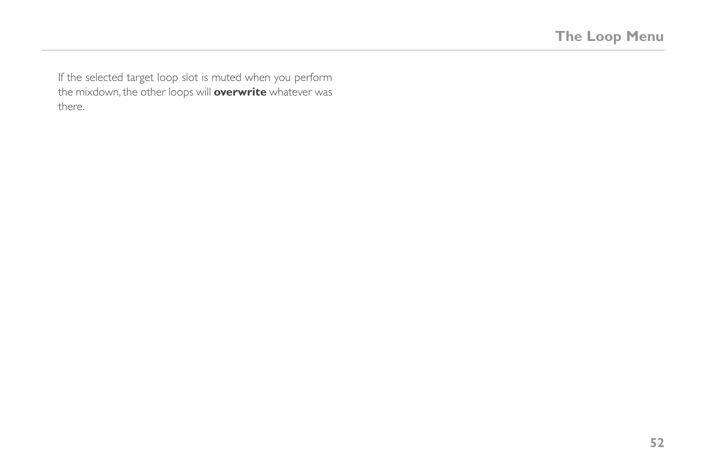If the selected target loop slot is muted when you perform the mixdown, the other loops will **overwrite** whatever was there.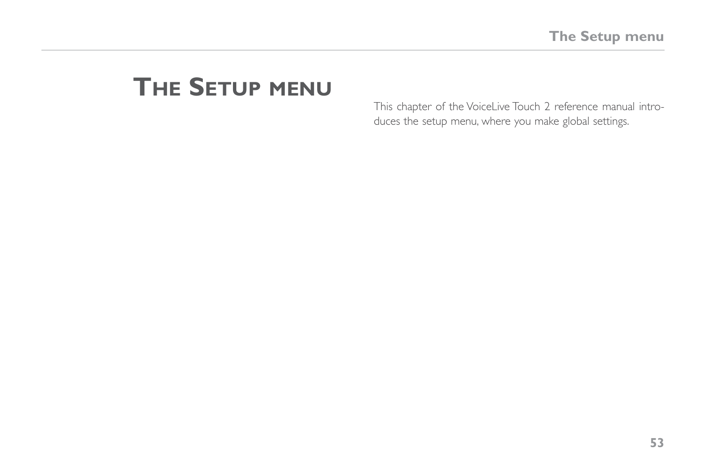# **The Setup menu**

This chapter of the VoiceLive Touch 2 reference manual introduces the setup menu, where you make global settings.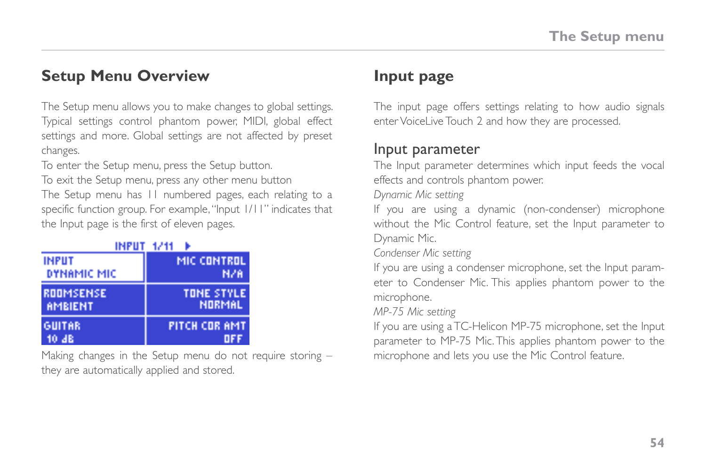### **Setup Menu Overview**

The Setup menu allows you to make changes to global settings. Typical settings control phantom power, MIDI, global effect settings and more. Global settings are not affected by preset changes.

To enter the Setup menu, press the Setup button.

To exit the Setup menu, press any other menu button

The Setup menu has 11 numbered pages, each relating to a specific function group. For example, "Input 1/11" indicates that the Input page is the first of eleven pages.

| INPUT 1/11       |                   |  |
|------------------|-------------------|--|
| <b>INFUT</b>     | MIC CONTROL       |  |
| DYNAMIC MIC      | N/A               |  |
| <b>RODMSENSE</b> | <b>TOME STYLE</b> |  |
| <b>AMBIENT</b>   | NORMAL            |  |
| <b>GUITAR</b>    | PITCH COR AMT     |  |
| 10 JB            | пы                |  |

Making changes in the Setup menu do not require storing – they are automatically applied and stored.

### **Input page**

The input page offers settings relating to how audio signals enter VoiceLive Touch 2 and how they are processed.

#### Input parameter

The Input parameter determines which input feeds the vocal effects and controls phantom power.

*Dynamic Mic setting*

If you are using a dynamic (non-condenser) microphone without the Mic Control feature, set the Input parameter to Dynamic Mic.

*Condenser Mic setting*

If you are using a condenser microphone, set the Input parameter to Condenser Mic. This applies phantom power to the microphone.

*MP-75 Mic setting*

If you are using a TC-Helicon MP-75 microphone, set the Input parameter to MP-75 Mic. This applies phantom power to the microphone and lets you use the Mic Control feature.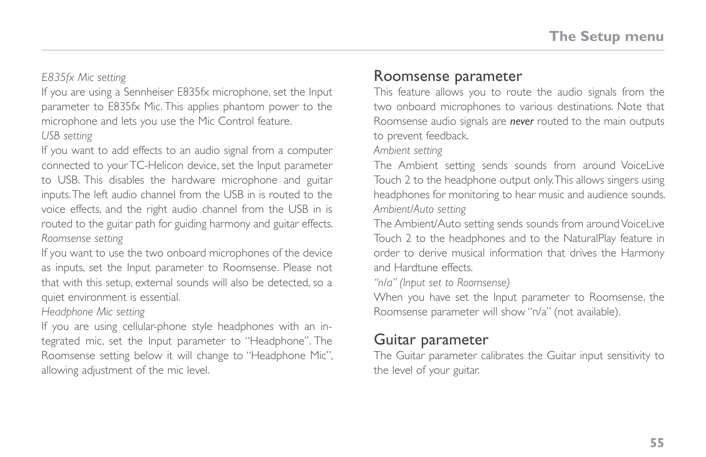*E835fx Mic setting*

If you are using a Sennheiser E835fx microphone, set the Input parameter to E835fx Mic. This applies phantom power to the microphone and lets you use the Mic Control feature. *USB setting*

If you want to add effects to an audio signal from a computer connected to your TC-Helicon device, set the Input parameter to USB. This disables the hardware microphone and guitar inputs. The left audio channel from the USB in is routed to the voice effects, and the right audio channel from the USB in is routed to the guitar path for guiding harmony and guitar effects. *Roomsense setting*

If you want to use the two onboard microphones of the device as inputs, set the Input parameter to Roomsense. Please not that with this setup, external sounds will also be detected, so a quiet environment is essential.

#### *Headphone Mic setting*

If you are using cellular-phone style headphones with an integrated mic, set the Input parameter to "Headphone". The Roomsense setting below it will change to "Headphone Mic", allowing adjustment of the mic level.

#### Roomsense parameter

This feature allows you to route the audio signals from the two onboard microphones to various destinations. Note that Roomsense audio signals are *never* routed to the main outputs to prevent feedback.

#### *Ambient setting*

The Ambient setting sends sounds from around VoiceLive Touch 2 to the headphone output only. This allows singers using headphones for monitoring to hear music and audience sounds. *Ambient/Auto setting*

The Ambient/Auto setting sends sounds from around VoiceLive Touch 2 to the headphones and to the NaturalPlay feature in order to derive musical information that drives the Harmony and Hardtune effects.

*"n/a" (Input set to Roomsense)*

When you have set the Input parameter to Roomsense, the Roomsense parameter will show "n/a" (not available).

#### Guitar parameter

The Guitar parameter calibrates the Guitar input sensitivity to the level of your guitar.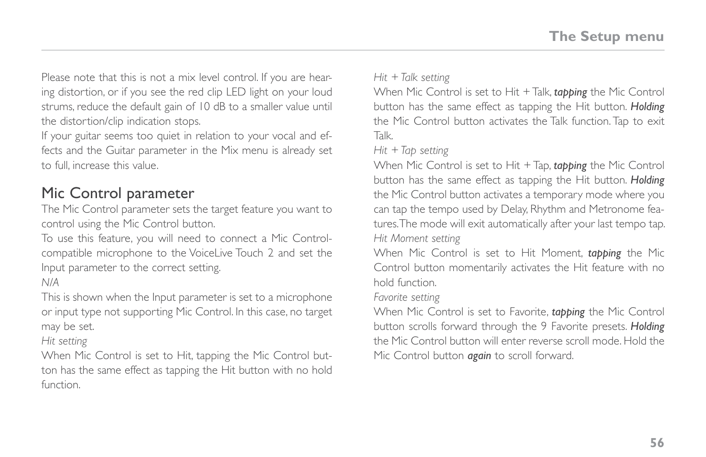Please note that this is not a mix level control. If you are hearing distortion, or if you see the red clip LED light on your loud strums, reduce the default gain of 10 dB to a smaller value until the distortion/clip indication stops.

If your guitar seems too quiet in relation to your vocal and effects and the Guitar parameter in the Mix menu is already set to full, increase this value.

### <span id="page-61-0"></span>Mic Control parameter

The Mic Control parameter sets the target feature you want to control using the Mic Control button.

To use this feature, you will need to connect a Mic Controlcompatible microphone to the VoiceLive Touch 2 and set the Input parameter to the correct setting.

*N/A*

This is shown when the Input parameter is set to a microphone or input type not supporting Mic Control. In this case, no target may be set.

*Hit setting*

When Mic Control is set to Hit, tapping the Mic Control button has the same effect as tapping the Hit button with no hold function.

*Hit + Talk setting*

When Mic Control is set to Hit + Talk, *tapping* the Mic Control button has the same effect as tapping the Hit button. *Holding*  the Mic Control button activates the Talk function. Tap to exit Talk.

*Hit + Tap setting*

When Mic Control is set to Hit + Tap, *tapping* the Mic Control button has the same effect as tapping the Hit button. *Holding* the Mic Control button activates a temporary mode where you can tap the tempo used by Delay, Rhythm and Metronome features. The mode will exit automatically after your last tempo tap. *Hit Moment setting*

When Mic Control is set to Hit Moment, *tapping* the Mic Control button momentarily activates the Hit feature with no hold function.

*Favorite setting*

When Mic Control is set to Favorite, *tapping* the Mic Control button scrolls forward through the 9 Favorite presets. *Holding* the Mic Control button will enter reverse scroll mode. Hold the Mic Control button *again* to scroll forward.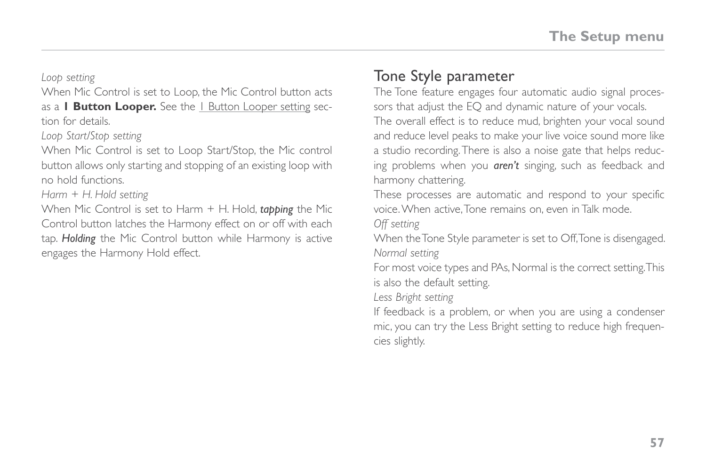*Loop setting*

When Mic Control is set to Loop, the Mic Control button acts as a **1 Button Looper.** See the **[1 Button Looper setting](#page-76-0) sec**tion for details.

*Loop Start/Stop setting*

When Mic Control is set to Loop Start/Stop, the Mic control button allows only starting and stopping of an existing loop with no hold functions.

*Harm + H. Hold setting*

When Mic Control is set to Harm + H. Hold, *tapping* the Mic Control button latches the Harmony effect on or off with each tap. *Holding* the Mic Control button while Harmony is active engages the Harmony Hold effect.

### Tone Style parameter

The Tone feature engages four automatic audio signal processors that adjust the EQ and dynamic nature of your vocals. The overall effect is to reduce mud, brighten your vocal sound and reduce level peaks to make your live voice sound more like a studio recording. There is also a noise gate that helps reducing problems when you *aren't* singing, such as feedback and harmony chattering.

These processes are automatic and respond to your specific voice. When active, Tone remains on, even in Talk mode.

*Off setting*

When the Tone Style parameter is set to Off, Tone is disengaged. *Normal setting*

For most voice types and PAs, Normal is the correct setting. This is also the default setting.

*Less Bright setting*

If feedback is a problem, or when you are using a condenser mic, you can try the Less Bright setting to reduce high frequencies slightly.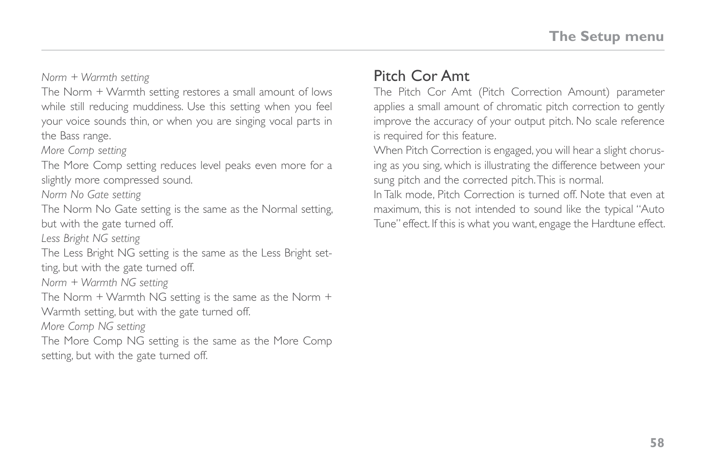*Norm + Warmth setting*

The Norm + Warmth setting restores a small amount of lows while still reducing muddiness. Use this setting when you feel your voice sounds thin, or when you are singing vocal parts in the Bass range.

*More Comp setting*

The More Comp setting reduces level peaks even more for a slightly more compressed sound.

*Norm No Gate setting*

The Norm No Gate setting is the same as the Normal setting, but with the gate turned off.

*Less Bright NG setting*

The Less Bright NG setting is the same as the Less Bright setting, but with the gate turned off.

*Norm + Warmth NG setting*

The Norm + Warmth NG setting is the same as the Norm +

Warmth setting, but with the gate turned off.

*More Comp NG setting*

The More Comp NG setting is the same as the More Comp setting, but with the gate turned off.

#### Pitch Cor Amt

The Pitch Cor Amt (Pitch Correction Amount) parameter applies a small amount of chromatic pitch correction to gently improve the accuracy of your output pitch. No scale reference is required for this feature.

When Pitch Correction is engaged, you will hear a slight chorusing as you sing, which is illustrating the difference between your sung pitch and the corrected pitch. This is normal.

In Talk mode, Pitch Correction is turned off. Note that even at maximum, this is not intended to sound like the typical "Auto Tune" effect. If this is what you want, engage the Hardtune effect.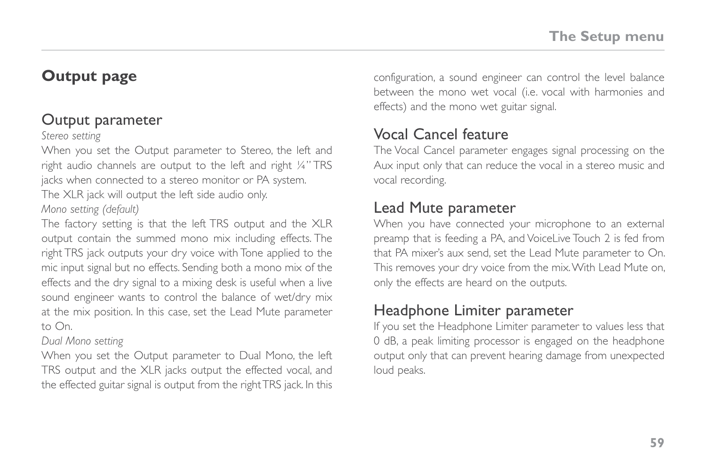### **Output page**

#### Output parameter

#### *Stereo setting*

When you set the Output parameter to Stereo, the left and right audio channels are output to the left and right ¼" TRS jacks when connected to a stereo monitor or PA system.

The XLR jack will output the left side audio only.

#### *Mono setting (default)*

The factory setting is that the left TRS output and the XLR output contain the summed mono mix including effects. The right TRS jack outputs your dry voice with Tone applied to the mic input signal but no effects. Sending both a mono mix of the effects and the dry signal to a mixing desk is useful when a live sound engineer wants to control the balance of wet/dry mix at the mix position. In this case, set the Lead Mute parameter to On.

#### *Dual Mono setting*

When you set the Output parameter to Dual Mono, the left TRS output and the XLR jacks output the effected vocal, and the effected guitar signal is output from the right TRS jack. In this configuration, a sound engineer can control the level balance between the mono wet vocal (i.e. vocal with harmonies and effects) and the mono wet guitar signal.

### Vocal Cancel feature

The Vocal Cancel parameter engages signal processing on the Aux input only that can reduce the vocal in a stereo music and vocal recording.

### Lead Mute parameter

When you have connected your microphone to an external preamp that is feeding a PA, and VoiceLive Touch 2 is fed from that PA mixer's aux send, set the Lead Mute parameter to On. This removes your dry voice from the mix. With Lead Mute on, only the effects are heard on the outputs.

### Headphone Limiter parameter

If you set the Headphone Limiter parameter to values less that 0 dB, a peak limiting processor is engaged on the headphone output only that can prevent hearing damage from unexpected loud peaks.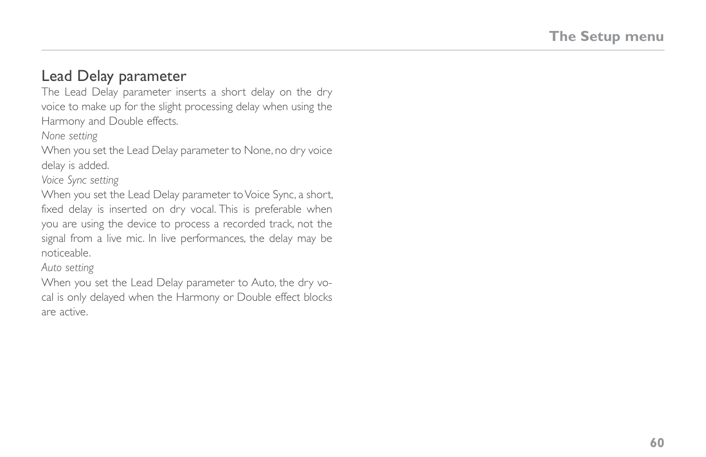#### Lead Delay parameter

The Lead Delay parameter inserts a short delay on the dry voice to make up for the slight processing delay when using the Harmony and Double effects.

*None setting*

When you set the Lead Delay parameter to None, no dry voice delay is added.

*Voice Sync setting*

When you set the Lead Delay parameter to Voice Sync, a short, fixed delay is inserted on dry vocal. This is preferable when you are using the device to process a recorded track, not the signal from a live mic. In live performances, the delay may be noticeable.

*Auto setting*

When you set the Lead Delay parameter to Auto, the dry vocal is only delayed when the Harmony or Double effect blocks are active.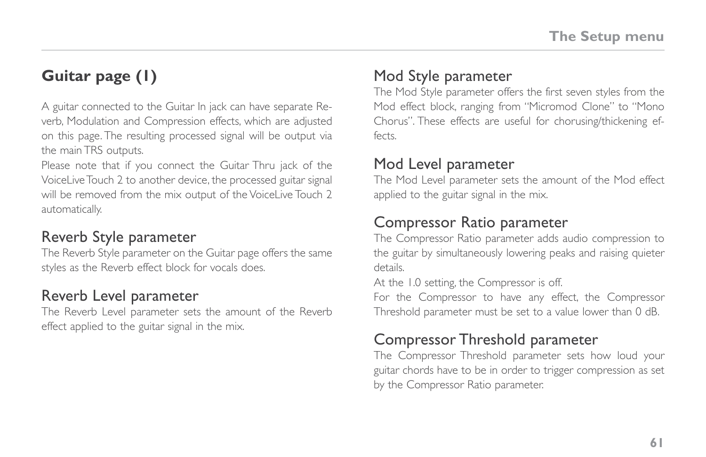# **Guitar page (1)**

A guitar connected to the Guitar In jack can have separate Reverb, Modulation and Compression effects, which are adjusted on this page. The resulting processed signal will be output via the main TRS outputs.

Please note that if you connect the Guitar Thru jack of the VoiceLive Touch 2 to another device, the processed guitar signal will be removed from the mix output of the VoiceLive Touch 2 automatically.

### Reverb Style parameter

The Reverb Style parameter on the Guitar page offers the same styles as the Reverb effect block for vocals does.

### Reverb Level parameter

The Reverb Level parameter sets the amount of the Reverb effect applied to the guitar signal in the mix.

### Mod Style parameter

The Mod Style parameter offers the first seven styles from the Mod effect block, ranging from "Micromod Clone" to "Mono Chorus". These effects are useful for chorusing/thickening effects.

#### Mod Level parameter

The Mod Level parameter sets the amount of the Mod effect applied to the guitar signal in the mix.

### Compressor Ratio parameter

The Compressor Ratio parameter adds audio compression to the guitar by simultaneously lowering peaks and raising quieter details.

At the 1.0 setting, the Compressor is off.

For the Compressor to have any effect, the Compressor Threshold parameter must be set to a value lower than 0 dB.

### Compressor Threshold parameter

The Compressor Threshold parameter sets how loud your guitar chords have to be in order to trigger compression as set by the Compressor Ratio parameter.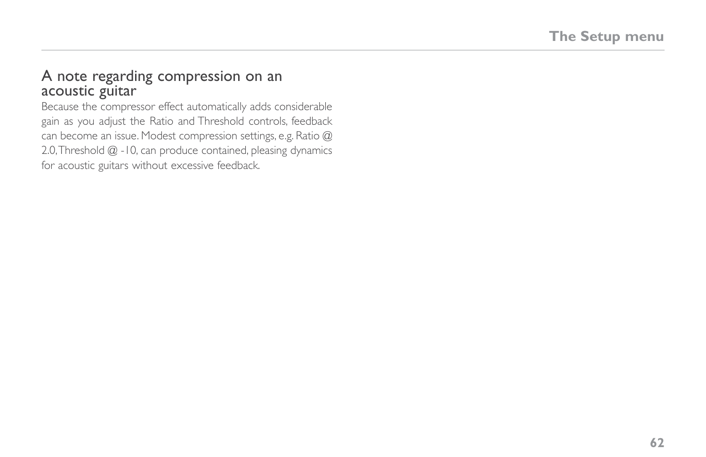#### A note regarding compression on an acoustic guitar

Because the compressor effect automatically adds considerable gain as you adjust the Ratio and Threshold controls, feedback can become an issue. Modest compression settings, e.g. Ratio @ 2.0, Threshold @ -10, can produce contained, pleasing dynamics for acoustic guitars without excessive feedback.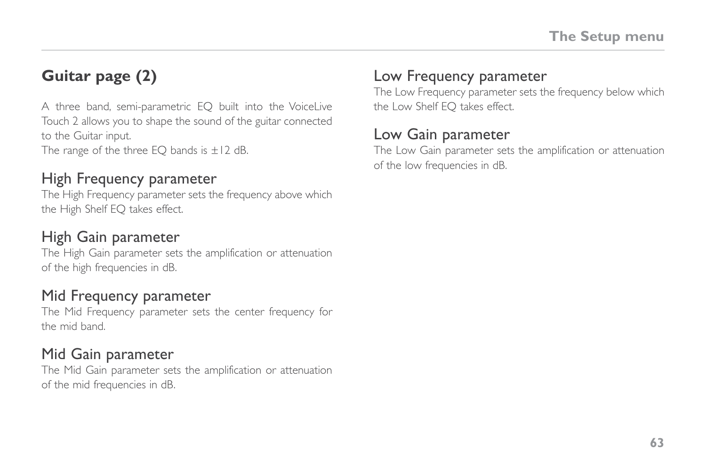# **Guitar page (2)**

A three band, semi-parametric EQ built into the VoiceLive Touch 2 allows you to shape the sound of the guitar connected to the Guitar input.

The range of the three EQ bands is  $\pm$ 12 dB.

#### High Frequency parameter

The High Frequency parameter sets the frequency above which the High Shelf EQ takes effect.

### High Gain parameter

The High Gain parameter sets the amplification or attenuation of the high frequencies in dB.

### Mid Frequency parameter

The Mid Frequency parameter sets the center frequency for the mid band.

### Mid Gain parameter

The Mid Gain parameter sets the amplification or attenuation of the mid frequencies in dB.

### Low Frequency parameter

The Low Frequency parameter sets the frequency below which the Low Shelf EQ takes effect.

### Low Gain parameter

The Low Gain parameter sets the amplification or attenuation of the low frequencies in dB.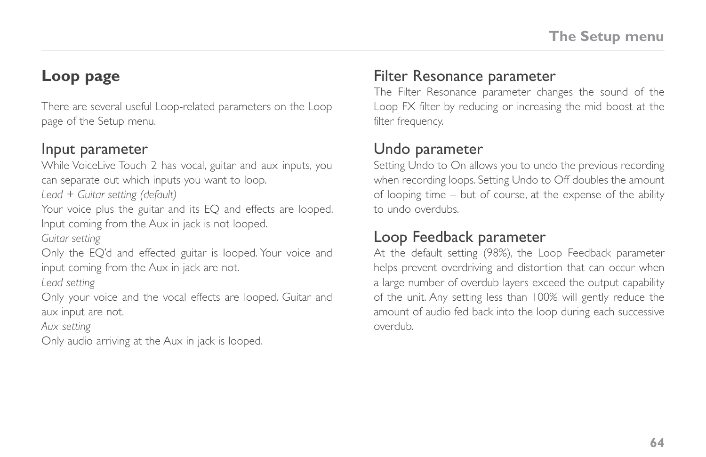### <span id="page-69-0"></span>**Loop page**

There are several useful Loop-related parameters on the Loop page of the Setup menu.

#### Input parameter

While VoiceLive Touch 2 has vocal, guitar and aux inputs, you can separate out which inputs you want to loop.

*Lead + Guitar setting (default)*

Your voice plus the guitar and its EQ and effects are looped. Input coming from the Aux in jack is not looped.

*Guitar setting*

Only the EQ'd and effected guitar is looped. Your voice and input coming from the Aux in jack are not.

*Lead setting*

Only your voice and the vocal effects are looped. Guitar and aux input are not.

*Aux setting*

Only audio arriving at the Aux in jack is looped.

### <span id="page-69-2"></span>Filter Resonance parameter

The Filter Resonance parameter changes the sound of the Loop FX filter by reducing or increasing the mid boost at the filter frequency.

#### <span id="page-69-1"></span>Undo parameter

Setting Undo to On allows you to undo the previous recording when recording loops. Setting Undo to Off doubles the amount of looping time – but of course, at the expense of the ability to undo overdubs.

### Loop Feedback parameter

At the default setting (98%), the Loop Feedback parameter helps prevent overdriving and distortion that can occur when a large number of overdub layers exceed the output capability of the unit. Any setting less than 100% will gently reduce the amount of audio fed back into the loop during each successive overdub.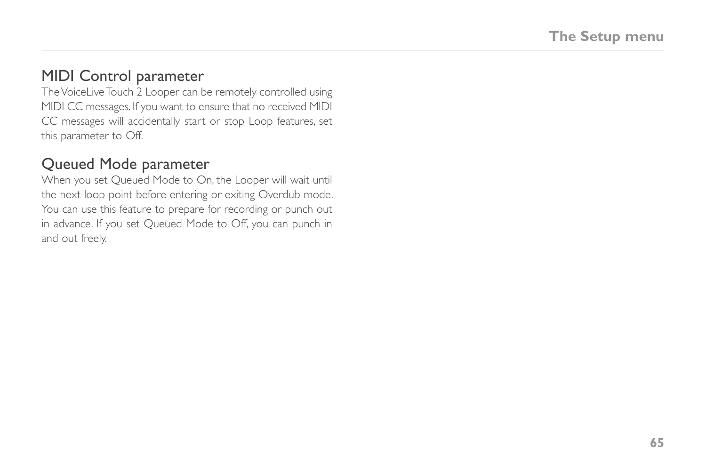### MIDI Control parameter

The VoiceLive Touch 2 Looper can be remotely controlled using MIDI CC messages. If you want to ensure that no received MIDI CC messages will accidentally start or stop Loop features, set this parameter to Off.

#### Queued Mode parameter

When you set Queued Mode to On, the Looper will wait until the next loop point before entering or exiting Overdub mode. You can use this feature to prepare for recording or punch out in advance. If you set Queued Mode to Off, you can punch in and out freely.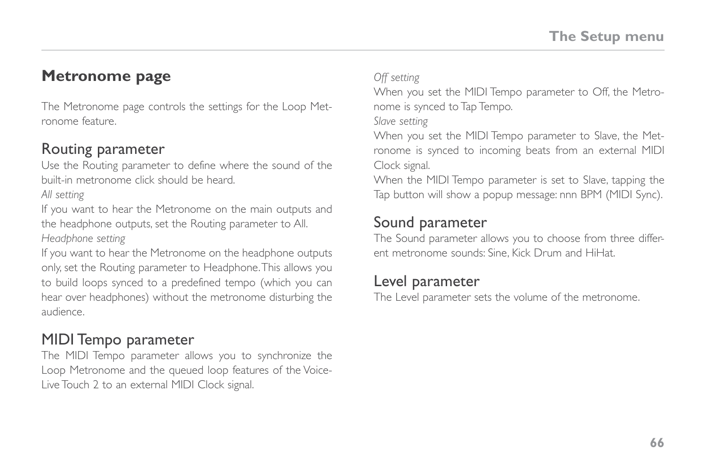### <span id="page-71-0"></span>**Metronome page**

The Metronome page controls the settings for the Loop Metronome feature.

#### Routing parameter

Use the Routing parameter to define where the sound of the built-in metronome click should be heard.

*All setting*

If you want to hear the Metronome on the main outputs and the headphone outputs, set the Routing parameter to All.

*Headphone setting*

If you want to hear the Metronome on the headphone outputs only, set the Routing parameter to Headphone. This allows you to build loops synced to a predefined tempo (which you can hear over headphones) without the metronome disturbing the audience.

#### MIDI Tempo parameter

The MIDI Tempo parameter allows you to synchronize the Loop Metronome and the queued loop features of the Voice-Live Touch 2 to an external MIDI Clock signal.

*Off setting*

When you set the MIDI Tempo parameter to Off, the Metronome is synced to Tap Tempo.

*Slave setting*

When you set the MIDI Tempo parameter to Slave, the Metronome is synced to incoming beats from an external MIDI Clock signal.

When the MIDI Tempo parameter is set to Slave, tapping the Tap button will show a popup message: nnn BPM (MIDI Sync).

### Sound parameter

The Sound parameter allows you to choose from three different metronome sounds: Sine, Kick Drum and HiHat.

### Level parameter

The Level parameter sets the volume of the metronome.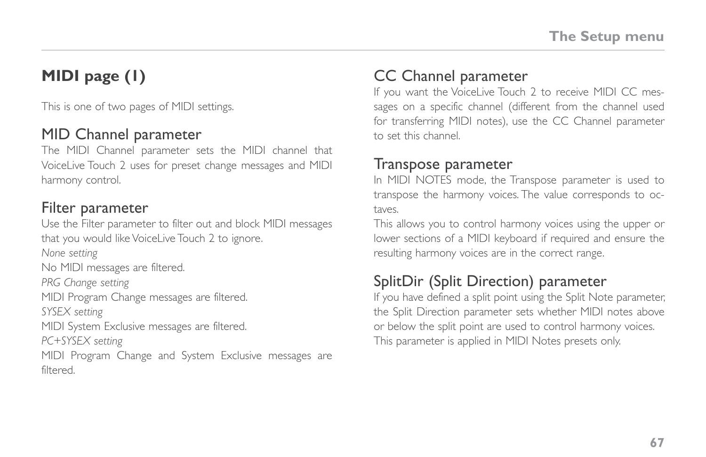# **MIDI page (1)**

This is one of two pages of MIDI settings.

#### MID Channel parameter

The MIDI Channel parameter sets the MIDI channel that VoiceLive Touch 2 uses for preset change messages and MIDI harmony control.

#### Filter parameter

Use the Filter parameter to filter out and block MIDI messages that you would like VoiceLive Touch 2 to ignore. *None setting* No MIDI messages are filtered. *PRG Change setting* MIDI Program Change messages are filtered. *SYSEX setting* MIDI System Exclusive messages are filtered. *PC+SYSEX setting* MIDI Program Change and System Exclusive messages are filtered.

#### CC Channel parameter

If you want the VoiceLive Touch 2 to receive MIDI CC messages on a specific channel (different from the channel used for transferring MIDI notes), use the CC Channel parameter to set this channel.

#### Transpose parameter

In MIDI NOTES mode, the Transpose parameter is used to transpose the harmony voices. The value corresponds to octaves.

This allows you to control harmony voices using the upper or lower sections of a MIDI keyboard if required and ensure the resulting harmony voices are in the correct range.

### SplitDir (Split Direction) parameter

If you have defined a split point using the Split Note parameter, the Split Direction parameter sets whether MIDI notes above or below the split point are used to control harmony voices. This parameter is applied in MIDI Notes presets only.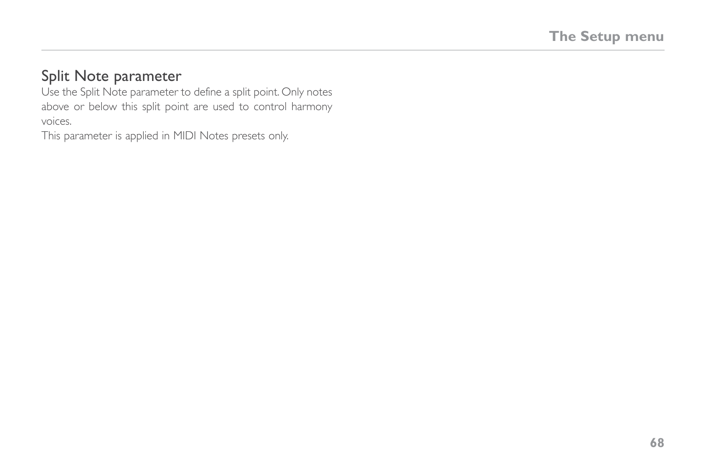#### Split Note parameter

Use the Split Note parameter to define a split point. Only notes above or below this split point are used to control harmony voices.

This parameter is applied in MIDI Notes presets only.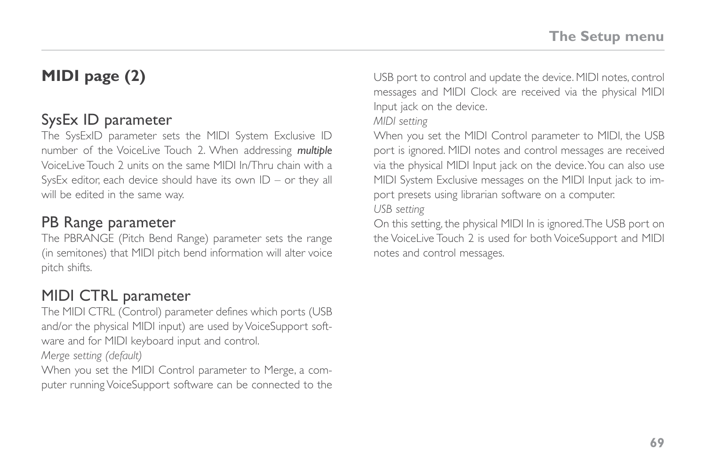# **MIDI page (2)**

#### SysEx ID parameter

The SysExID parameter sets the MIDI System Exclusive ID number of the VoiceLive Touch 2. When addressing *multiple* VoiceLive Touch 2 units on the same MIDI In/Thru chain with a SysEx editor, each device should have its own  $ID - or$  they all will be edited in the same way.

#### PB Range parameter

The PBRANGE (Pitch Bend Range) parameter sets the range (in semitones) that MIDI pitch bend information will alter voice pitch shifts.

### MIDI CTRL parameter

The MIDI CTRL (Control) parameter defines which ports (USB and/or the physical MIDI input) are used by VoiceSupport software and for MIDI keyboard input and control.

*Merge setting (default)*

When you set the MIDI Control parameter to Merge, a computer running VoiceSupport software can be connected to the USB port to control and update the device. MIDI notes, control messages and MIDI Clock are received via the physical MIDI Input jack on the device.

*MIDI setting*

When you set the MIDI Control parameter to MIDI, the USB port is ignored. MIDI notes and control messages are received via the physical MIDI Input jack on the device. You can also use MIDI System Exclusive messages on the MIDI Input jack to import presets using librarian software on a computer.

*USB setting*

On this setting, the physical MIDI In is ignored. The USB port on the VoiceLive Touch 2 is used for both VoiceSupport and MIDI notes and control messages.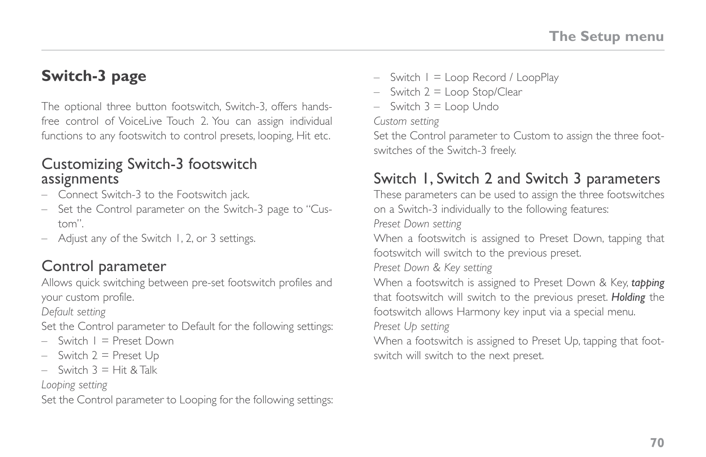## **Switch-3 page**

The optional three button footswitch, Switch-3, offers handsfree control of VoiceLive Touch 2. You can assign individual functions to any footswitch to control presets, looping, Hit etc.

#### Customizing Switch-3 footswitch assignments

- Connect Switch-3 to the Footswitch jack.
- Set the Control parameter on the Switch-3 page to "Custom".
- Adjust any of the Switch 1, 2, or 3 settings.

#### Control parameter

Allows quick switching between pre-set footswitch profiles and your custom profile.

*Default setting*

Set the Control parameter to Default for the following settings:

- $-$  Switch  $1 =$  Preset Down
- $-$  Switch  $2$  = Preset Up
- $-$  Switch  $3 = H$ it & Talk

#### *Looping setting*

Set the Control parameter to Looping for the following settings:

- $-$  Switch  $1 =$  Loop Record / LoopPlay
- $-$  Switch  $2 =$  Loop Stop/Clear
- $-$  Switch  $3 =$  Loop Undo

*Custom setting*

Set the Control parameter to Custom to assign the three footswitches of the Switch-3 freely.

### Switch 1, Switch 2 and Switch 3 parameters

These parameters can be used to assign the three footswitches on a Switch-3 individually to the following features: *Preset Down setting*

When a footswitch is assigned to Preset Down, tapping that footswitch will switch to the previous preset.

*Preset Down & Key setting*

When a footswitch is assigned to Preset Down & Key, *tapping*  that footswitch will switch to the previous preset. *Holding* the footswitch allows Harmony key input via a special menu.

*Preset Up setting*

When a footswitch is assigned to Preset Up, tapping that footswitch will switch to the next preset.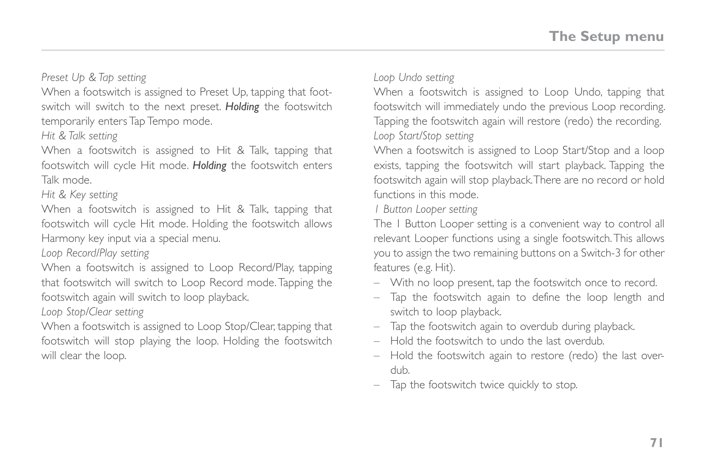#### *Preset Up & Tap setting*

When a footswitch is assigned to Preset Up, tapping that footswitch will switch to the next preset. *Holding* the footswitch temporarily enters Tap Tempo mode.

*Hit & Talk setting*

When a footswitch is assigned to Hit & Talk, tapping that footswitch will cycle Hit mode. *Holding* the footswitch enters Talk mode.

*Hit & Key setting*

When a footswitch is assigned to Hit & Talk, tapping that footswitch will cycle Hit mode. Holding the footswitch allows Harmony key input via a special menu.

*Loop Record/Play setting*

When a footswitch is assigned to Loop Record/Play, tapping that footswitch will switch to Loop Record mode. Tapping the footswitch again will switch to loop playback.

*Loop Stop/Clear setting*

When a footswitch is assigned to Loop Stop/Clear, tapping that footswitch will stop playing the loop. Holding the footswitch will clear the loop.

*Loop Undo setting*

When a footswitch is assigned to Loop Undo, tapping that footswitch will immediately undo the previous Loop recording. Tapping the footswitch again will restore (redo) the recording. *Loop Start/Stop setting*

When a footswitch is assigned to Loop Start/Stop and a loop exists, tapping the footswitch will start playback. Tapping the footswitch again will stop playback. There are no record or hold functions in this mode.

*1 Button Looper setting*

The 1 Button Looper setting is a convenient way to control all relevant Looper functions using a single footswitch. This allows you to assign the two remaining buttons on a Switch-3 for other features (e.g. Hit).

- With no loop present, tap the footswitch once to record.
- Tap the footswitch again to define the loop length and switch to loop playback.
- Tap the footswitch again to overdub during playback.
- Hold the footswitch to undo the last overdub.
- Hold the footswitch again to restore (redo) the last overdub.
- Tap the footswitch twice quickly to stop.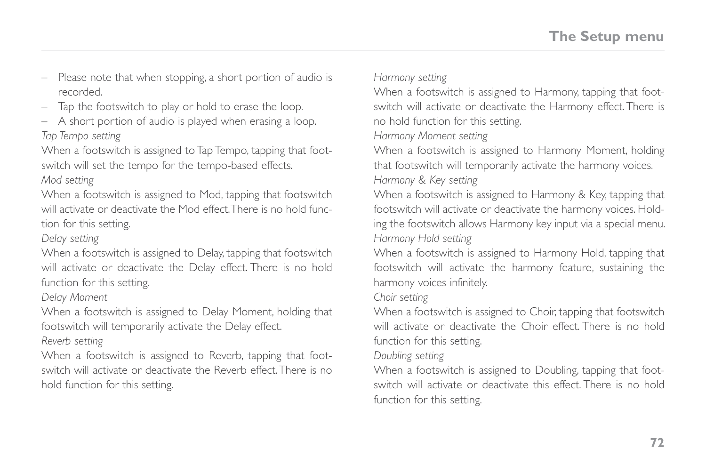- Please note that when stopping, a short portion of audio is recorded.
- Tap the footswitch to play or hold to erase the loop.
- A short portion of audio is played when erasing a loop. *Tap Tempo setting*

When a footswitch is assigned to Tap Tempo, tapping that footswitch will set the tempo for the tempo-based effects. *Mod setting*

When a footswitch is assigned to Mod, tapping that footswitch will activate or deactivate the Mod effect. There is no hold function for this setting.

#### *Delay setting*

When a footswitch is assigned to Delay, tapping that footswitch will activate or deactivate the Delay effect. There is no hold function for this setting.

*Delay Moment*

When a footswitch is assigned to Delay Moment, holding that footswitch will temporarily activate the Delay effect.

*Reverb setting*

When a footswitch is assigned to Reverb, tapping that footswitch will activate or deactivate the Reverb effect. There is no hold function for this setting.

*Harmony setting*

When a footswitch is assigned to Harmony, tapping that footswitch will activate or deactivate the Harmony effect. There is no hold function for this setting.

*Harmony Moment setting*

When a footswitch is assigned to Harmony Moment, holding that footswitch will temporarily activate the harmony voices. *Harmony & Key setting*

When a footswitch is assigned to Harmony & Key, tapping that footswitch will activate or deactivate the harmony voices. Holding the footswitch allows Harmony key input via a special menu. *Harmony Hold setting*

When a footswitch is assigned to Harmony Hold, tapping that footswitch will activate the harmony feature, sustaining the harmony voices infinitely.

*Choir setting*

When a footswitch is assigned to Choir, tapping that footswitch will activate or deactivate the Choir effect. There is no hold function for this setting.

*Doubling setting*

When a footswitch is assigned to Doubling, tapping that footswitch will activate or deactivate this effect. There is no hold function for this setting.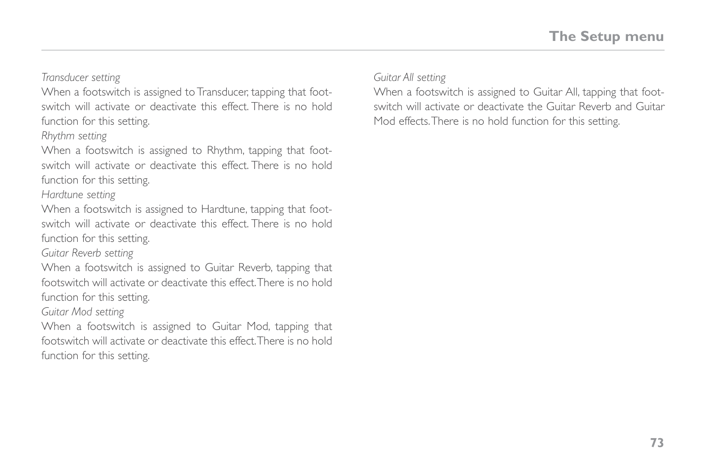*Transducer setting*

When a footswitch is assigned to Transducer, tapping that footswitch will activate or deactivate this effect. There is no hold function for this setting.

*Rhythm setting*

When a footswitch is assigned to Rhythm, tapping that footswitch will activate or deactivate this effect. There is no hold function for this setting.

*Hardtune setting*

When a footswitch is assigned to Hardtune, tapping that footswitch will activate or deactivate this effect. There is no hold function for this setting.

*Guitar Reverb setting*

When a footswitch is assigned to Guitar Reverb, tapping that footswitch will activate or deactivate this effect. There is no hold function for this setting.

*Guitar Mod setting*

When a footswitch is assigned to Guitar Mod, tapping that footswitch will activate or deactivate this effect. There is no hold function for this setting.

*Guitar All setting*

When a footswitch is assigned to Guitar All, tapping that footswitch will activate or deactivate the Guitar Reverb and Guitar Mod effects. There is no hold function for this setting.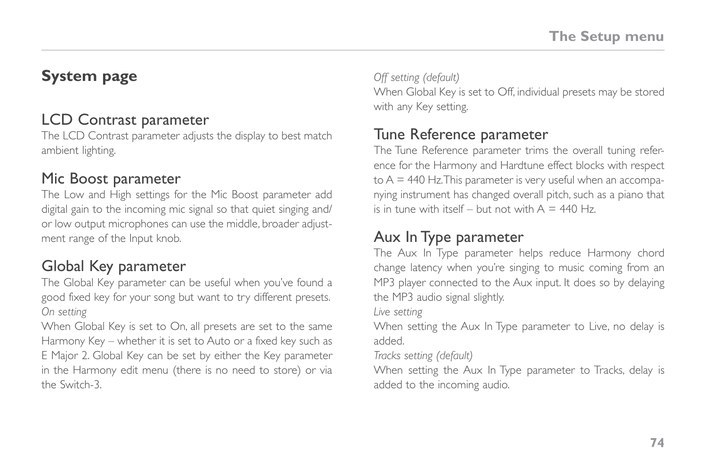### **System page**

#### LCD Contrast parameter

The LCD Contrast parameter adjusts the display to best match ambient lighting.

#### Mic Boost parameter

The Low and High settings for the Mic Boost parameter add digital gain to the incoming mic signal so that quiet singing and/ or low output microphones can use the middle, broader adjustment range of the Input knob.

### Global Key parameter

The Global Key parameter can be useful when you've found a good fixed key for your song but want to try different presets. *On setting*

When Global Key is set to On, all presets are set to the same Harmony Key – whether it is set to Auto or a fixed key such as E Major 2. Global Key can be set by either the Key parameter in the Harmony edit menu (there is no need to store) or via the Switch-3.

*Off setting (default)* When Global Key is set to Off, individual presets may be stored with any Key setting.

#### Tune Reference parameter

The Tune Reference parameter trims the overall tuning reference for the Harmony and Hardtune effect blocks with respect  $\text{to } A = 440$  Hz. This parameter is very useful when an accompanying instrument has changed overall pitch, such as a piano that is in tune with itself – but not with  $A = 440$  Hz.

#### Aux In Type parameter

The Aux In Type parameter helps reduce Harmony chord change latency when you're singing to music coming from an MP3 player connected to the Aux input. It does so by delaying the MP3 audio signal slightly.

*Live setting*

When setting the Aux In Type parameter to Live, no delay is added.

*Tracks setting (default)*

When setting the Aux In Type parameter to Tracks, delay is added to the incoming audio.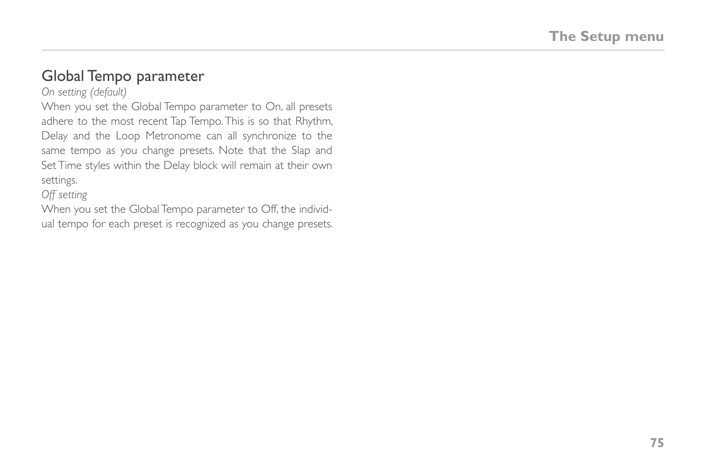#### Global Tempo parameter

*On setting (default)*

When you set the Global Tempo parameter to On, all presets adhere to the most recent Tap Tempo. This is so that Rhythm, Delay and the Loop Metronome can all synchronize to the same tempo as you change presets. Note that the Slap and Set Time styles within the Delay block will remain at their own settings.

*Off setting*

When you set the Global Tempo parameter to Off, the individual tempo for each preset is recognized as you change presets.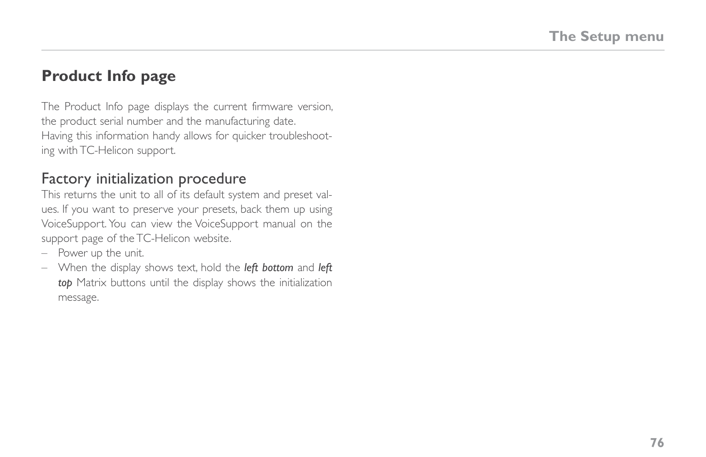### **Product Info page**

The Product Info page displays the current firmware version, the product serial number and the manufacturing date. Having this information handy allows for quicker troubleshooting with TC-Helicon support.

#### Factory initialization procedure

This returns the unit to all of its default system and preset values. If you want to preserve your presets, back them up using VoiceSupport. You can view the VoiceSupport manual on the support page of the TC-Helicon website.

- Power up the unit.
- When the display shows text, hold the *left bottom* and *left top* Matrix buttons until the display shows the initialization message.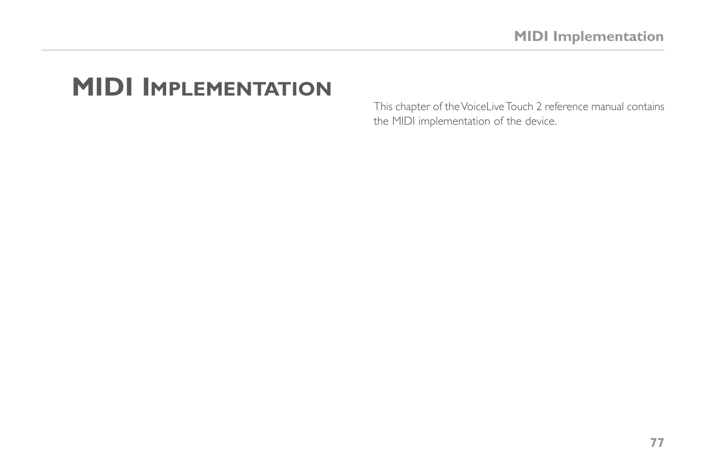# **MIDI Implementation**

This chapter of the VoiceLive Touch 2 reference manual contains the MIDI implementation of the device.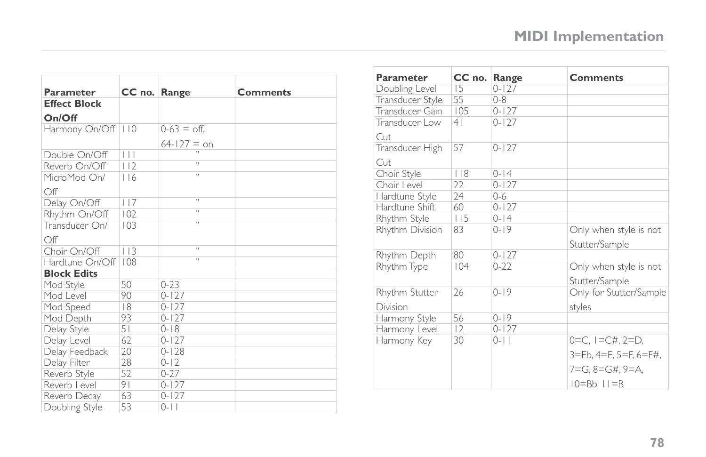| Parameter           | CC no. Range   |                          | <b>Comments</b> |
|---------------------|----------------|--------------------------|-----------------|
| <b>Effect Block</b> |                |                          |                 |
| On/Off              |                |                          |                 |
| Harmony On/Off      | 110            | $0-63 =$ off.            |                 |
|                     |                | $64 - 127 = 0n$          |                 |
| Double On/Off       | $\Box$         | $\cdots$                 |                 |
| Reverb On/Off       | 112            | $\mathbf{H}$             |                 |
| MicroMod On/        | 116            | $\overline{\phantom{a}}$ |                 |
| Off                 |                |                          |                 |
| Delay On/Off        | 117            | $\overline{\phantom{a}}$ |                 |
| Rhythm On/Off       | 102            | $\overline{\phantom{a}}$ |                 |
| Transducer On/      | 103            | $\overline{\phantom{a}}$ |                 |
| Off                 |                |                          |                 |
| Choir On/Off        | 113            | $\overline{\phantom{a}}$ |                 |
| Hardtune On/Off     | 108            | $\overline{\phantom{a}}$ |                 |
| <b>Block Edits</b>  |                |                          |                 |
| Mod Style           | 50             | $0 - 23$                 |                 |
| Mod Level           | 90             | $0 - 127$                |                 |
| Mod Speed           | 8              | $0 - 127$                |                 |
| Mod Depth           | 93             | $0 - 127$                |                 |
| Delay Style         | 51             | $0 - 18$                 |                 |
| Delay Level         | 62             | $0 - 127$                |                 |
| Delay Feedback      | 20             | $0 - 128$                |                 |
| Delay Filter        | 28             | $0 - 12$                 |                 |
| Reverb Style        | 52             | $0 - 27$                 |                 |
| Reverb Level        | 9 <sub>1</sub> | $0 - 127$                |                 |
| Reverb Decay        | 63             | $0 - 127$                |                 |
| Doubling Style      | 53             | $0 - 11$                 |                 |

| Parameter        | CC no.         | Range     | <b>Comments</b>         |
|------------------|----------------|-----------|-------------------------|
| Doubling Level   | 15             | $0 - 127$ |                         |
| Transducer Style | 55             | $0 - 8$   |                         |
| Transducer Gain  | 105            | $0 - 127$ |                         |
| Transducer Low   | 4 <sub>1</sub> | $0 - 127$ |                         |
| Cut              |                |           |                         |
| Transducer High  | 57             | $0 - 127$ |                         |
| Cut              |                |           |                         |
| Choir Style      | 118            | $0 - 14$  |                         |
| Choir Level      | 22             | $0 - 127$ |                         |
| Hardtune Style   | 24             | $0 - 6$   |                         |
| Hardtune Shift   | 60             | $0 - 127$ |                         |
| Rhythm Style     | 115            | $0 - 14$  |                         |
| Rhythm Division  | 83             | $0 - 19$  | Only when style is not  |
|                  |                |           | Stutter/Sample          |
| Rhythm Depth     | 80             | $0 - 127$ |                         |
| Rhythm Type      | 104            | $0 - 22$  | Only when style is not  |
|                  |                |           | Stutter/Sample          |
| Rhythm Stutter   | 26             | $0 - 19$  | Only for Stutter/Sample |
| Division         |                |           | styles                  |
| Harmony Style    | 56             | $0 - 19$  |                         |
| Harmony Level    | 12             | $0 - 127$ |                         |
| Harmony Key      | 30             | $0 - 11$  | $0=C, I=CH, 2=D,$       |
|                  |                |           | 3=Eb, 4=E, 5=F, 6=F#,   |
|                  |                |           | 7=G. 8=G#. 9=A.         |
|                  |                |           | $10 = Bb$ , $11 = B$    |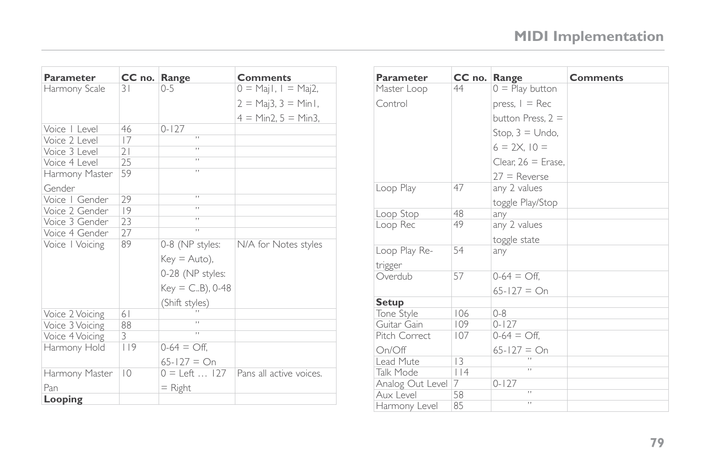| Parameter       | CC no. Range   |                             | <b>Comments</b>         |
|-----------------|----------------|-----------------------------|-------------------------|
| Harmony Scale   | 31             | $0 - 5$                     | $0 = Maj I, I = Maj2,$  |
|                 |                |                             | $2 = Maj3, 3 = Min1,$   |
|                 |                |                             | $4 = Min2, 5 = Min3,$   |
| Voice   Level   | 46             | $0 - 127$                   |                         |
| Voice 2 Level   | 17             | $\overline{\phantom{a}}$    |                         |
| Voice 3 Level   | 21             | H.                          |                         |
| Voice 4 Level   | 25             | $\overline{\phantom{a}}$    |                         |
| Harmony Master  | 59             | $\overline{\phantom{a}}$    |                         |
| Gender          |                |                             |                         |
| Voice   Gender  | 29             | $\overline{\phantom{a}}$    |                         |
| Voice 2 Gender  | 9              | $\overline{\phantom{a}}$    |                         |
| Voice 3 Gender  | 23             | $\overline{\phantom{a}}$    |                         |
| Voice 4 Gender  | 27             | $\overline{\phantom{a}}$    |                         |
| Voice   Voicing | 89             | 0-8 (NP styles:             | N/A for Notes styles    |
|                 |                | $Key = Auto),$              |                         |
|                 |                | 0-28 (NP styles:            |                         |
|                 |                | $Key = C.B$ , 0-48          |                         |
|                 |                | (Shift styles)              |                         |
| Voice 2 Voicing | 61             |                             |                         |
| Voice 3 Voicing | 88             | $\overline{\phantom{a}}$    |                         |
| Voice 4 Voicing | 3              | $\overline{\phantom{a}}$    |                         |
| Harmony Hold    | 119            | $0-64 = \bigcirc$ ff.       |                         |
|                 |                | $65 - 127 = On$             |                         |
| Harmony Master  | $\overline{0}$ | $0 = \text{Left} \dots 127$ | Pans all active voices. |
| Pan             |                | $=$ Right                   |                         |
| Looping         |                |                             |                         |

| Parameter        | CC no. Range   |                       | <b>Comments</b> |
|------------------|----------------|-----------------------|-----------------|
| Master Loop      | 44             | $0 =$ Play button     |                 |
| Control          |                | press, $I = Rec$      |                 |
|                  |                | button Press, $2 =$   |                 |
|                  |                | Stop, $3 =$ Undo,     |                 |
|                  |                | $6 = 2X$ , $10 =$     |                 |
|                  |                | Clear, $26$ = Erase.  |                 |
|                  |                | $27 =$ Reverse        |                 |
| Loop Play        | 47             | any 2 values          |                 |
|                  |                | toggle Play/Stop      |                 |
| Loop Stop        | 48             | any                   |                 |
| Loop Rec         | 49             | any 2 values          |                 |
|                  |                | toggle state          |                 |
| Loop Play Re-    | 54             | any                   |                 |
| trigger          |                |                       |                 |
| Overdub          | 57             | $0-64 = \bigcirc$ ff. |                 |
|                  |                | $65 - 127 = On$       |                 |
| <b>Setup</b>     |                |                       |                 |
| Tone Style       | 106            | $0 - 8$               |                 |
| Guitar Gain      | 109            | $0 - 127$             |                 |
| Pitch Correct    | 107            | $0-64 = \bigcirc$ ff, |                 |
| On/Off           |                | $65 - 127 = On$       |                 |
| Lead Mute        | $\overline{3}$ |                       |                 |
| Talk Mode        | $ $  4         | H.                    |                 |
| Analog Out Level | 7              | $0 - 127$             |                 |
| Aux Level        | 58             | y y                   |                 |
| Harmony Level    | 85             | H.                    |                 |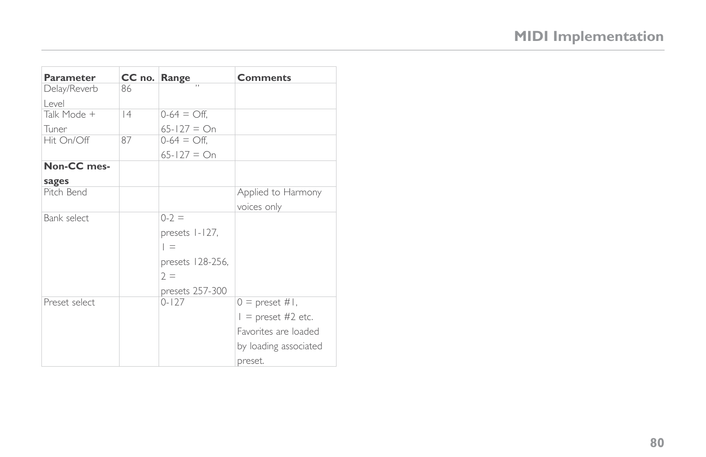| <b>Parameter</b> | CC no. Range |                       | <b>Comments</b>          |
|------------------|--------------|-----------------------|--------------------------|
| Delay/Reverb     | 86           |                       |                          |
| l evel           |              |                       |                          |
| Talk Mode +      | 4            | $0-64 = \bigcirc$ ff, |                          |
| Tuner            |              | $65 - 127 = On$       |                          |
| Hit On/Off       | 87           | $0-64 = \bigcirc$ ff, |                          |
|                  |              | $65 - 127 = On$       |                          |
| Non-CC mes-      |              |                       |                          |
| sages            |              |                       |                          |
| Pitch Bend       |              |                       | Applied to Harmony       |
|                  |              |                       | voices only              |
| Bank select      |              | $0-2 =$               |                          |
|                  |              | presets 1-127,        |                          |
|                  |              | $=$                   |                          |
|                  |              | presets 128-256,      |                          |
|                  |              | $2 =$                 |                          |
|                  |              | presets 257-300       |                          |
| Preset select    |              | $0 - 127$             | $0 =$ preset #1,         |
|                  |              |                       | $\vert$ = preset #2 etc. |
|                  |              |                       | Favorites are loaded     |
|                  |              |                       | by loading associated    |
|                  |              |                       | preset.                  |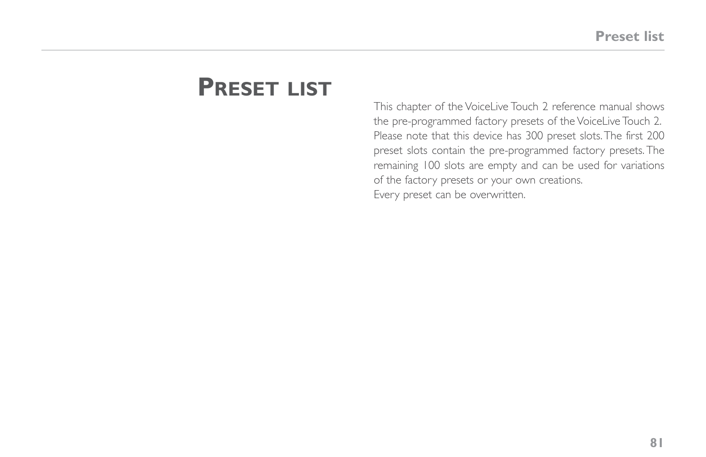# **Preset list**

This chapter of the VoiceLive Touch 2 reference manual shows the pre-programmed factory presets of the VoiceLive Touch 2. Please note that this device has 300 preset slots. The first 200 preset slots contain the pre-programmed factory presets. The remaining 100 slots are empty and can be used for variations of the factory presets or your own creations. Every preset can be overwritten.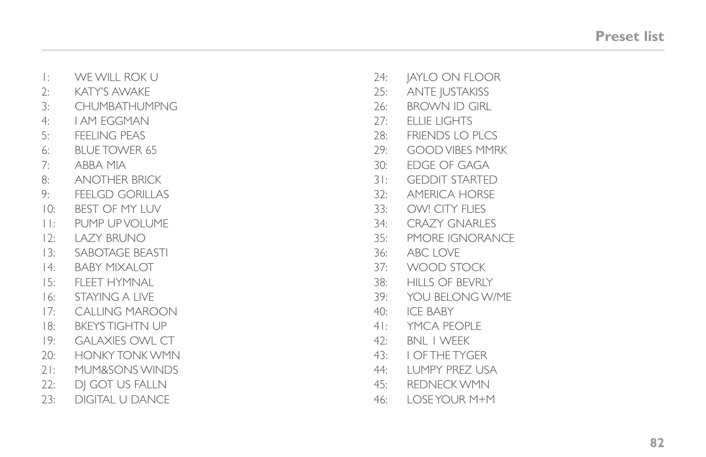| WE WILL ROK U          | 24:    | JAYLO ON FLOOR         |
|------------------------|--------|------------------------|
| <b>KATY'S AWAKE</b>    | 25:    | <b>ANTE JUSTAKISS</b>  |
| <b>CHUMBATHUMPNG</b>   | 26:    | <b>BROWN ID GIRL</b>   |
| <b>I AM EGGMAN</b>     | 27:    | <b>ELLIE LIGHTS</b>    |
| <b>FEELING PEAS</b>    | 28:    | <b>FRIENDS LO PLCS</b> |
| <b>BLUE TOWER 65</b>   | 29:    | <b>GOOD VIBES MMRK</b> |
| ABBA MIA               | 30:    | EDGE OF GAGA           |
| <b>ANOTHER BRICK</b>   | $3!$ : | <b>GEDDIT STARTED</b>  |
| <b>FEELGD GORILLAS</b> | 32:    | <b>AMERICA HORSE</b>   |
| <b>BEST OF MY LUV</b>  | 33:    | OW! CITY FLIES         |
| PUMP UP VOLUME         | 34:    | <b>CRAZY GNARLES</b>   |
| LAZY BRUNO             | 35:    | PMORE IGNORANCE        |
| SABOTAGE BEASTI        | 36:    | <b>ABC LOVE</b>        |
| <b>BABY MIXALOT</b>    | 37:    | WOOD STOCK             |
| FLEET HYMNAL           | 38:    | <b>HILLS OF BEVRLY</b> |
| <b>STAYING A LIVE</b>  | 39:    | YOU BELONG W/ME        |
| <b>CALLING MAROON</b>  | 40:    | <b>ICE BABY</b>        |
| <b>BKEYS TIGHTN UP</b> | 4 I :  | YMCA PEOPLE            |
| <b>GALAXIES OWL CT</b> | 42:    | <b>BNL I WEEK</b>      |
| <b>HONKY TONK WMN</b>  | 43:    | <b>I OF THE TYGER</b>  |
| MUM&SONS WINDS         | 44:    | LUMPY PREZ USA         |
| DJ GOT US FALLN        | 45:    | <b>REDNECK WMN</b>     |
| <b>DIGITAL U DANCE</b> | 46:    | LOSE YOUR M+M          |
|                        |        |                        |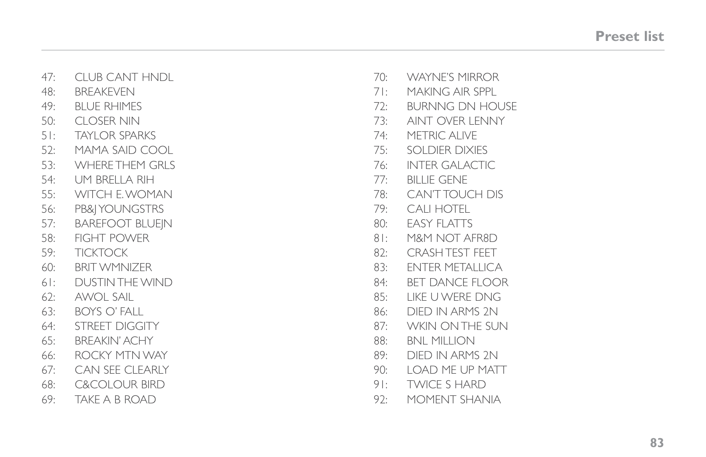| 47:    | <b>CLUB CANT HNDL</b>    | 70:    | <b>WAYNE'S MIRROR</b>  |
|--------|--------------------------|--------|------------------------|
| 48:    | BREAKEVEN                | 71:    | <b>MAKING AIR SPPL</b> |
| 49:    | <b>BLUE RHIMES</b>       | 72:    | <b>BURNNG DN HOUSE</b> |
| 50:    | <b>CLOSER NIN</b>        | 73:    | AINT OVER LENNY        |
| $5!$ : | <b>TAYLOR SPARKS</b>     | 74:    | <b>METRIC ALIVE</b>    |
| 52:    | MAMA SAID COOL           | 75:    | SOLDIER DIXIES         |
| 53:    | <b>WHERE THEM GRLS</b>   | 76:    | <b>INTER GALACTIC</b>  |
| 54:    | UM BRELLA RIH            | 77:    | <b>BILLIE GENE</b>     |
| 55:    | WITCH E. WOMAN           | 78:    | <b>CAN'T TOUCH DIS</b> |
| 56:    | PB& YOUNGSTRS            | 79:    | CALI HOTEL             |
| 57:    | <b>BAREFOOT BLUEIN</b>   | 80:    | <b>EASY FLATTS</b>     |
| 58:    | FIGHT POWER              | $8!$ : | M&M NOT AFR8D          |
| 59:    | <b>TICKTOCK</b>          | 82:    | <b>CRASH TEST FEET</b> |
| 60:    | BRIT WMNIZER             | 83:    | <b>ENTER METALLICA</b> |
| $6!$ : | DUSTIN THE WIND          | 84:    | <b>BET DANCE FLOOR</b> |
| 62:    | <b>AWOL SAIL</b>         | 85:    | LIKE U WERE DNG        |
| 63:    | <b>BOYS O' FALL</b>      | 86:    | DIED IN ARMS 2N        |
| 64:    | STREET DIGGITY           | 87:    | <b>WKIN ON THE SUN</b> |
| 65:    | <b>BREAKIN' ACHY</b>     | 88:    | <b>BNL MILLION</b>     |
| 66:    | ROCKY MTN WAY            | 89:    | DIFD IN ARMS 2N        |
| 67:    | <b>CAN SEE CLEARLY</b>   | 90:    | LOAD ME UP MATT        |
| 68:    | <b>C&amp;COLOUR BIRD</b> | $9!$ : | <b>TWICE S HARD</b>    |
| 69:    | TAKE A B ROAD            | 92:    | MOMENT SHANIA          |
|        |                          |        |                        |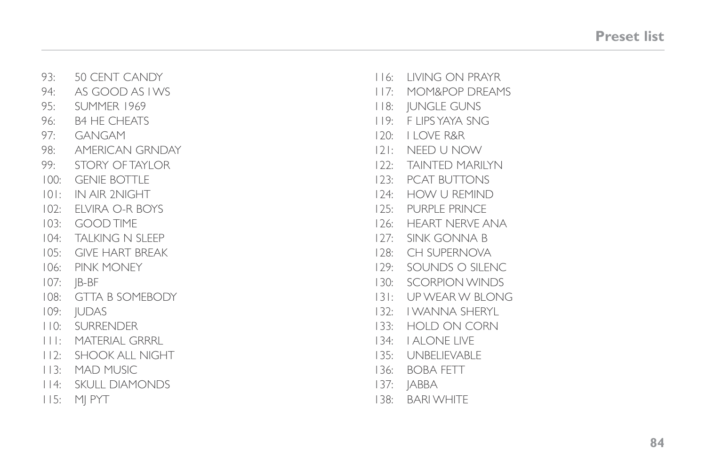|      | 93: 50 CENT CANDY          |      | 116: LIVING ON PRAYR |
|------|----------------------------|------|----------------------|
| 94:  | AS GOOD AS I WS            |      | 117: MOM&POP DREAMS  |
| 95:  | SUMMER 1969                |      | 118: JUNGLE GUNS     |
| 96:  | <b>B4 HE CHEATS</b>        |      | 119: FLIPS YAYA SNG  |
| 97:  | GANGAM                     |      | 120: I LOVE R&R      |
|      | 98: AMERICAN GRNDAY        |      | 121: NEED U NOW      |
| 99:  | STORY OF TAYLOR            |      | 122: TAINTED MARILYN |
| 100: | <b>GENIE BOTTLE</b>        | 123: | <b>PCAT BUTTONS</b>  |
| 101: | IN AIR 2NIGHT              |      | 124: HOW U REMIND    |
|      | 102: ELVIRA O-R BOYS       |      | 125: PURPLE PRINCE   |
| 103: | GOOD TIME                  |      | 126: HEART NERVE ANA |
| 104: | TALKING N SLEEP            |      | 127: SINK GONNA B    |
|      | 105: GIVE HART BREAK       | 128: | <b>CH SUPERNOVA</b>  |
|      | 106: PINK MONEY            | 129: | SOUNDS O SILENC      |
|      | $107:$ $ B-BF $            |      | 130: SCORPION WINDS  |
|      | 108: GTTA B SOMEBODY       |      | 131: UP WEAR W BLONG |
|      | 109: JUDAS                 |      | 132: I WANNA SHERYL  |
| 110: | SURRENDER                  |      | 133: HOLD ON CORN    |
|      | <b>III: MATERIAL GRRRL</b> |      | 134: LALONE LIVE     |
|      | 112: SHOOK ALL NIGHT       |      | 135: UNBELIEVABLE    |
|      | 113: MAD MUSIC             | 136: | <b>BOBA FETT</b>     |
|      | 114: SKULL DIAMONDS        |      | $137:$ JABBA         |
| 115: | MI PYT                     | 138: | <b>BARI WHITE</b>    |
|      |                            |      |                      |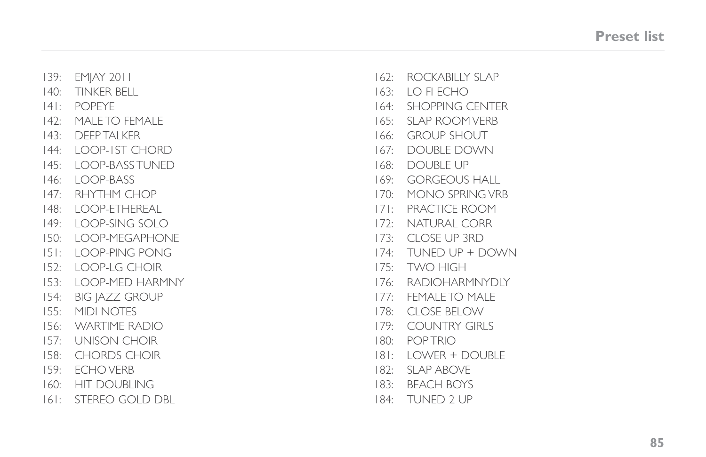| 139:    | <b>EMIAY 2011</b>      | 162:    | ROCKABILLY SLAP        |
|---------|------------------------|---------|------------------------|
| 140:    | TINKER BELL            |         | 163: LO FIECHO         |
| $ 4 $ : | <b>POPEYE</b>          | 164:    | <b>SHOPPING CENTER</b> |
| 142:    | MAI F TO FFMAI F       | 165:    | SI AP ROOM VERB        |
|         | 143: DEEP TALKER       | 166:    | <b>GROUP SHOUT</b>     |
| 144:    | LOOP-IST CHORD         | 167:    | <b>DOUBLE DOWN</b>     |
| 145:    | LOOP-BASS TUNED        | 168:    | <b>DOUBLE UP</b>       |
| 146:    | LOOP-BASS              | 169:    | <b>GORGEOUS HALL</b>   |
| 147:    | RHYTHM CHOP            | 170:    | MONO SPRING VRB        |
| 148:    | LOOP-ETHEREAL          | $17!$ : | PRACTICE ROOM          |
| 149:    | LOOP-SING SOLO         | 172:    | <b>NATURAL CORR</b>    |
| 150:    | LOOP-MEGAPHONE         | 173:    | <b>CLOSE UP 3RD</b>    |
| $ 5 $ : | LOOP-PING PONG         |         | 174: TUNED UP + DOWN   |
| 152:    | I OOP-I G CHOIR        |         | 175: TWO HIGH          |
| 153:    | LOOP-MED HARMNY        |         | 176: RADIOHARMNYDLY    |
| 154:    | <b>BIG JAZZ GROUP</b>  | 177:    | <b>FEMALE TO MALE</b>  |
| 155:    | MIDI NOTES             | 178:    | <b>CLOSE BELOW</b>     |
| 156:    | <b>WARTIME RADIO</b>   | 179:    | <b>COUNTRY GIRLS</b>   |
|         | 157: UNISON CHOIR      | 180:    | <b>POPTRIO</b>         |
| 158:    | <b>CHORDS CHOIR</b>    | $ 8 $ : | LOWER + DOUBLE         |
| 159:    | ECHO VERB              | 182:    | <b>SLAP ABOVE</b>      |
| 160:    | <b>HIT DOUBLING</b>    | 183:    | <b>BEACH BOYS</b>      |
| $ 6 $ : | <b>STEREO GOLD DBL</b> | 184:    | TUNED 2 UP             |
|         |                        |         |                        |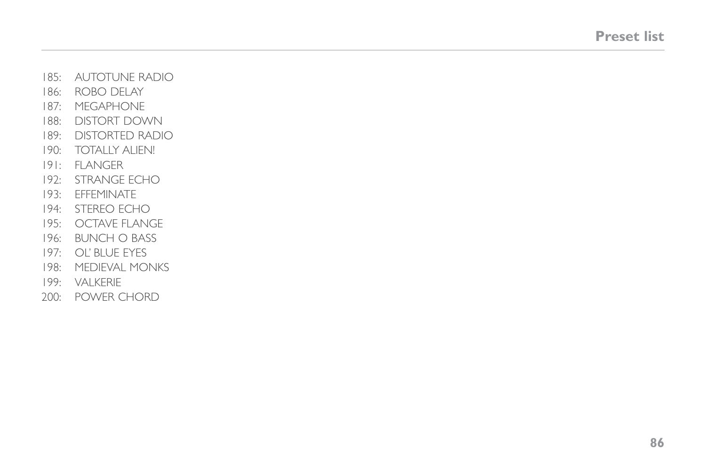- 185: AUTOTUNE RADIO
- 186: ROBO DELAY
- 187: MEGAPHONE
- 188: DISTORT DOWN
- 189: DISTORTED RADIO
- 190: TOTALLY ALIEN!
- 191: FLANGER
- 192: STRANGE ECHO
- 193: EFFEMINATE
- 194: STEREO ECHO
- 195: OCTAVE FLANGE
- 196: BUNCH O BASS
- 197: OL' BLUE EYES
- 198: MEDIEVAL MONKS
- 199: VALKERIE
- 200: POWER CHORD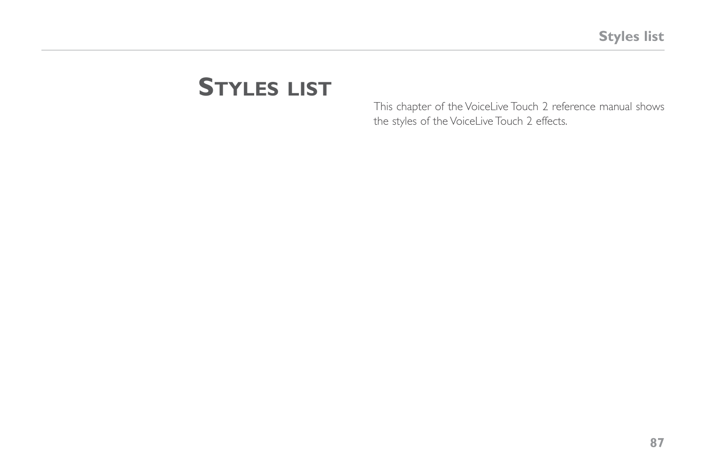# **Styles list**

This chapter of the VoiceLive Touch 2 reference manual shows the styles of the VoiceLive Touch 2 effects.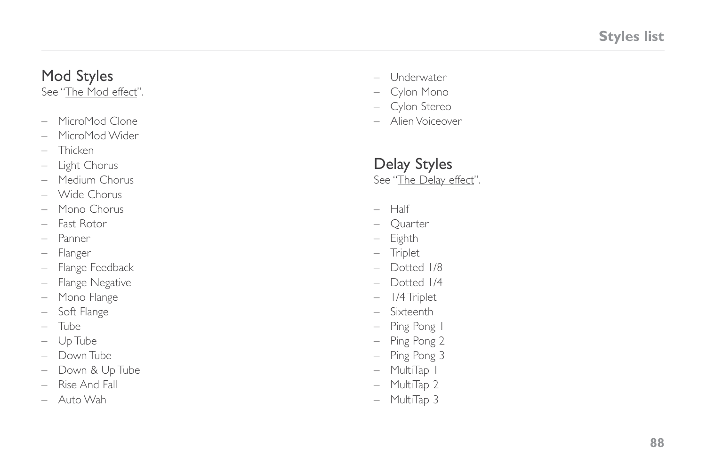# Mod Styles

See "[The Mod effect"](#page-16-0).

- MicroMod Clone
- MicroMod Wider
- Thicken
- Light Chorus
- Medium Chorus
- Wide Chorus
- Mono Chorus
- Fast Rotor
- Panner
- 
- Flanger Flange Feedback
- Flange Negative
- Mono Flange
- Soft Flange
- Tube
- Up Tube
- Down Tube
- Down & Up Tube
- Rise And Fall
- Auto Wah
- Underwater
- Cylon Mono
- Cylon Stereo
- Alien Voiceover

# Delay Styles

See ["The Delay effect"](#page-17-0).

- Half
- Quarter
- Eighth
- Triplet
- Dotted 1/8
- Dotted 1/4
- 1/4 Triplet
- Sixteenth
- Ping Pong 1
- Ping Pong 2
- Ping Pong 3
- MultiTap 1
- MultiTap 2
- MultiTap 3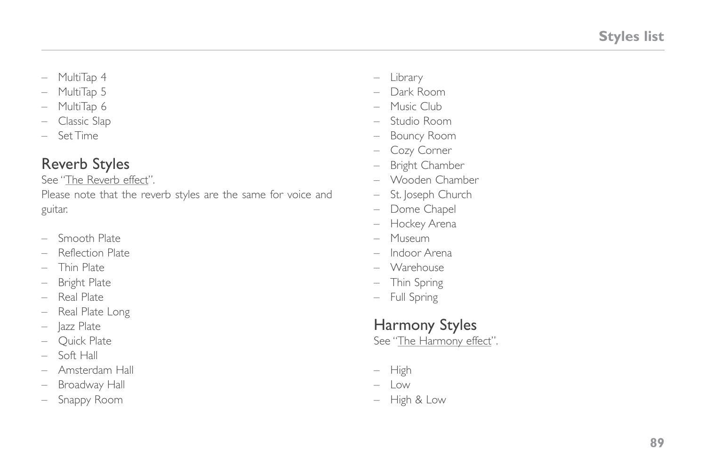- MultiTap 4
- MultiTap 5
- MultiTap 6
- Classic Slap
- Set Time

# Reverb Styles

See "[The Reverb effect](#page-19-0)".

Please note that the reverb styles are the same for voice and guitar.

- Smooth Plate
- Reflection Plate
- Thin Plate
- Bright Plate
- Real Plate
- Real Plate Long
- Jazz Plate
- Quick Plate
- $-$  Soft Hall
- Amsterdam Hall
- Broadway Hall
- Snappy Room
- Library
- Dark Room
- Music Club
- Studio Room
- Bouncy Room
- Cozy Corner
- Bright Chamber
- Wooden Chamber
- St. Joseph Church
- Dome Chapel
- Hockey Arena
- Museum
- Indoor Arena
- Warehouse
- Thin Spring
- Full Spring

# Harmony Styles

See ["The Harmony effect](#page-20-0)".

- High
- $-$  Low
- High & Low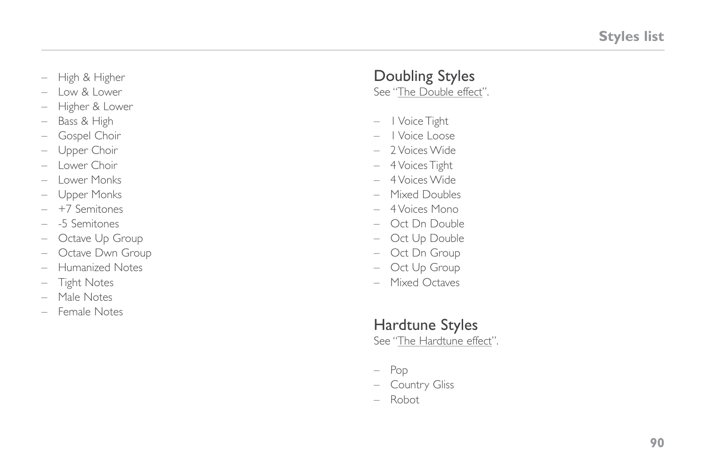- High & Higher
- Low & Lower
- Higher & Lower
- Bass & High
- Gospel Choir
- Upper Choir
- Lower Choir
- Lower Monks
- Upper Monks
- +7 Semitones
- -5 Semitones
- Octave Up Group
- Octave Dwn Group
- Humanized Notes
- Tight Notes
- Male Notes
- Female Notes

# Doubling Styles

See ["The Double effect](#page-27-0)".

- 1 Voice Tight
- 1 Voice Loose
- 2 Voices Wide
- 4 Voices Tight
- 4 Voices Wide
- Mixed Doubles
- 4 Voices Mono
- Oct Dn Double
- Oct Up Double
- Oct Dn Group
- Oct Up Group
- Mixed Octaves

## Hardtune Styles

See ["The Hardtune effect"](#page-32-0).

- Pop
- Country Gliss
- Robot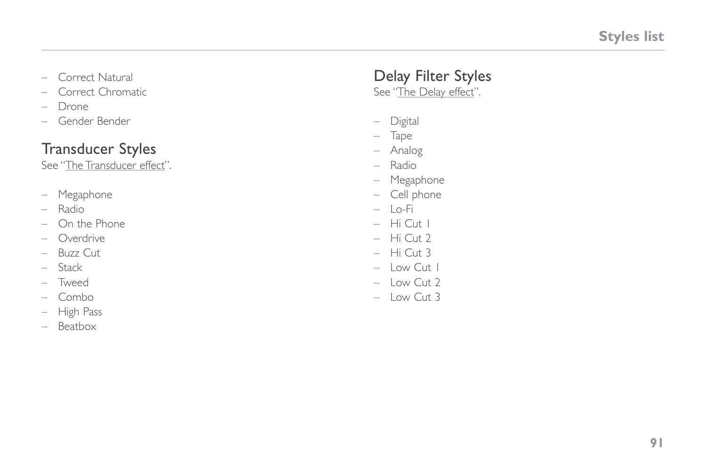- Correct Natural
- Correct Chromatic
- Drone
- Gender Bender

#### Transducer Styles

See "[The Transducer effect](#page-28-0)".

- Megaphone
- Radio
- On the Phone
- Overdrive
- Buzz Cut
- Stack
- Tweed
- Combo
- High Pass
- Beatbox

# Delay Filter Styles

See ["The Delay effect"](#page-17-0).

- Digital
- Tape
- Analog
- Radio
- Megaphone
- Cell phone
- Lo-Fi
- Hi Cut 1
- Hi Cut 2
- Hi Cut 3
- $-$  Low Cut 1
- Low Cut 2
- Low Cut 3